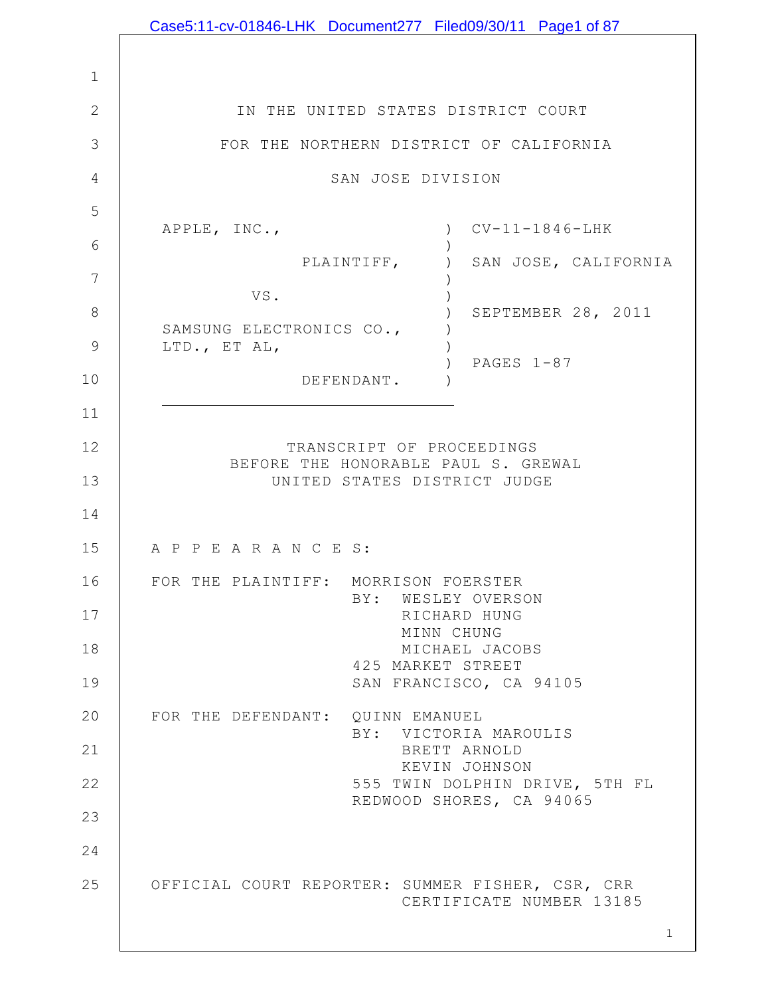|              | Case5:11-cv-01846-LHK Document277 Filed09/30/11 Page1 of 87                  |
|--------------|------------------------------------------------------------------------------|
|              |                                                                              |
| $\mathbf 1$  |                                                                              |
| $\mathbf{2}$ | IN THE UNITED STATES DISTRICT COURT                                          |
| 3            | FOR THE NORTHERN DISTRICT OF CALIFORNIA                                      |
| 4            | SAN JOSE DIVISION                                                            |
| 5            |                                                                              |
| 6            | $CV-11-1846-LHK$<br>APPLE, INC.,<br>$\left( \right)$                         |
| 7            | PLAINTIFF,<br>SAN JOSE, CALIFORNIA<br>$\left( \right)$                       |
| $8\,$        | VS.<br>SEPTEMBER 28, 2011                                                    |
| 9            | SAMSUNG ELECTRONICS CO.,                                                     |
|              | LTD., ET AL,<br>PAGES $1-87$                                                 |
| 10           | DEFENDANT.                                                                   |
| 11           |                                                                              |
| 12           | TRANSCRIPT OF PROCEEDINGS<br>BEFORE THE HONORABLE PAUL S. GREWAL             |
| 13           | UNITED STATES DISTRICT JUDGE                                                 |
| 14           |                                                                              |
| 15           | A P P E A R A N C E S:                                                       |
| 16           | FOR THE PLAINTIFF: MORRISON FOERSTER                                         |
| 17           | BY: WESLEY OVERSON<br>RICHARD HUNG                                           |
| 18           | MINN CHUNG<br>MICHAEL JACOBS                                                 |
| 19           | 425 MARKET STREET<br>SAN FRANCISCO, CA 94105                                 |
| 20           | FOR THE DEFENDANT: QUINN EMANUEL                                             |
|              | BY: VICTORIA MAROULIS                                                        |
| 21           | BRETT ARNOLD<br>KEVIN JOHNSON                                                |
| 22           | 555 TWIN DOLPHIN DRIVE, 5TH FL<br>REDWOOD SHORES, CA 94065                   |
| 23           |                                                                              |
| 24           |                                                                              |
| 25           | OFFICIAL COURT REPORTER: SUMMER FISHER, CSR, CRR<br>CERTIFICATE NUMBER 13185 |
|              | $\mathbf{1}$                                                                 |

 $\mathbf l$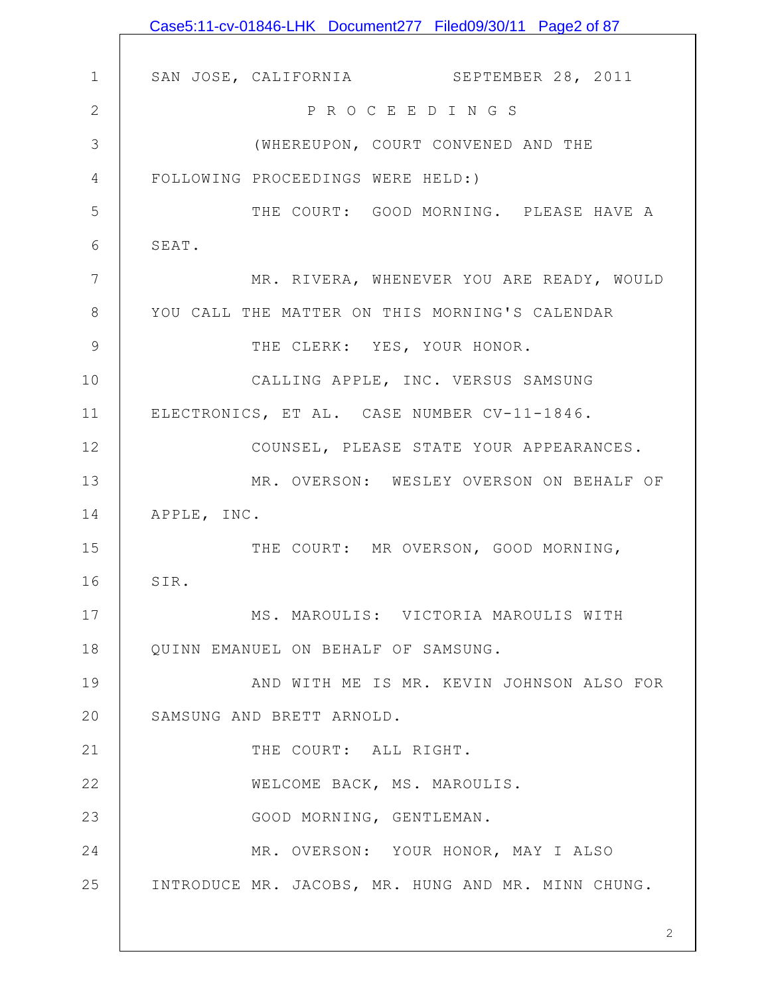|               | Case5:11-cv-01846-LHK Document277 Filed09/30/11 Page2 of 87 |
|---------------|-------------------------------------------------------------|
|               |                                                             |
| $\mathbf 1$   | SAN JOSE, CALIFORNIA SEPTEMBER 28, 2011                     |
| $\mathbf{2}$  | P R O C E E D I N G S                                       |
| 3             | (WHEREUPON, COURT CONVENED AND THE                          |
| 4             | FOLLOWING PROCEEDINGS WERE HELD:)                           |
| 5             | THE COURT: GOOD MORNING. PLEASE HAVE A                      |
| 6             | SEAT.                                                       |
| 7             | MR. RIVERA, WHENEVER YOU ARE READY, WOULD                   |
| 8             | YOU CALL THE MATTER ON THIS MORNING'S CALENDAR              |
| $\mathcal{G}$ | THE CLERK: YES, YOUR HONOR.                                 |
| 10            | CALLING APPLE, INC. VERSUS SAMSUNG                          |
| 11            | ELECTRONICS, ET AL. CASE NUMBER CV-11-1846.                 |
| 12            | COUNSEL, PLEASE STATE YOUR APPEARANCES.                     |
| 13            | MR. OVERSON: WESLEY OVERSON ON BEHALF OF                    |
| 14            | APPLE, INC.                                                 |
| 15            | THE COURT: MR OVERSON, GOOD MORNING,                        |
| 16            | SIR.                                                        |
| 17            | MS. MAROULIS: VICTORIA MAROULIS WITH                        |
| 18            | QUINN EMANUEL ON BEHALF OF SAMSUNG.                         |
| 19            | AND WITH ME IS MR. KEVIN JOHNSON ALSO FOR                   |
| 20            | SAMSUNG AND BRETT ARNOLD.                                   |
| 21            | THE COURT: ALL RIGHT.                                       |
| 22            | WELCOME BACK, MS. MAROULIS.                                 |
| 23            | GOOD MORNING, GENTLEMAN.                                    |
| 24            | MR. OVERSON: YOUR HONOR, MAY I ALSO                         |
| 25            | INTRODUCE MR. JACOBS, MR. HUNG AND MR. MINN CHUNG.          |
|               |                                                             |
|               |                                                             |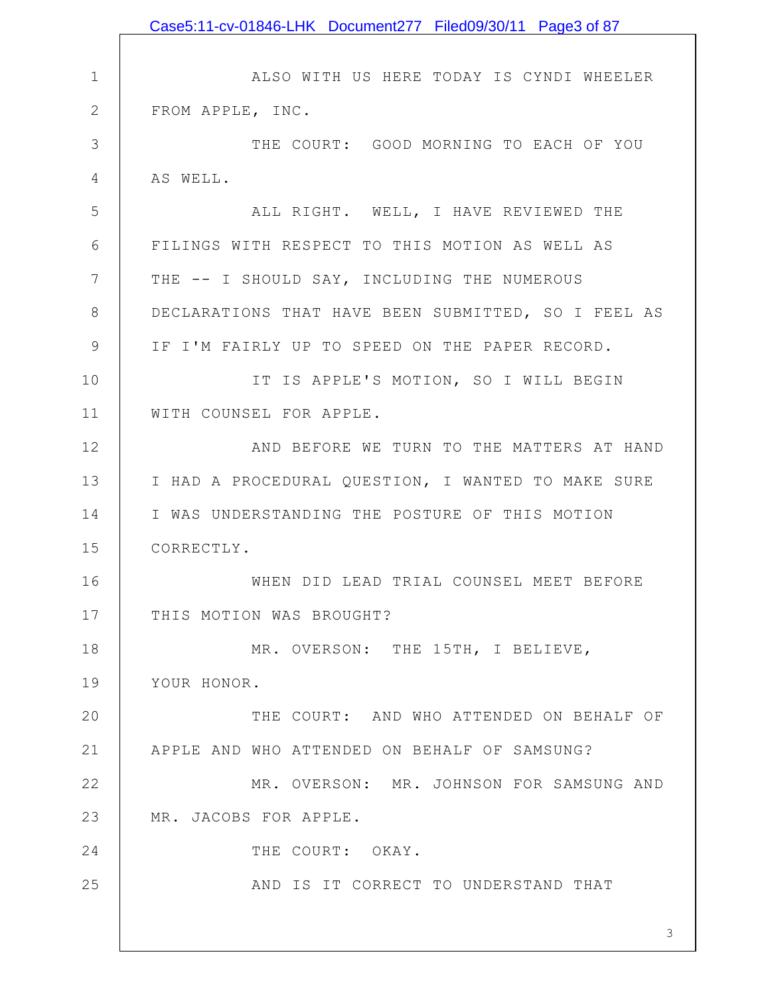|                 | Case5:11-cv-01846-LHK Document277 Filed09/30/11 Page3 of 87 |
|-----------------|-------------------------------------------------------------|
|                 |                                                             |
| $\mathbf 1$     | ALSO WITH US HERE TODAY IS CYNDI WHEELER                    |
| $\mathbf{2}$    | FROM APPLE, INC.                                            |
| 3               | THE COURT: GOOD MORNING TO EACH OF YOU                      |
| 4               | AS WELL.                                                    |
| 5               | ALL RIGHT. WELL, I HAVE REVIEWED THE                        |
| 6               | FILINGS WITH RESPECT TO THIS MOTION AS WELL AS              |
| $7\phantom{.0}$ | THE -- I SHOULD SAY, INCLUDING THE NUMEROUS                 |
| $8\,$           | DECLARATIONS THAT HAVE BEEN SUBMITTED, SO I FEEL AS         |
| $\mathsf 9$     | IF I'M FAIRLY UP TO SPEED ON THE PAPER RECORD.              |
| 10              | IT IS APPLE'S MOTION, SO I WILL BEGIN                       |
| 11              | WITH COUNSEL FOR APPLE.                                     |
| 12              | AND BEFORE WE TURN TO THE MATTERS AT HAND                   |
| 13              | I HAD A PROCEDURAL QUESTION, I WANTED TO MAKE SURE          |
| 14              | I WAS UNDERSTANDING THE POSTURE OF THIS MOTION              |
| 15              | CORRECTLY.                                                  |
| 16              | WHEN DID LEAD TRIAL COUNSEL MEET BEFORE                     |
| 17              | THIS MOTION WAS BROUGHT?                                    |
| 18              | MR. OVERSON: THE 15TH, I BELIEVE,                           |
| 19              | YOUR HONOR.                                                 |
| 20              | THE COURT: AND WHO ATTENDED ON BEHALF OF                    |
| 21              | APPLE AND WHO ATTENDED ON BEHALF OF SAMSUNG?                |
| 22              | MR. OVERSON: MR. JOHNSON FOR SAMSUNG AND                    |
| 23              | MR. JACOBS FOR APPLE.                                       |
| 24              | THE COURT: OKAY.                                            |
| 25              | AND IS IT CORRECT TO UNDERSTAND THAT                        |
|                 |                                                             |
|                 | 3                                                           |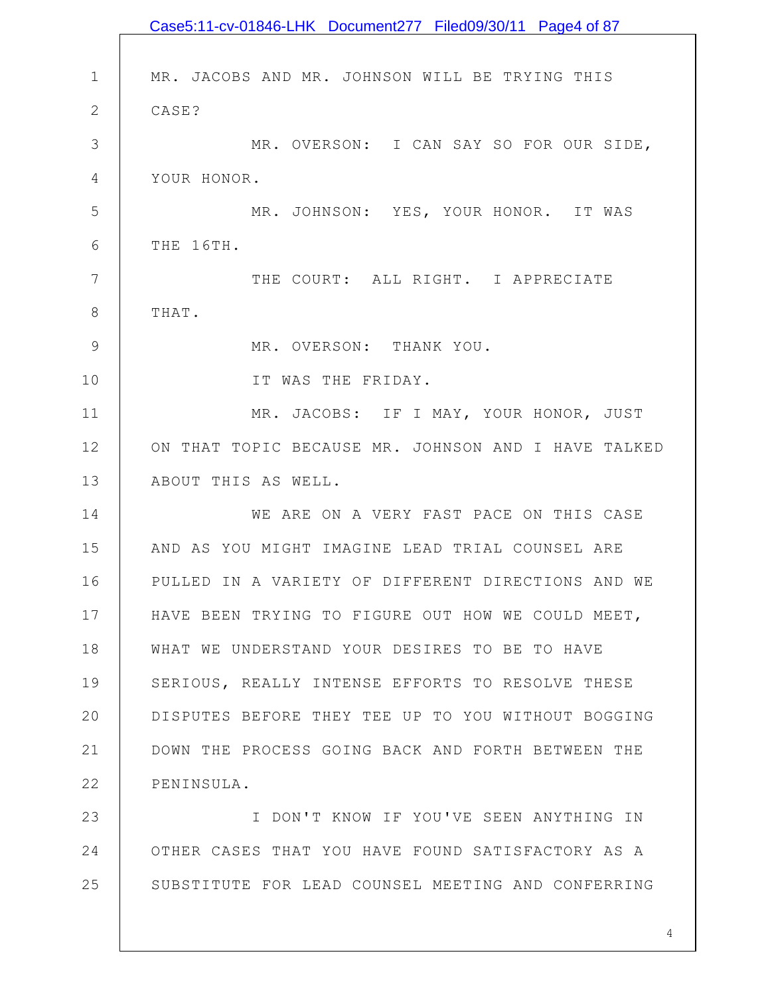|              | Case5:11-cv-01846-LHK Document277 Filed09/30/11 Page4 of 87 |
|--------------|-------------------------------------------------------------|
|              |                                                             |
| $\mathbf 1$  | MR. JACOBS AND MR. JOHNSON WILL BE TRYING THIS              |
| $\mathbf{2}$ | CASE?                                                       |
| 3            | MR. OVERSON: I CAN SAY SO FOR OUR SIDE,                     |
| 4            | YOUR HONOR.                                                 |
| 5            | MR. JOHNSON: YES, YOUR HONOR. IT WAS                        |
| 6            | THE 16TH.                                                   |
| 7            | THE COURT: ALL RIGHT. I APPRECIATE                          |
| 8            | THAT.                                                       |
| 9            | MR. OVERSON: THANK YOU.                                     |
| 10           | IT WAS THE FRIDAY.                                          |
| 11           | MR. JACOBS: IF I MAY, YOUR HONOR, JUST                      |
| 12           | ON THAT TOPIC BECAUSE MR. JOHNSON AND I HAVE TALKED         |
| 13           | ABOUT THIS AS WELL.                                         |
| 14           | WE ARE ON A VERY FAST PACE ON THIS CASE                     |
| 15           | AND AS YOU MIGHT IMAGINE LEAD TRIAL COUNSEL ARE             |
| 16           | PULLED IN A VARIETY OF DIFFERENT DIRECTIONS AND WE          |
| 17           | HAVE BEEN TRYING TO FIGURE OUT HOW WE COULD MEET,           |
| 18           | WHAT WE UNDERSTAND YOUR DESIRES TO BE TO HAVE               |
| 19           | SERIOUS, REALLY INTENSE EFFORTS TO RESOLVE THESE            |
| 20           | DISPUTES BEFORE THEY TEE UP TO YOU WITHOUT BOGGING          |
| 21           | DOWN THE PROCESS GOING BACK AND FORTH BETWEEN THE           |
| 22           | PENINSULA.                                                  |
| 23           | I DON'T KNOW IF YOU'VE SEEN ANYTHING IN                     |
| 24           | OTHER CASES THAT YOU HAVE FOUND SATISFACTORY AS A           |
| 25           | SUBSTITUTE FOR LEAD COUNSEL MEETING AND CONFERRING          |
|              |                                                             |
|              | 4                                                           |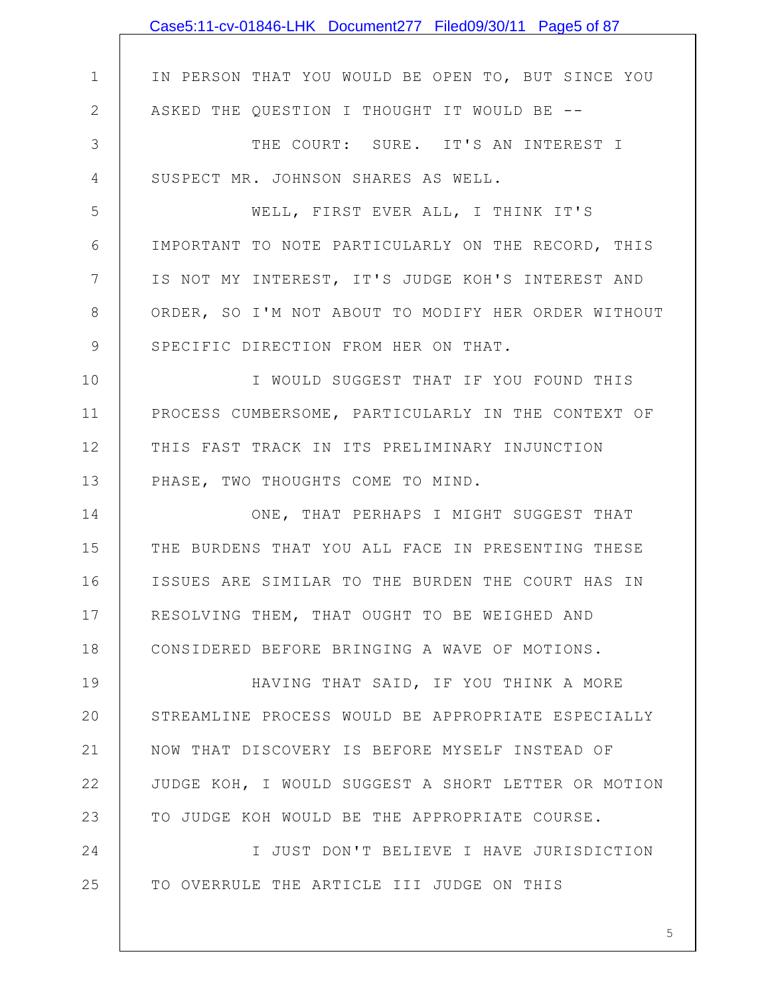|              | Case5:11-cv-01846-LHK Document277 Filed09/30/11 Page5 of 87 |
|--------------|-------------------------------------------------------------|
|              |                                                             |
| $\mathbf 1$  | IN PERSON THAT YOU WOULD BE OPEN TO, BUT SINCE YOU          |
| $\mathbf{2}$ | ASKED THE QUESTION I THOUGHT IT WOULD BE --                 |
| 3            | THE COURT: SURE. IT'S AN INTEREST I                         |
| 4            | SUSPECT MR. JOHNSON SHARES AS WELL.                         |
| 5            | WELL, FIRST EVER ALL, I THINK IT'S                          |
| 6            | IMPORTANT TO NOTE PARTICULARLY ON THE RECORD, THIS          |
| 7            | IS NOT MY INTEREST, IT'S JUDGE KOH'S INTEREST AND           |
| 8            | ORDER, SO I'M NOT ABOUT TO MODIFY HER ORDER WITHOUT         |
| 9            | SPECIFIC DIRECTION FROM HER ON THAT.                        |
| 10           | I WOULD SUGGEST THAT IF YOU FOUND THIS                      |
| 11           | PROCESS CUMBERSOME, PARTICULARLY IN THE CONTEXT OF          |
| 12           | THIS FAST TRACK IN ITS PRELIMINARY INJUNCTION               |
| 13           | PHASE, TWO THOUGHTS COME TO MIND.                           |
| 14           | ONE, THAT PERHAPS I MIGHT SUGGEST THAT                      |
| 15           | THE BURDENS THAT YOU ALL FACE IN PRESENTING THESE           |
| 16           | ISSUES ARE SIMILAR TO THE BURDEN THE COURT HAS IN           |
| 17           | RESOLVING THEM, THAT OUGHT TO BE WEIGHED AND                |
| 18           | CONSIDERED BEFORE BRINGING A WAVE OF MOTIONS.               |
| 19           | HAVING THAT SAID, IF YOU THINK A MORE                       |
| 20           | STREAMLINE PROCESS WOULD BE APPROPRIATE ESPECIALLY          |
| 21           | NOW THAT DISCOVERY IS BEFORE MYSELF INSTEAD OF              |
| 22           | JUDGE KOH, I WOULD SUGGEST A SHORT LETTER OR MOTION         |
| 23           | TO JUDGE KOH WOULD BE THE APPROPRIATE COURSE.               |
| 24           | I JUST DON'T BELIEVE I HAVE JURISDICTION                    |
| 25           | TO OVERRULE THE ARTICLE III JUDGE ON THIS                   |
|              |                                                             |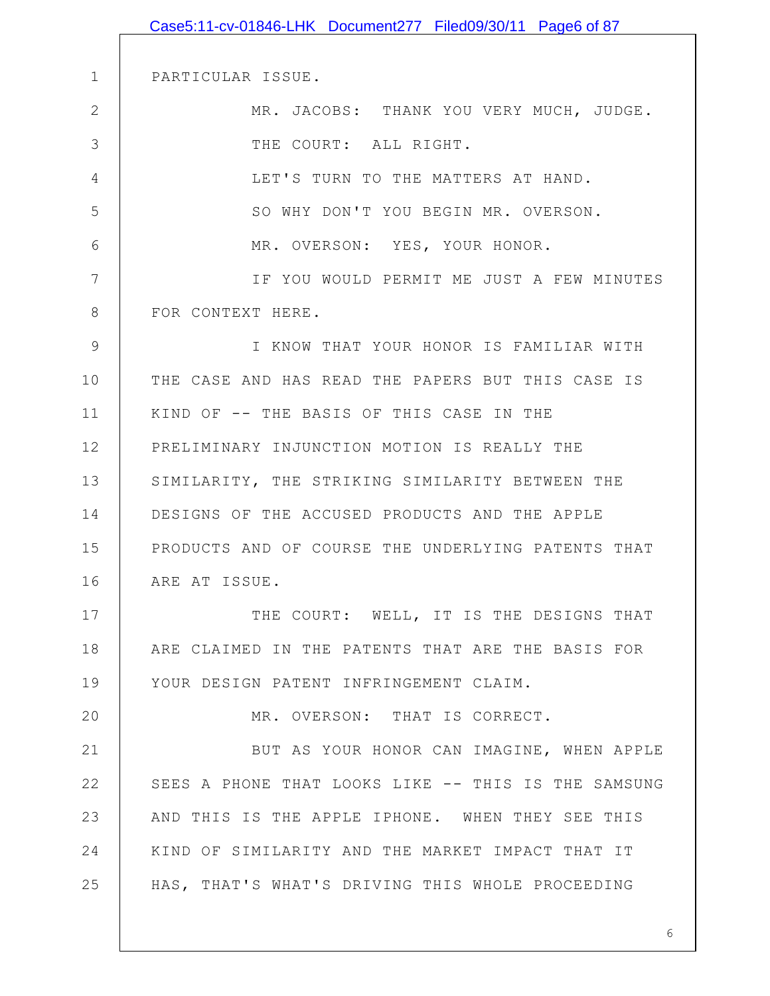1 2 3 4 5 6 7 8 9 10 11 12 13 14 15 16 17 18 19 20 21 22 23 24 25 PARTICULAR ISSUE. MR. JACOBS: THANK YOU VERY MUCH, JUDGE. THE COURT: ALL RIGHT. LET'S TURN TO THE MATTERS AT HAND. SO WHY DON'T YOU BEGIN MR. OVERSON. MR. OVERSON: YES, YOUR HONOR. IF YOU WOULD PERMIT ME JUST A FEW MINUTES FOR CONTEXT HERE. I KNOW THAT YOUR HONOR IS FAMILIAR WITH THE CASE AND HAS READ THE PAPERS BUT THIS CASE IS KIND OF -- THE BASIS OF THIS CASE IN THE PRELIMINARY INJUNCTION MOTION IS REALLY THE SIMILARITY, THE STRIKING SIMILARITY BETWEEN THE DESIGNS OF THE ACCUSED PRODUCTS AND THE APPLE PRODUCTS AND OF COURSE THE UNDERLYING PATENTS THAT ARE AT ISSUE. THE COURT: WELL, IT IS THE DESIGNS THAT ARE CLAIMED IN THE PATENTS THAT ARE THE BASIS FOR YOUR DESIGN PATENT INFRINGEMENT CLAIM. MR. OVERSON: THAT IS CORRECT. BUT AS YOUR HONOR CAN IMAGINE, WHEN APPLE SEES A PHONE THAT LOOKS LIKE -- THIS IS THE SAMSUNG AND THIS IS THE APPLE IPHONE. WHEN THEY SEE THIS KIND OF SIMILARITY AND THE MARKET IMPACT THAT IT HAS, THAT'S WHAT'S DRIVING THIS WHOLE PROCEEDING Case5:11-cv-01846-LHK Document277 Filed09/30/11 Page6 of 87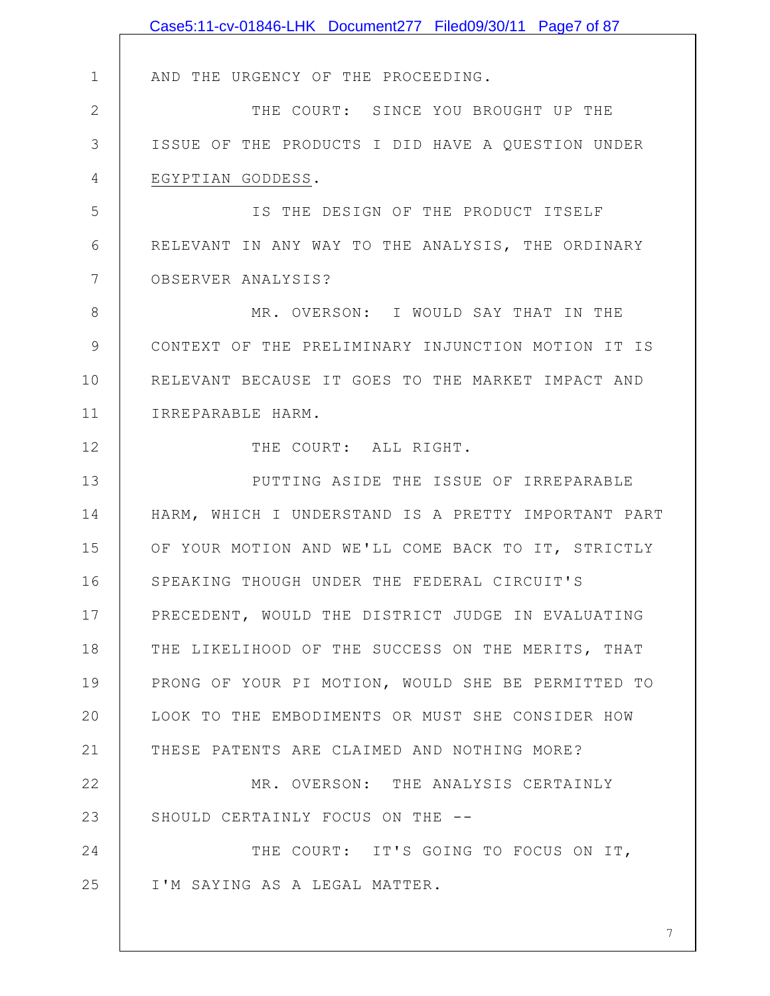|                | Case5:11-cv-01846-LHK Document277 Filed09/30/11 Page7 of 87 |
|----------------|-------------------------------------------------------------|
|                |                                                             |
| $\mathbf 1$    | AND THE URGENCY OF THE PROCEEDING.                          |
| $\mathbf{2}$   | THE COURT: SINCE YOU BROUGHT UP THE                         |
| 3              | ISSUE OF THE PRODUCTS I DID HAVE A QUESTION UNDER           |
| $\overline{4}$ | EGYPTIAN GODDESS.                                           |
| 5              | IS THE DESIGN OF THE PRODUCT ITSELF                         |
| 6              | RELEVANT IN ANY WAY TO THE ANALYSIS, THE ORDINARY           |
| $\overline{7}$ | OBSERVER ANALYSIS?                                          |
| $8\,$          | MR. OVERSON: I WOULD SAY THAT IN THE                        |
| $\mathcal{G}$  | CONTEXT OF THE PRELIMINARY INJUNCTION MOTION IT IS          |
| 10             | RELEVANT BECAUSE IT GOES TO THE MARKET IMPACT AND           |
| 11             | IRREPARABLE HARM.                                           |
| 12             | THE COURT: ALL RIGHT.                                       |
| 13             | PUTTING ASIDE THE ISSUE OF IRREPARABLE                      |
| 14             | HARM, WHICH I UNDERSTAND IS A PRETTY IMPORTANT PART         |
| 15             | OF YOUR MOTION AND WE'LL COME BACK TO IT, STRICTLY          |
| 16             | SPEAKING THOUGH UNDER THE FEDERAL CIRCUIT'S                 |
| 17             | PRECEDENT, WOULD THE DISTRICT JUDGE IN EVALUATING           |
| 18             | THE LIKELIHOOD OF THE SUCCESS ON THE MERITS, THAT           |
| 19             | PRONG OF YOUR PI MOTION, WOULD SHE BE PERMITTED TO          |
| 20             | LOOK TO THE EMBODIMENTS OR MUST SHE CONSIDER HOW            |
| 21             | THESE PATENTS ARE CLAIMED AND NOTHING MORE?                 |
| 22             | MR. OVERSON: THE ANALYSIS CERTAINLY                         |
| 23             | SHOULD CERTAINLY FOCUS ON THE --                            |
| 24             | THE COURT: IT'S GOING TO FOCUS ON IT,                       |
| 25             | I'M SAYING AS A LEGAL MATTER.                               |
|                |                                                             |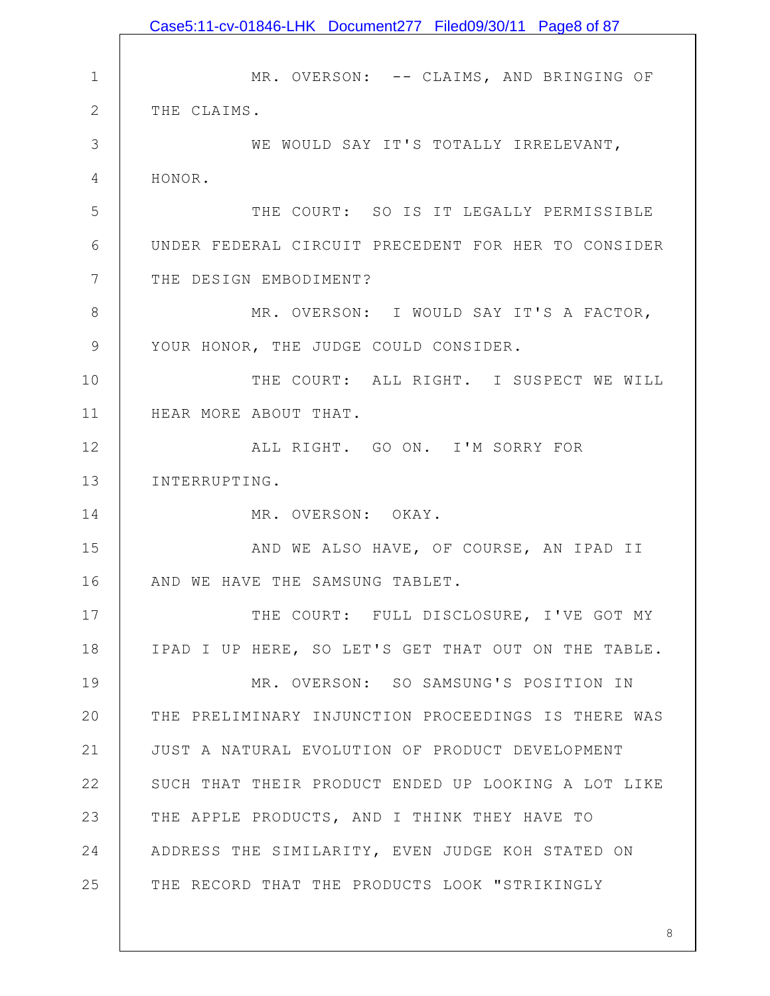1 2 3 4 5 6 7 8 9 10 11 12 13 14 15 16 17 18 19 20 21 22 23 24 25 MR. OVERSON: -- CLAIMS, AND BRINGING OF THE CLAIMS. WE WOULD SAY IT'S TOTALLY IRRELEVANT, HONOR. THE COURT: SO IS IT LEGALLY PERMISSIBLE UNDER FEDERAL CIRCUIT PRECEDENT FOR HER TO CONSIDER THE DESIGN EMBODIMENT? MR. OVERSON: I WOULD SAY IT'S A FACTOR, YOUR HONOR, THE JUDGE COULD CONSIDER. THE COURT: ALL RIGHT. I SUSPECT WE WILL HEAR MORE ABOUT THAT. ALL RIGHT. GO ON. I'M SORRY FOR INTERRUPTING. MR. OVERSON: OKAY. AND WE ALSO HAVE, OF COURSE, AN IPAD II AND WE HAVE THE SAMSUNG TABLET. THE COURT: FULL DISCLOSURE, I'VE GOT MY IPAD I UP HERE, SO LET'S GET THAT OUT ON THE TABLE. MR. OVERSON: SO SAMSUNG'S POSITION IN THE PRELIMINARY INJUNCTION PROCEEDINGS IS THERE WAS JUST A NATURAL EVOLUTION OF PRODUCT DEVELOPMENT SUCH THAT THEIR PRODUCT ENDED UP LOOKING A LOT LIKE THE APPLE PRODUCTS, AND I THINK THEY HAVE TO ADDRESS THE SIMILARITY, EVEN JUDGE KOH STATED ON THE RECORD THAT THE PRODUCTS LOOK "STRIKINGLY Case5:11-cv-01846-LHK Document277 Filed09/30/11 Page8 of 87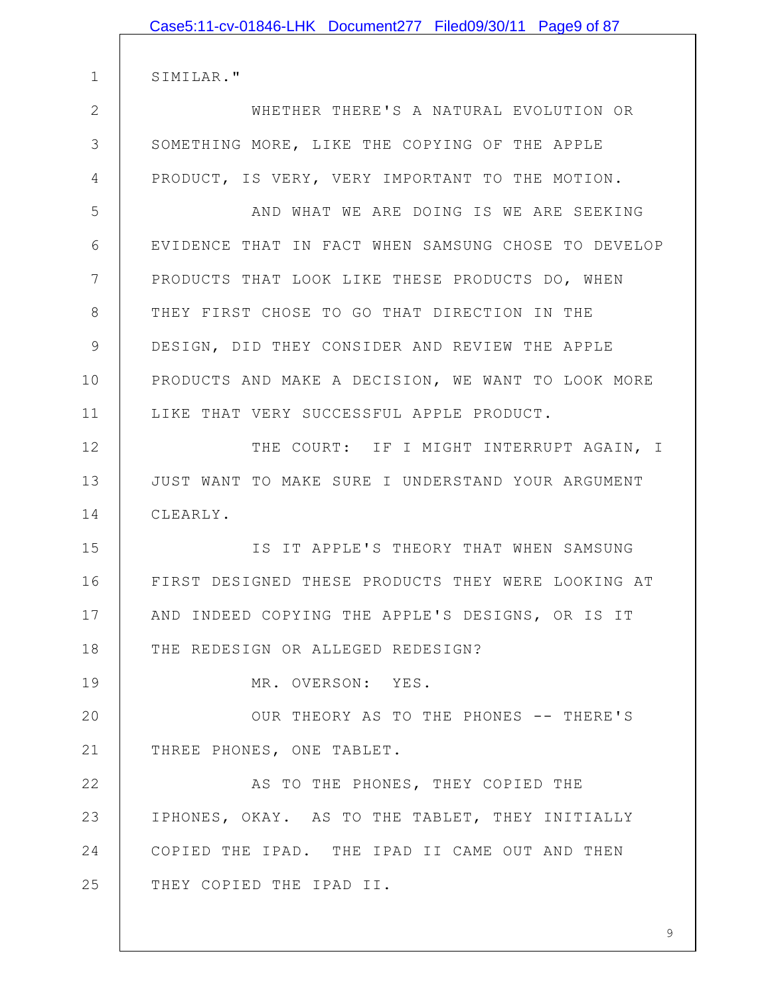|              | Case5:11-cv-01846-LHK Document277 Filed09/30/11 Page9 of 87 |
|--------------|-------------------------------------------------------------|
|              |                                                             |
| $\mathbf 1$  | SIMILAR."                                                   |
| $\mathbf{2}$ | WHETHER THERE'S A NATURAL EVOLUTION OR                      |
| 3            | SOMETHING MORE, LIKE THE COPYING OF THE APPLE               |
| 4            | PRODUCT, IS VERY, VERY IMPORTANT TO THE MOTION.             |
| 5            | AND WHAT WE ARE DOING IS WE ARE SEEKING                     |
| 6            | EVIDENCE THAT IN FACT WHEN SAMSUNG CHOSE TO DEVELOP         |
| 7            | PRODUCTS THAT LOOK LIKE THESE PRODUCTS DO, WHEN             |
| 8            | THEY FIRST CHOSE TO GO THAT DIRECTION IN THE                |
| 9            | DESIGN, DID THEY CONSIDER AND REVIEW THE APPLE              |
| 10           | PRODUCTS AND MAKE A DECISION, WE WANT TO LOOK MORE          |
| 11           | LIKE THAT VERY SUCCESSFUL APPLE PRODUCT.                    |
| 12           | THE COURT: IF I MIGHT INTERRUPT AGAIN, I                    |
| 13           | JUST WANT TO MAKE SURE I UNDERSTAND YOUR ARGUMENT           |
| 14           | CLEARLY.                                                    |
| 15           | IS IT APPLE'S THEORY THAT WHEN SAMSUNG                      |
| 16           | FIRST DESIGNED THESE PRODUCTS THEY WERE LOOKING AT          |
| 17           | AND INDEED COPYING THE APPLE'S DESIGNS, OR IS IT            |
| 18           | THE REDESIGN OR ALLEGED REDESIGN?                           |
| 19           | MR. OVERSON: YES.                                           |
| 20           | OUR THEORY AS TO THE PHONES -- THERE'S                      |
| 21           | THREE PHONES, ONE TABLET.                                   |
| 22           | AS TO THE PHONES, THEY COPIED THE                           |
| 23           | IPHONES, OKAY. AS TO THE TABLET, THEY INITIALLY             |
| 24           | COPIED THE IPAD. THE IPAD II CAME OUT AND THEN              |
| 25           | THEY COPIED THE IPAD II.                                    |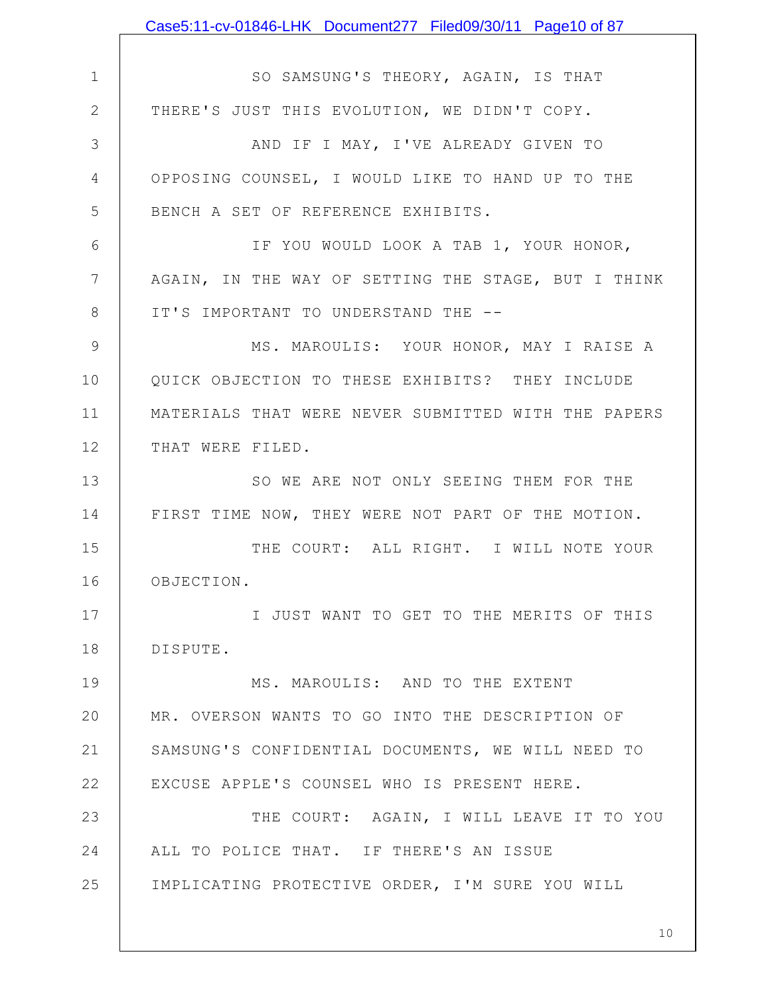1 2 3 4 5 6 7 8 9 10 11 12 13 14 15 16 17 18 19 20 21 22 23 24 25 SO SAMSUNG'S THEORY, AGAIN, IS THAT THERE'S JUST THIS EVOLUTION, WE DIDN'T COPY. AND IF I MAY, I'VE ALREADY GIVEN TO OPPOSING COUNSEL, I WOULD LIKE TO HAND UP TO THE BENCH A SET OF REFERENCE EXHIBITS. IF YOU WOULD LOOK A TAB 1, YOUR HONOR, AGAIN, IN THE WAY OF SETTING THE STAGE, BUT I THINK IT'S IMPORTANT TO UNDERSTAND THE -- MS. MAROULIS: YOUR HONOR, MAY I RAISE A QUICK OBJECTION TO THESE EXHIBITS? THEY INCLUDE MATERIALS THAT WERE NEVER SUBMITTED WITH THE PAPERS THAT WERE FILED. SO WE ARE NOT ONLY SEEING THEM FOR THE FIRST TIME NOW, THEY WERE NOT PART OF THE MOTION. THE COURT: ALL RIGHT. I WILL NOTE YOUR OBJECTION. I JUST WANT TO GET TO THE MERITS OF THIS DISPUTE. MS. MAROULIS: AND TO THE EXTENT MR. OVERSON WANTS TO GO INTO THE DESCRIPTION OF SAMSUNG'S CONFIDENTIAL DOCUMENTS, WE WILL NEED TO EXCUSE APPLE'S COUNSEL WHO IS PRESENT HERE. THE COURT: AGAIN, I WILL LEAVE IT TO YOU ALL TO POLICE THAT. IF THERE'S AN ISSUE IMPLICATING PROTECTIVE ORDER, I'M SURE YOU WILL Case5:11-cv-01846-LHK Document277 Filed09/30/11 Page10 of 87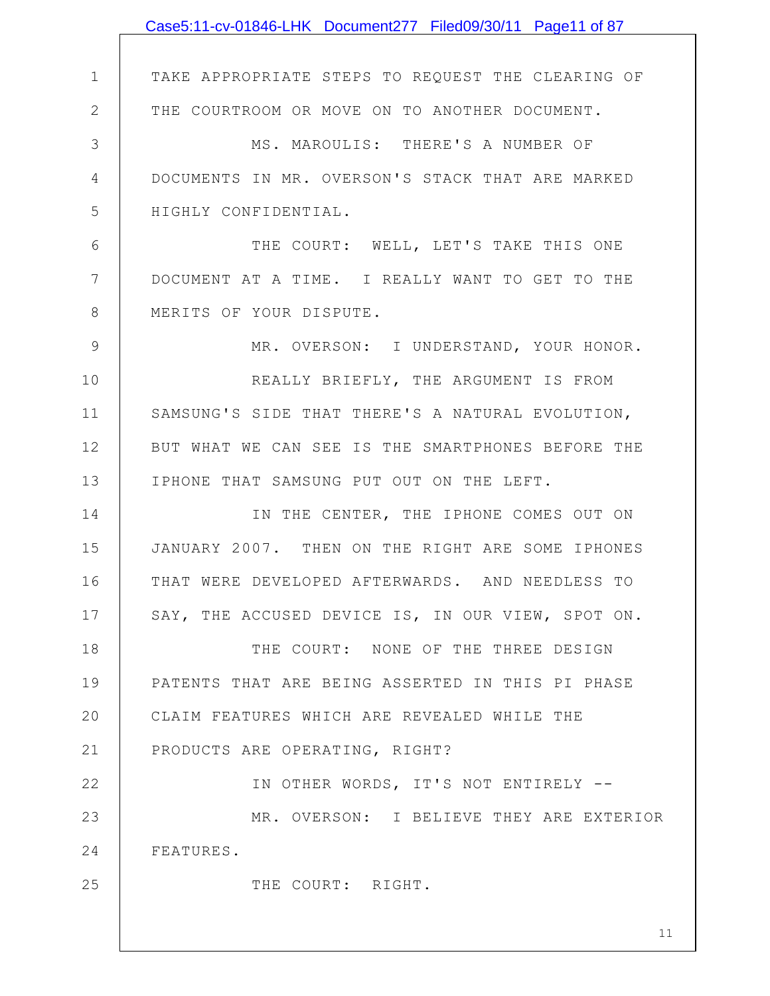|                | Case5:11-cv-01846-LHK Document277 Filed09/30/11 Page11 of 87 |
|----------------|--------------------------------------------------------------|
|                |                                                              |
| $\mathbf 1$    | TAKE APPROPRIATE STEPS TO REQUEST THE CLEARING OF            |
| $\mathbf{2}$   | THE COURTROOM OR MOVE ON TO ANOTHER DOCUMENT.                |
| 3              | MS. MAROULIS: THERE'S A NUMBER OF                            |
| $\overline{4}$ | DOCUMENTS IN MR. OVERSON'S STACK THAT ARE MARKED             |
| 5              | HIGHLY CONFIDENTIAL.                                         |
| 6              | THE COURT: WELL, LET'S TAKE THIS ONE                         |
| 7              | DOCUMENT AT A TIME. I REALLY WANT TO GET TO THE              |
| 8              | MERITS OF YOUR DISPUTE.                                      |
| $\mathcal{G}$  | MR. OVERSON: I UNDERSTAND, YOUR HONOR.                       |
| 10             | REALLY BRIEFLY, THE ARGUMENT IS FROM                         |
| 11             | SAMSUNG'S SIDE THAT THERE'S A NATURAL EVOLUTION,             |
| 12             | BUT WHAT WE CAN SEE IS THE SMARTPHONES BEFORE THE            |
| 13             | IPHONE THAT SAMSUNG PUT OUT ON THE LEFT.                     |
| 14             | IN THE CENTER, THE IPHONE COMES OUT ON                       |
| 15             | JANUARY 2007. THEN ON THE RIGHT ARE SOME IPHONES             |
| 16             | THAT WERE DEVELOPED AFTERWARDS. AND NEEDLESS TO              |
| 17             | SAY, THE ACCUSED DEVICE IS, IN OUR VIEW, SPOT ON.            |
| 18             | THE COURT: NONE OF THE THREE DESIGN                          |
| 19             | PATENTS THAT ARE BEING ASSERTED IN THIS PI PHASE             |
| 20             | CLAIM FEATURES WHICH ARE REVEALED WHILE THE                  |
| 21             | PRODUCTS ARE OPERATING, RIGHT?                               |
| 22             | IN OTHER WORDS, IT'S NOT ENTIRELY --                         |
| 23             | MR. OVERSON: I BELIEVE THEY ARE EXTERIOR                     |
| 24             | FEATURES.                                                    |
| 25             | THE COURT: RIGHT.                                            |
|                |                                                              |
|                | 11                                                           |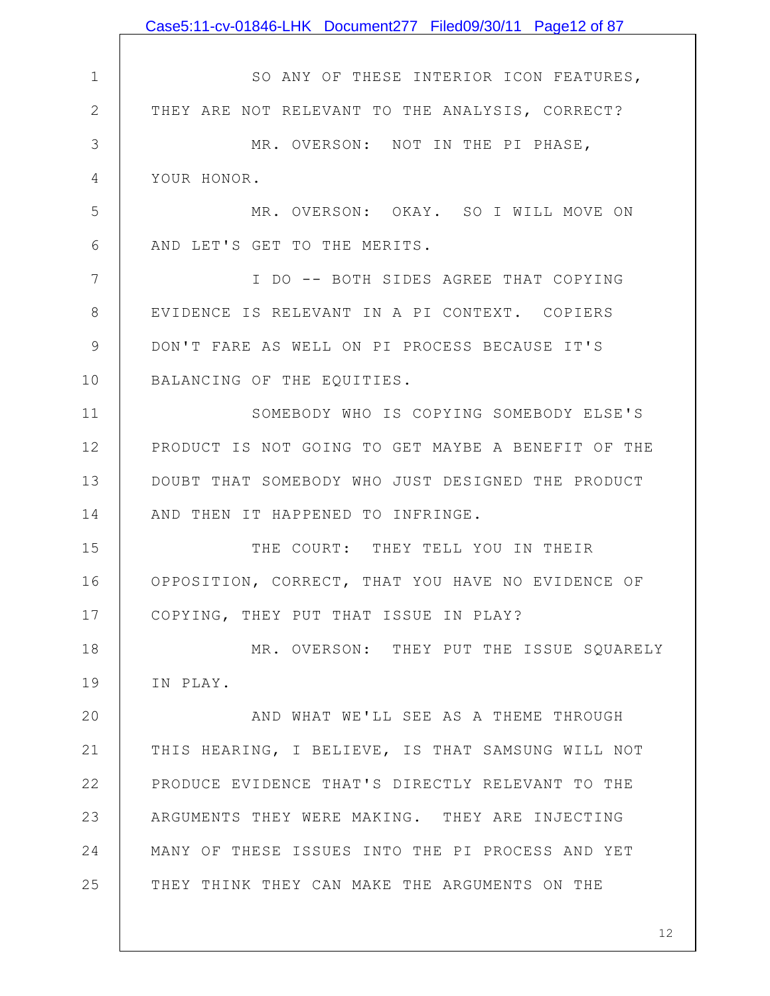|                | Case5:11-cv-01846-LHK Document277 Filed09/30/11 Page12 of 87 |
|----------------|--------------------------------------------------------------|
|                |                                                              |
| $\mathbf 1$    | SO ANY OF THESE INTERIOR ICON FEATURES,                      |
| $\mathbf{2}$   | THEY ARE NOT RELEVANT TO THE ANALYSIS, CORRECT?              |
| 3              | MR. OVERSON: NOT IN THE PI PHASE,                            |
| $\overline{4}$ | YOUR HONOR.                                                  |
| 5              | MR. OVERSON: OKAY. SO I WILL MOVE ON                         |
| 6              | AND LET'S GET TO THE MERITS.                                 |
| 7              | I DO -- BOTH SIDES AGREE THAT COPYING                        |
| 8              | EVIDENCE IS RELEVANT IN A PI CONTEXT. COPIERS                |
| $\mathsf 9$    | DON'T FARE AS WELL ON PI PROCESS BECAUSE IT'S                |
| 10             | BALANCING OF THE EQUITIES.                                   |
| 11             | SOMEBODY WHO IS COPYING SOMEBODY ELSE'S                      |
| 12             | PRODUCT IS NOT GOING TO GET MAYBE A BENEFIT OF THE           |
| 13             | DOUBT THAT SOMEBODY WHO JUST DESIGNED THE PRODUCT            |
| 14             | AND THEN IT HAPPENED TO INFRINGE.                            |
| 15             | THE COURT: THEY TELL YOU IN THEIR                            |
| 16             | OPPOSITION, CORRECT, THAT YOU HAVE NO EVIDENCE OF            |
| 17             | COPYING, THEY PUT THAT ISSUE IN PLAY?                        |
| 18             | MR. OVERSON: THEY PUT THE ISSUE SQUARELY                     |
| 19             | IN PLAY.                                                     |
| 20             | AND WHAT WE'LL SEE AS A THEME THROUGH                        |
| 21             | THIS HEARING, I BELIEVE, IS THAT SAMSUNG WILL NOT            |
| 22             | PRODUCE EVIDENCE THAT'S DIRECTLY RELEVANT TO THE             |
| 23             | ARGUMENTS THEY WERE MAKING. THEY ARE INJECTING               |
| 24             | MANY OF THESE ISSUES INTO THE PI PROCESS AND YET             |
| 25             | THEY THINK THEY CAN MAKE THE ARGUMENTS ON THE                |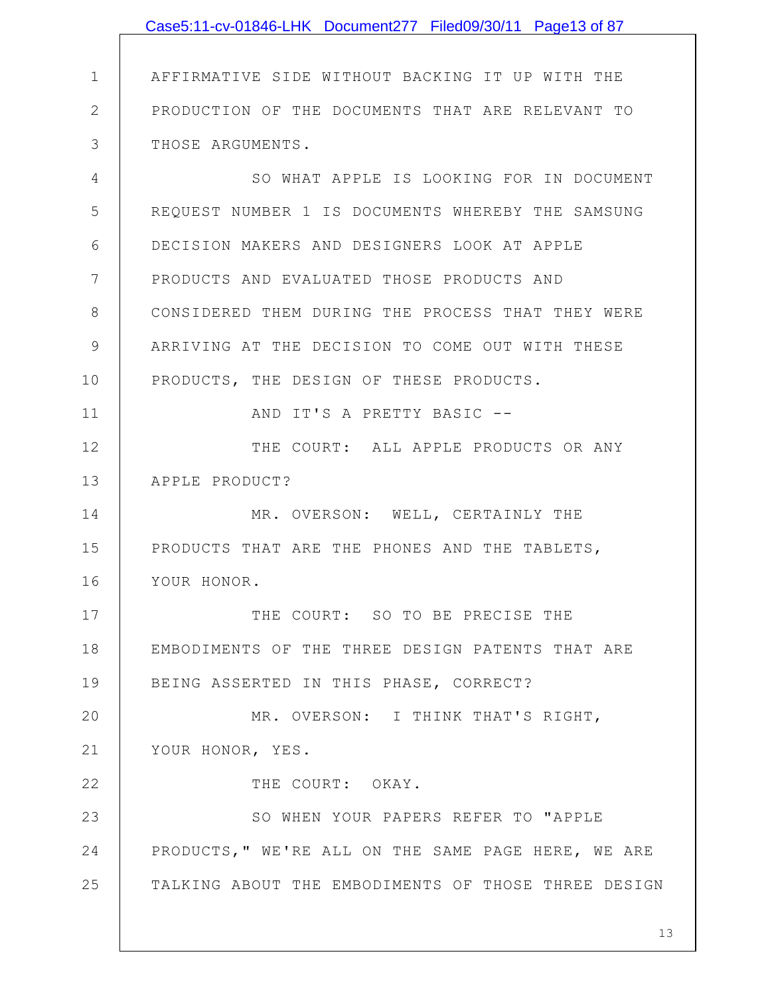|               | Case5:11-cv-01846-LHK Document277 Filed09/30/11 Page13 of 87 |
|---------------|--------------------------------------------------------------|
|               |                                                              |
| $\mathbf 1$   | AFFIRMATIVE SIDE WITHOUT BACKING IT UP WITH THE              |
| $\mathbf{2}$  | PRODUCTION OF THE DOCUMENTS THAT ARE RELEVANT TO             |
| 3             | THOSE ARGUMENTS.                                             |
| 4             | SO WHAT APPLE IS LOOKING FOR IN DOCUMENT                     |
| 5             | REQUEST NUMBER 1 IS DOCUMENTS WHEREBY THE SAMSUNG            |
| 6             | DECISION MAKERS AND DESIGNERS LOOK AT APPLE                  |
| 7             | PRODUCTS AND EVALUATED THOSE PRODUCTS AND                    |
| 8             | CONSIDERED THEM DURING THE PROCESS THAT THEY WERE            |
| $\mathcal{G}$ | ARRIVING AT THE DECISION TO COME OUT WITH THESE              |
| 10            | PRODUCTS, THE DESIGN OF THESE PRODUCTS.                      |
| 11            | AND IT'S A PRETTY BASIC --                                   |
| 12            | THE COURT: ALL APPLE PRODUCTS OR ANY                         |
| 13            | APPLE PRODUCT?                                               |
| 14            | MR. OVERSON: WELL, CERTAINLY THE                             |
| 15            | PRODUCTS THAT ARE THE PHONES AND THE TABLETS,                |
| 16            | YOUR HONOR.                                                  |
| 17            | THE COURT: SO TO BE PRECISE THE                              |
| 18            | EMBODIMENTS OF THE THREE DESIGN PATENTS THAT ARE             |
| 19            | BEING ASSERTED IN THIS PHASE, CORRECT?                       |
| 20            | MR. OVERSON: I THINK THAT'S RIGHT,                           |
| 21            | YOUR HONOR, YES.                                             |
| 22            | THE COURT: OKAY.                                             |
| 23            | SO WHEN YOUR PAPERS REFER TO "APPLE                          |
| 24            | PRODUCTS, " WE'RE ALL ON THE SAME PAGE HERE, WE ARE          |
| 25            | TALKING ABOUT THE EMBODIMENTS OF THOSE THREE DESIGN          |
|               |                                                              |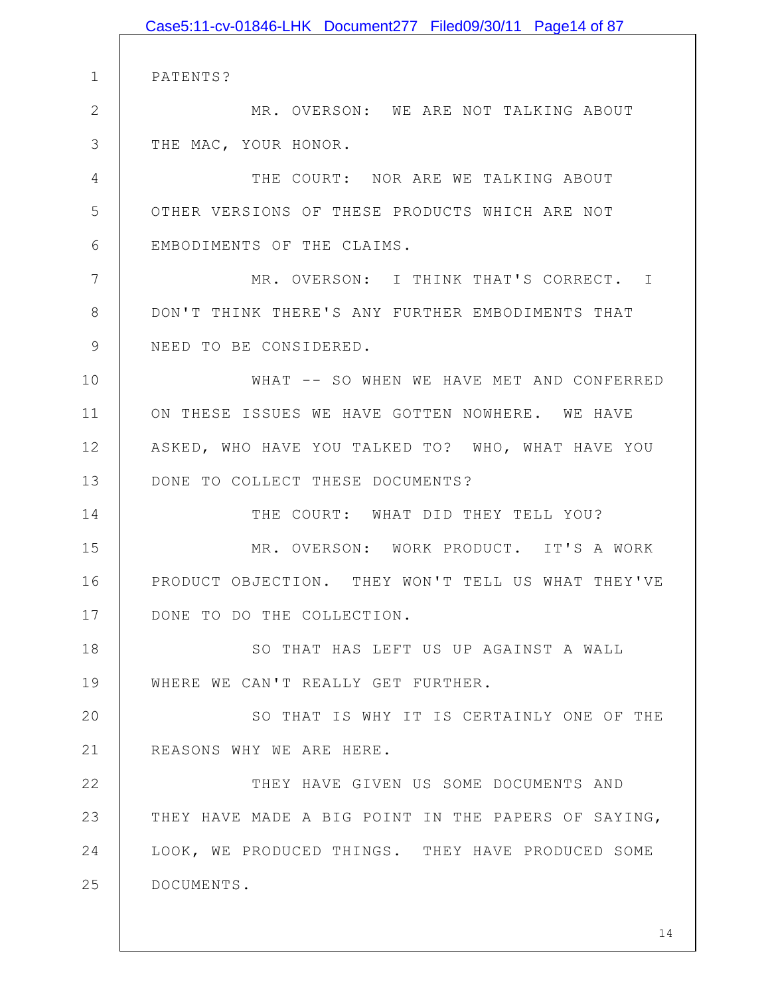|              | Case5:11-cv-01846-LHK Document277 Filed09/30/11 Page14 of 87 |
|--------------|--------------------------------------------------------------|
|              |                                                              |
| $\mathbf 1$  | PATENTS?                                                     |
| $\mathbf{2}$ | MR. OVERSON: WE ARE NOT TALKING ABOUT                        |
| 3            | THE MAC, YOUR HONOR.                                         |
| 4            | THE COURT: NOR ARE WE TALKING ABOUT                          |
| 5            | OTHER VERSIONS OF THESE PRODUCTS WHICH ARE NOT               |
| 6            | EMBODIMENTS OF THE CLAIMS.                                   |
| 7            | MR. OVERSON: I THINK THAT'S CORRECT. I                       |
| 8            | DON'T THINK THERE'S ANY FURTHER EMBODIMENTS THAT             |
| 9            | NEED TO BE CONSIDERED.                                       |
| 10           | WHAT -- SO WHEN WE HAVE MET AND CONFERRED                    |
| 11           | ON THESE ISSUES WE HAVE GOTTEN NOWHERE. WE HAVE              |
| 12           | ASKED, WHO HAVE YOU TALKED TO? WHO, WHAT HAVE YOU            |
| 13           | DONE TO COLLECT THESE DOCUMENTS?                             |
| 14           | THE COURT: WHAT DID THEY TELL YOU?                           |
| 15           | MR. OVERSON: WORK PRODUCT. IT'S A WORK                       |
| 16           | PRODUCT OBJECTION. THEY WON'T TELL US WHAT THEY'VE           |
| 17           | DONE TO DO THE COLLECTION.                                   |
| 18           | SO THAT HAS LEFT US UP AGAINST A WALL                        |
| 19           | WHERE WE CAN'T REALLY GET FURTHER.                           |
| 20           | SO THAT IS WHY IT IS CERTAINLY ONE OF THE                    |
| 21           | REASONS WHY WE ARE HERE.                                     |
| 22           | THEY HAVE GIVEN US SOME DOCUMENTS AND                        |
| 23           | THEY HAVE MADE A BIG POINT IN THE PAPERS OF SAYING,          |
| 24           | LOOK, WE PRODUCED THINGS. THEY HAVE PRODUCED SOME            |
| 25           | DOCUMENTS.                                                   |
|              |                                                              |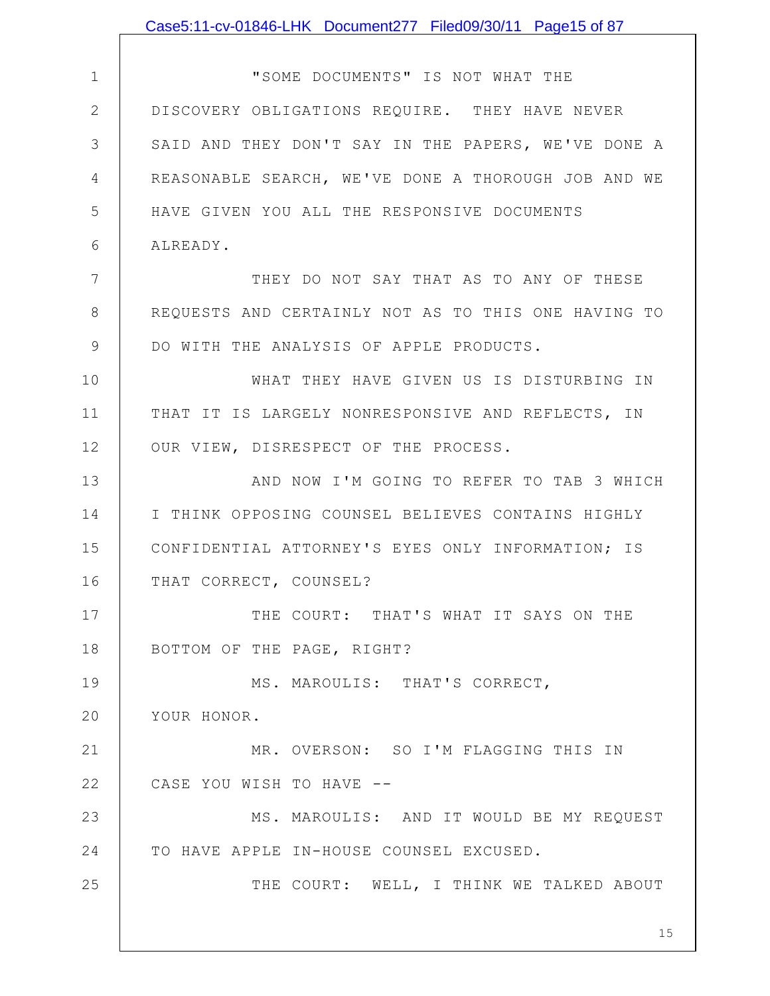|              | Case5:11-cv-01846-LHK Document277 Filed09/30/11 Page15 of 87 |
|--------------|--------------------------------------------------------------|
|              |                                                              |
| $\mathbf{1}$ | "SOME DOCUMENTS" IS NOT WHAT THE                             |
| $\mathbf{2}$ | DISCOVERY OBLIGATIONS REQUIRE. THEY HAVE NEVER               |
| 3            | SAID AND THEY DON'T SAY IN THE PAPERS, WE'VE DONE A          |
| 4            | REASONABLE SEARCH, WE'VE DONE A THOROUGH JOB AND WE          |
| 5            | HAVE GIVEN YOU ALL THE RESPONSIVE DOCUMENTS                  |
| 6            | ALREADY.                                                     |
| 7            | THEY DO NOT SAY THAT AS TO ANY OF THESE                      |
| 8            | REQUESTS AND CERTAINLY NOT AS TO THIS ONE HAVING TO          |
| 9            | DO WITH THE ANALYSIS OF APPLE PRODUCTS.                      |
| 10           | WHAT THEY HAVE GIVEN US IS DISTURBING IN                     |
| 11           | THAT IT IS LARGELY NONRESPONSIVE AND REFLECTS, IN            |
| 12           | OUR VIEW, DISRESPECT OF THE PROCESS.                         |
| 13           | AND NOW I'M GOING TO REFER TO TAB 3 WHICH                    |
| 14           | I THINK OPPOSING COUNSEL BELIEVES CONTAINS HIGHLY            |
| 15           | CONFIDENTIAL ATTORNEY'S EYES ONLY INFORMATION; IS            |
| 16           | THAT CORRECT, COUNSEL?                                       |
| 17           | THE COURT: THAT'S WHAT IT SAYS ON THE                        |
| 18           | BOTTOM OF THE PAGE, RIGHT?                                   |
| 19           | MS. MAROULIS: THAT'S CORRECT,                                |
| 20           | YOUR HONOR.                                                  |
| 21           | MR. OVERSON: SO I'M FLAGGING THIS IN                         |
| 22           | CASE YOU WISH TO HAVE --                                     |
| 23           | MS. MAROULIS: AND IT WOULD BE MY REQUEST                     |
| 24           | TO HAVE APPLE IN-HOUSE COUNSEL EXCUSED.                      |
| 25           | THE COURT: WELL, I THINK WE TALKED ABOUT                     |
|              | 15                                                           |
|              |                                                              |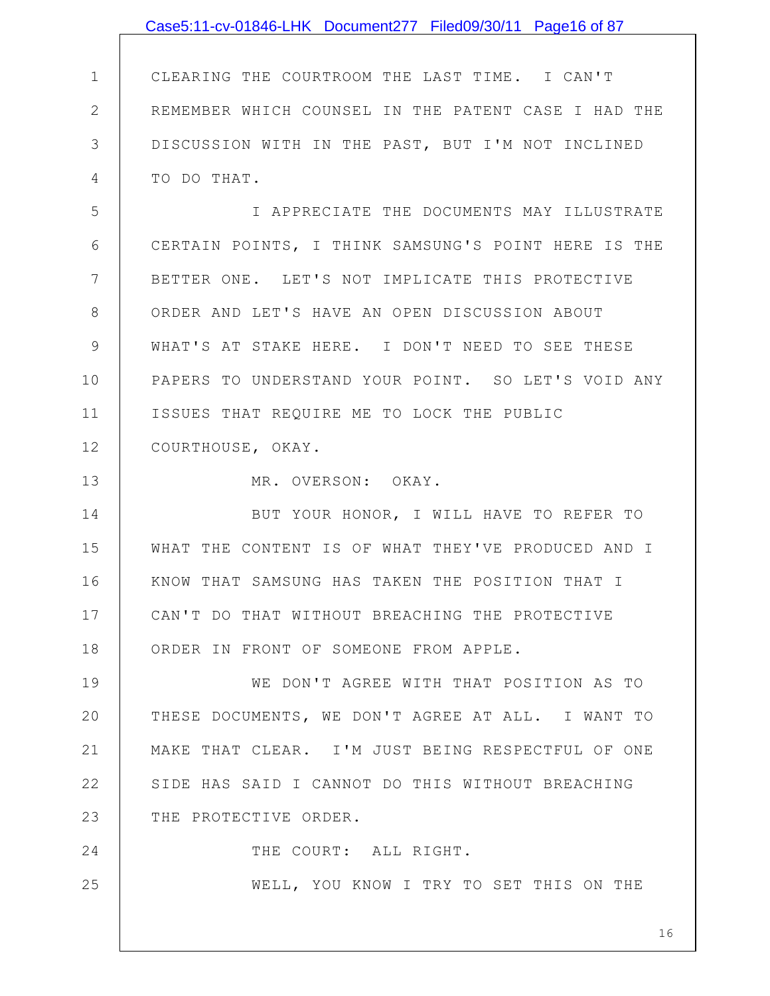|                | Case5:11-cv-01846-LHK Document277 Filed09/30/11 Page16 of 87 |
|----------------|--------------------------------------------------------------|
|                |                                                              |
| $\mathbf 1$    | CLEARING THE COURTROOM THE LAST TIME. I CAN'T                |
| $\overline{2}$ | REMEMBER WHICH COUNSEL IN THE PATENT CASE I HAD THE          |
| 3              | DISCUSSION WITH IN THE PAST, BUT I'M NOT INCLINED            |
| 4              | TO DO THAT.                                                  |
| 5              | I APPRECIATE THE DOCUMENTS MAY ILLUSTRATE                    |
| 6              | CERTAIN POINTS, I THINK SAMSUNG'S POINT HERE IS THE          |
| $7\phantom{.}$ | BETTER ONE. LET'S NOT IMPLICATE THIS PROTECTIVE              |
| 8              | ORDER AND LET'S HAVE AN OPEN DISCUSSION ABOUT                |
| 9              | WHAT'S AT STAKE HERE. I DON'T NEED TO SEE THESE              |
| 10             | PAPERS TO UNDERSTAND YOUR POINT. SO LET'S VOID ANY           |
| 11             | ISSUES THAT REQUIRE ME TO LOCK THE PUBLIC                    |
| 12             | COURTHOUSE, OKAY.                                            |
| 13             | MR. OVERSON: OKAY.                                           |
| 14             | BUT YOUR HONOR, I WILL HAVE TO REFER TO                      |
| 15             | WHAT THE CONTENT IS OF WHAT THEY'VE PRODUCED AND I           |
| 16             | KNOW THAT SAMSUNG HAS TAKEN THE POSITION THAT I              |
| 17             | CAN'T DO THAT WITHOUT BREACHING THE PROTECTIVE               |
| 18             | ORDER IN FRONT OF SOMEONE FROM APPLE.                        |
| 19             | WE DON'T AGREE WITH THAT POSITION AS TO                      |
| 20             | THESE DOCUMENTS, WE DON'T AGREE AT ALL. I WANT TO            |
| 21             | MAKE THAT CLEAR. I'M JUST BEING RESPECTFUL OF ONE            |
| 22             | SIDE HAS SAID I CANNOT DO THIS WITHOUT BREACHING             |
| 23             | THE PROTECTIVE ORDER.                                        |
| 24             | THE COURT: ALL RIGHT.                                        |
| 25             | WELL, YOU KNOW I TRY TO SET THIS ON THE                      |
|                |                                                              |
|                | 16                                                           |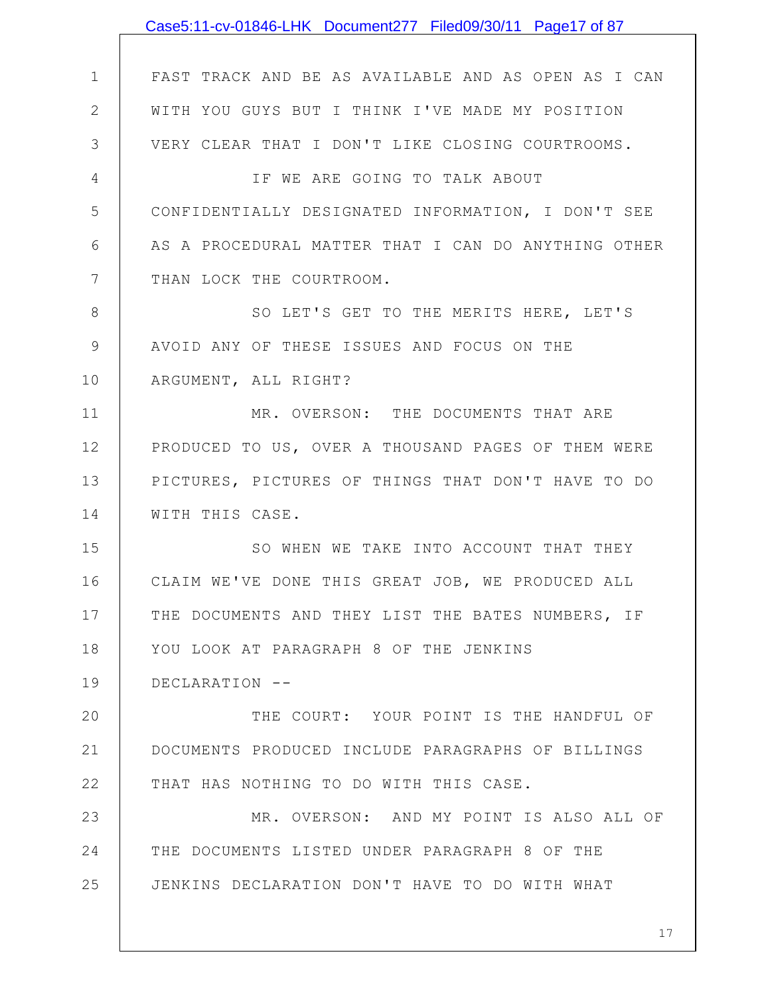|              | Case5:11-cv-01846-LHK Document277 Filed09/30/11 Page17 of 87 |
|--------------|--------------------------------------------------------------|
|              |                                                              |
| $\mathbf 1$  | FAST TRACK AND BE AS AVAILABLE AND AS OPEN AS I CAN          |
| $\mathbf{2}$ | WITH YOU GUYS BUT I THINK I'VE MADE MY POSITION              |
| 3            | VERY CLEAR THAT I DON'T LIKE CLOSING COURTROOMS.             |
| 4            | IF WE ARE GOING TO TALK ABOUT                                |
| 5            | CONFIDENTIALLY DESIGNATED INFORMATION, I DON'T SEE           |
| 6            | AS A PROCEDURAL MATTER THAT I CAN DO ANYTHING OTHER          |
| 7            | THAN LOCK THE COURTROOM.                                     |
| 8            | SO LET'S GET TO THE MERITS HERE, LET'S                       |
| 9            | AVOID ANY OF THESE ISSUES AND FOCUS ON THE                   |
| 10           | ARGUMENT, ALL RIGHT?                                         |
| 11           | MR. OVERSON: THE DOCUMENTS THAT ARE                          |
| 12           | PRODUCED TO US, OVER A THOUSAND PAGES OF THEM WERE           |
| 13           | PICTURES, PICTURES OF THINGS THAT DON'T HAVE TO DO           |
| 14           | WITH THIS CASE.                                              |
| 15           | SO WHEN WE TAKE INTO ACCOUNT THAT THEY                       |
| 16           | CLAIM WE'VE DONE THIS GREAT JOB, WE PRODUCED ALL             |
| 17           | THE DOCUMENTS AND THEY LIST THE BATES NUMBERS, IF            |
| 18           | YOU LOOK AT PARAGRAPH 8 OF THE JENKINS                       |
| 19           | DECLARATION --                                               |
| 20           | THE COURT: YOUR POINT IS THE HANDFUL OF                      |
| 21           | DOCUMENTS PRODUCED INCLUDE PARAGRAPHS OF BILLINGS            |
| 22           | THAT HAS NOTHING TO DO WITH THIS CASE.                       |
| 23           | MR. OVERSON: AND MY POINT IS ALSO ALL OF                     |
| 24           | THE DOCUMENTS LISTED UNDER PARAGRAPH 8 OF THE                |
| 25           | JENKINS DECLARATION DON'T HAVE TO DO WITH WHAT               |
|              |                                                              |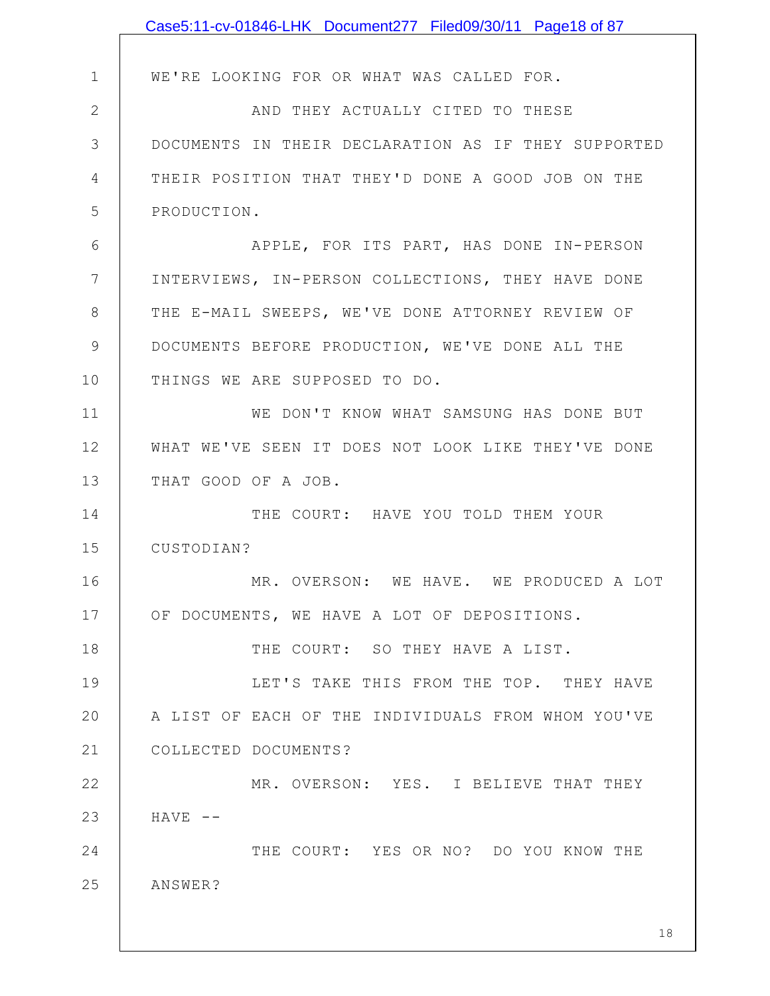|              | Case5:11-cv-01846-LHK Document277 Filed09/30/11 Page18 of 87 |
|--------------|--------------------------------------------------------------|
|              |                                                              |
| $\mathbf{1}$ | WE'RE LOOKING FOR OR WHAT WAS CALLED FOR.                    |
| $\mathbf{2}$ | AND THEY ACTUALLY CITED TO THESE                             |
| 3            | DOCUMENTS IN THEIR DECLARATION AS IF THEY SUPPORTED          |
| 4            | THEIR POSITION THAT THEY'D DONE A GOOD JOB ON THE            |
| 5            | PRODUCTION.                                                  |
| 6            | APPLE, FOR ITS PART, HAS DONE IN-PERSON                      |
| 7            | INTERVIEWS, IN-PERSON COLLECTIONS, THEY HAVE DONE            |
| 8            | THE E-MAIL SWEEPS, WE'VE DONE ATTORNEY REVIEW OF             |
| 9            | DOCUMENTS BEFORE PRODUCTION, WE'VE DONE ALL THE              |
| 10           | THINGS WE ARE SUPPOSED TO DO.                                |
| 11           | WE DON'T KNOW WHAT SAMSUNG HAS DONE BUT                      |
| 12           | WHAT WE'VE SEEN IT DOES NOT LOOK LIKE THEY'VE DONE           |
| 13           | THAT GOOD OF A JOB.                                          |
| 14           | THE COURT: HAVE YOU TOLD THEM YOUR                           |
| 15           | CUSTODIAN?                                                   |
| 16           | MR. OVERSON: WE HAVE. WE PRODUCED A LOT                      |
| 17           | OF DOCUMENTS, WE HAVE A LOT OF DEPOSITIONS.                  |
| 18           | THE COURT: SO THEY HAVE A LIST.                              |
| 19           | LET'S TAKE THIS FROM THE TOP. THEY HAVE                      |
| 20           | A LIST OF EACH OF THE INDIVIDUALS FROM WHOM YOU'VE           |
| 21           | COLLECTED DOCUMENTS?                                         |
| 22           | MR. OVERSON: YES. I BELIEVE THAT THEY                        |
| 23           | $HAVE$ --                                                    |
| 24           | THE COURT: YES OR NO? DO YOU KNOW THE                        |
| 25           | ANSWER?                                                      |
|              |                                                              |
|              | 18                                                           |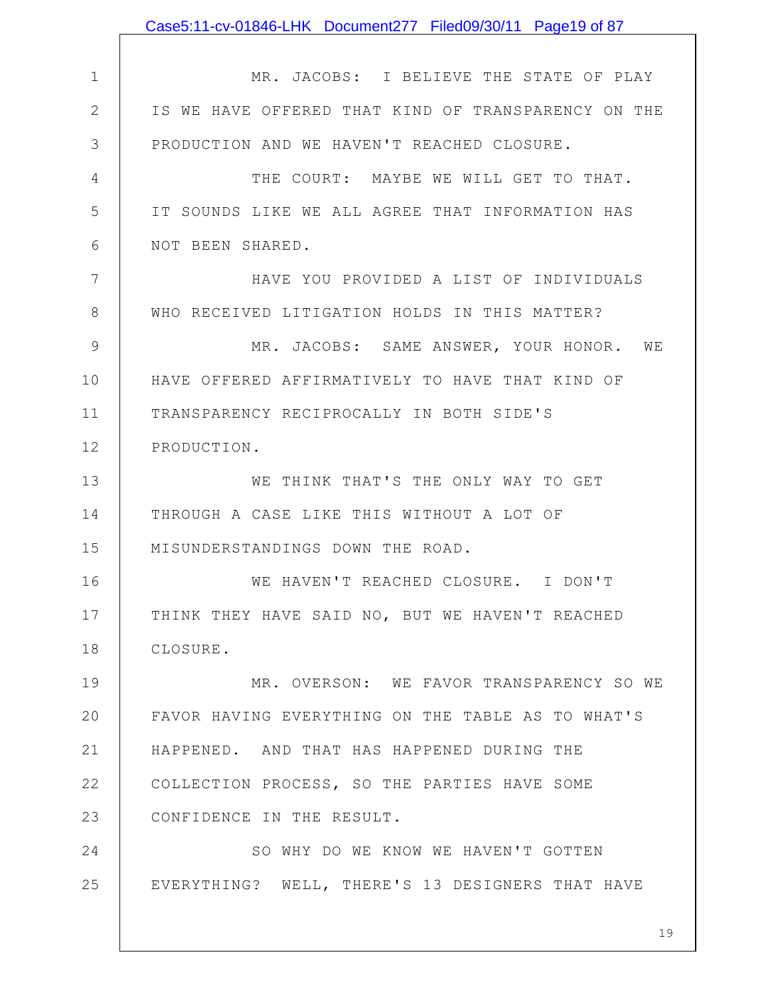|                | Case5:11-cv-01846-LHK Document277 Filed09/30/11 Page19 of 87 |
|----------------|--------------------------------------------------------------|
|                |                                                              |
| $\mathbf 1$    | MR. JACOBS: I BELIEVE THE STATE OF PLAY                      |
| $\mathbf{2}$   | IS WE HAVE OFFERED THAT KIND OF TRANSPARENCY ON THE          |
| 3              | PRODUCTION AND WE HAVEN'T REACHED CLOSURE.                   |
| $\overline{4}$ | THE COURT: MAYBE WE WILL GET TO THAT.                        |
| 5              | IT SOUNDS LIKE WE ALL AGREE THAT INFORMATION HAS             |
| 6              | NOT BEEN SHARED.                                             |
| 7              | HAVE YOU PROVIDED A LIST OF INDIVIDUALS                      |
| $8\,$          | WHO RECEIVED LITIGATION HOLDS IN THIS MATTER?                |
| 9              | MR. JACOBS: SAME ANSWER, YOUR HONOR. WE                      |
| 10             | HAVE OFFERED AFFIRMATIVELY TO HAVE THAT KIND OF              |
| 11             | TRANSPARENCY RECIPROCALLY IN BOTH SIDE'S                     |
| 12             | PRODUCTION.                                                  |
| 13             | WE THINK THAT'S THE ONLY WAY TO GET                          |
| 14             | THROUGH A CASE LIKE THIS WITHOUT A LOT OF                    |
| 15             | MISUNDERSTANDINGS DOWN THE ROAD.                             |
| 16             | WE HAVEN'T REACHED CLOSURE. I DON'T                          |
| 17             | THINK THEY HAVE SAID NO, BUT WE HAVEN'T REACHED              |
| 18             | CLOSURE.                                                     |
| 19             | MR. OVERSON: WE FAVOR TRANSPARENCY SO WE                     |
| 20             | FAVOR HAVING EVERYTHING ON THE TABLE AS TO WHAT'S            |
| 21             | HAPPENED. AND THAT HAS HAPPENED DURING THE                   |
| 22             | COLLECTION PROCESS, SO THE PARTIES HAVE SOME                 |
| 23             | CONFIDENCE IN THE RESULT.                                    |
| 24             | SO WHY DO WE KNOW WE HAVEN'T GOTTEN                          |
| 25             | EVERYTHING? WELL, THERE'S 13 DESIGNERS THAT HAVE             |
|                |                                                              |
|                | 19                                                           |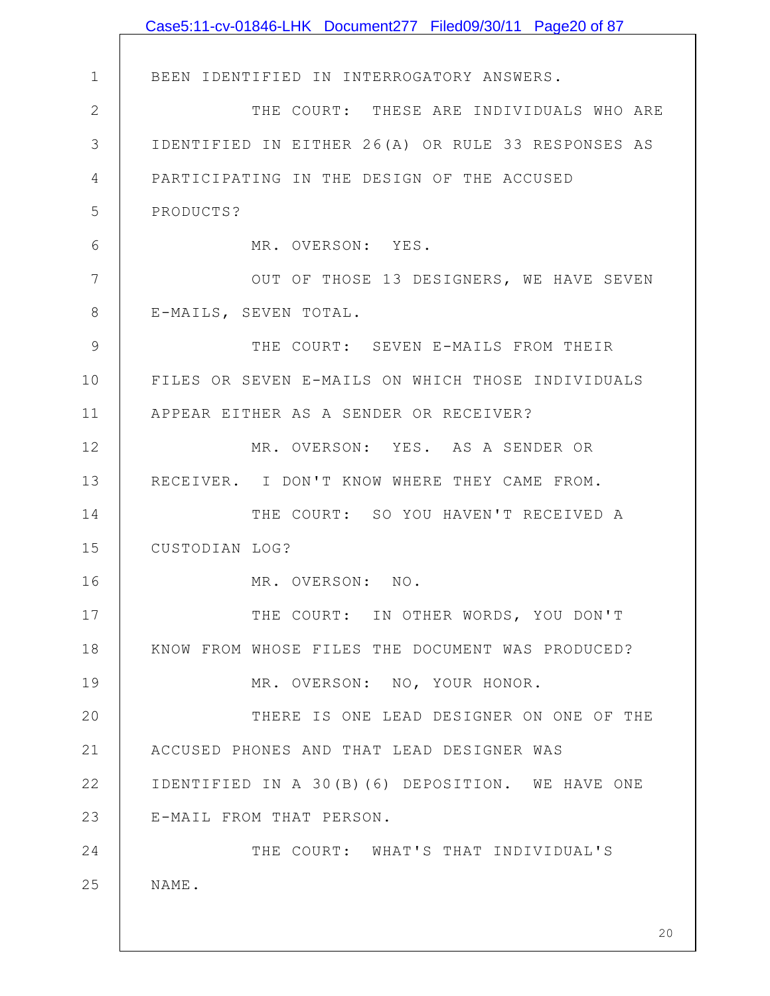|                | Case5:11-cv-01846-LHK Document277 Filed09/30/11 Page20 of 87 |
|----------------|--------------------------------------------------------------|
|                |                                                              |
| $\mathbf 1$    | BEEN IDENTIFIED IN INTERROGATORY ANSWERS.                    |
| $\mathbf{2}$   | THE COURT: THESE ARE INDIVIDUALS WHO ARE                     |
| 3              | IDENTIFIED IN EITHER 26(A) OR RULE 33 RESPONSES AS           |
| $\overline{4}$ | PARTICIPATING IN THE DESIGN OF THE ACCUSED                   |
| 5              | PRODUCTS?                                                    |
| 6              | MR. OVERSON: YES.                                            |
| 7              | OUT OF THOSE 13 DESIGNERS, WE HAVE SEVEN                     |
| 8              | E-MAILS, SEVEN TOTAL.                                        |
| 9              | THE COURT: SEVEN E-MAILS FROM THEIR                          |
| 10             | FILES OR SEVEN E-MAILS ON WHICH THOSE INDIVIDUALS            |
| 11             | APPEAR EITHER AS A SENDER OR RECEIVER?                       |
| 12             | MR. OVERSON: YES. AS A SENDER OR                             |
| 13             | RECEIVER. I DON'T KNOW WHERE THEY CAME FROM.                 |
| 14             | THE COURT: SO YOU HAVEN'T RECEIVED A                         |
| 15             | CUSTODIAN LOG?                                               |
| 16             | MR. OVERSON: NO.                                             |
| 17             | THE COURT: IN OTHER WORDS, YOU DON'T                         |
| 18             | KNOW FROM WHOSE FILES THE DOCUMENT WAS PRODUCED?             |
| 19             | MR. OVERSON: NO, YOUR HONOR.                                 |
| 20             | THERE IS ONE LEAD DESIGNER ON ONE OF THE                     |
| 21             | ACCUSED PHONES AND THAT LEAD DESIGNER WAS                    |
| 22             | IDENTIFIED IN A 30(B)(6) DEPOSITION. WE HAVE ONE             |
| 23             | E-MAIL FROM THAT PERSON.                                     |
| 24             | THE COURT: WHAT'S THAT INDIVIDUAL'S                          |
| 25             | NAME.                                                        |
|                |                                                              |
|                | 20                                                           |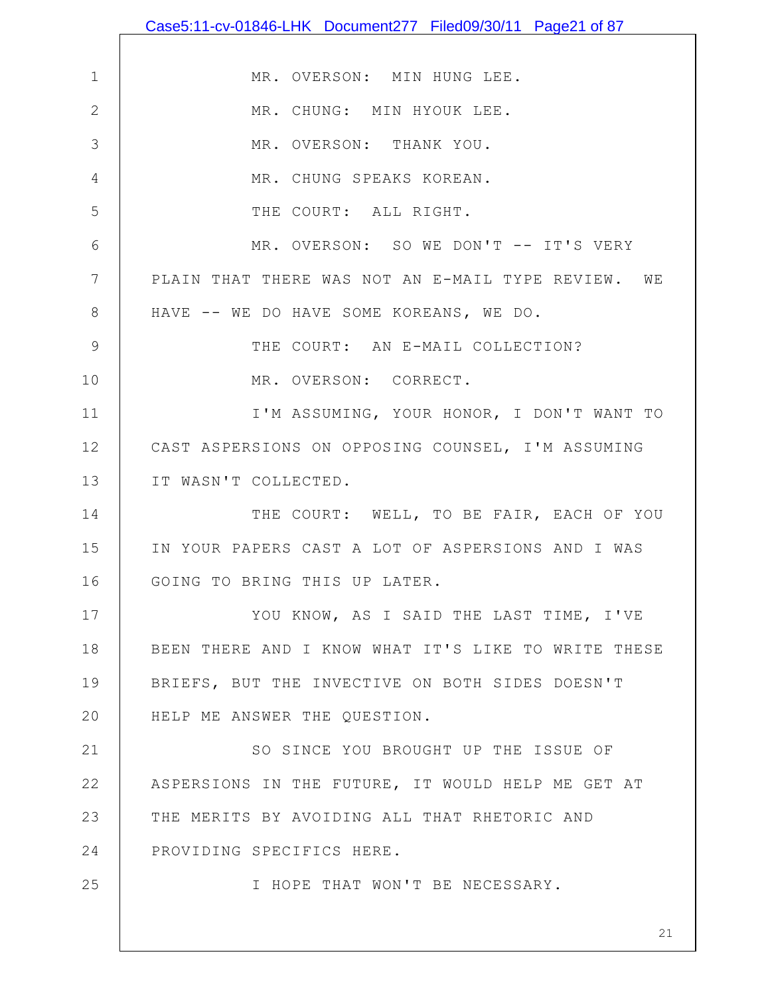|              | Case5:11-cv-01846-LHK Document277 Filed09/30/11 Page21 of 87 |
|--------------|--------------------------------------------------------------|
|              |                                                              |
| $\mathbf 1$  | MR. OVERSON: MIN HUNG LEE.                                   |
| $\mathbf{2}$ | MR. CHUNG: MIN HYOUK LEE.                                    |
| 3            | MR. OVERSON: THANK YOU.                                      |
| 4            | MR. CHUNG SPEAKS KOREAN.                                     |
| 5            | THE COURT: ALL RIGHT.                                        |
| 6            | MR. OVERSON: SO WE DON'T -- IT'S VERY                        |
| 7            | PLAIN THAT THERE WAS NOT AN E-MAIL TYPE REVIEW. WE           |
| 8            | HAVE -- WE DO HAVE SOME KOREANS, WE DO.                      |
| 9            | THE COURT: AN E-MAIL COLLECTION?                             |
| 10           | MR. OVERSON: CORRECT.                                        |
| 11           | I'M ASSUMING, YOUR HONOR, I DON'T WANT TO                    |
| 12           | CAST ASPERSIONS ON OPPOSING COUNSEL, I'M ASSUMING            |
| 13           | IT WASN'T COLLECTED.                                         |
| 14           | THE COURT: WELL, TO BE FAIR, EACH OF YOU                     |
| 15           | IN YOUR PAPERS CAST A LOT OF ASPERSIONS AND I WAS            |
| 16           | GOING TO BRING THIS UP LATER                                 |
| 17           | YOU KNOW, AS I SAID THE LAST TIME, I'VE                      |
| 18           | BEEN THERE AND I KNOW WHAT IT'S LIKE TO WRITE THESE          |
| 19           | BRIEFS, BUT THE INVECTIVE ON BOTH SIDES DOESN'T              |
| 20           | HELP ME ANSWER THE QUESTION.                                 |
| 21           | SO SINCE YOU BROUGHT UP THE ISSUE OF                         |
| 22           | ASPERSIONS IN THE FUTURE, IT WOULD HELP ME GET AT            |
| 23           | THE MERITS BY AVOIDING ALL THAT RHETORIC AND                 |
| 24           | PROVIDING SPECIFICS HERE.                                    |
| 25           | I HOPE THAT WON'T BE NECESSARY.                              |
|              |                                                              |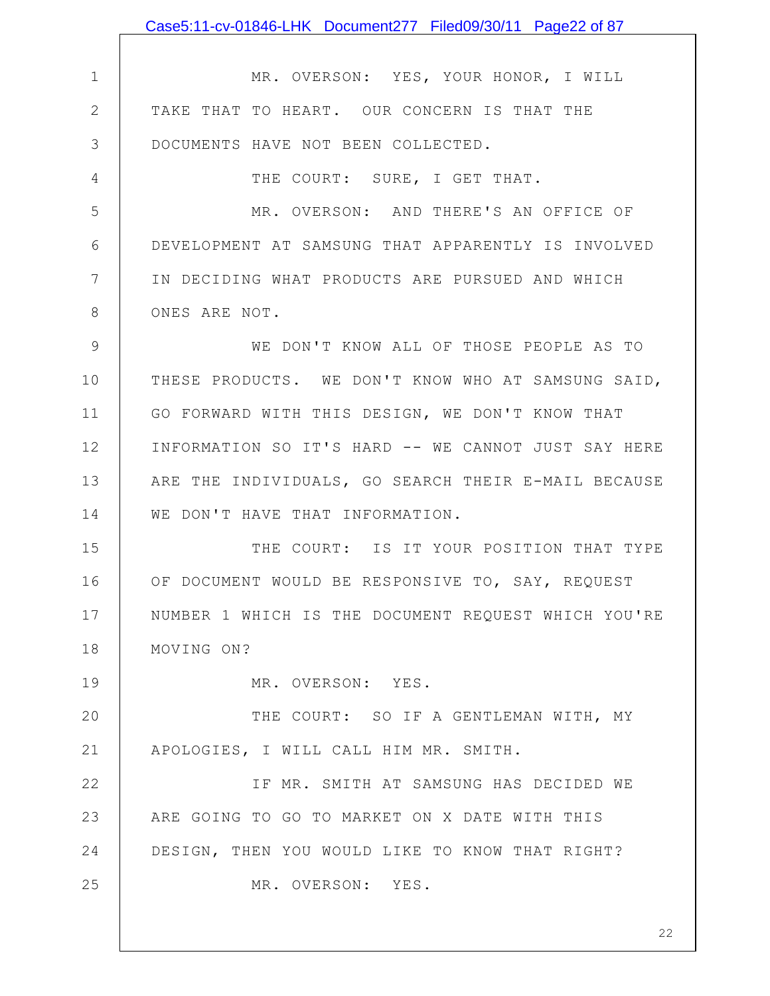|               | Case5:11-cv-01846-LHK Document277 Filed09/30/11 Page22 of 87 |
|---------------|--------------------------------------------------------------|
|               |                                                              |
| $\mathbf 1$   | MR. OVERSON: YES, YOUR HONOR, I WILL                         |
| $\mathbf{2}$  | TAKE THAT TO HEART. OUR CONCERN IS THAT THE                  |
| 3             | DOCUMENTS HAVE NOT BEEN COLLECTED.                           |
| 4             | THE COURT: SURE, I GET THAT.                                 |
| 5             | MR. OVERSON: AND THERE'S AN OFFICE OF                        |
| 6             | DEVELOPMENT AT SAMSUNG THAT APPARENTLY IS INVOLVED           |
| 7             | IN DECIDING WHAT PRODUCTS ARE PURSUED AND WHICH              |
| 8             | ONES ARE NOT.                                                |
| $\mathcal{G}$ | WE DON'T KNOW ALL OF THOSE PEOPLE AS TO                      |
| 10            | THESE PRODUCTS. WE DON'T KNOW WHO AT SAMSUNG SAID,           |
| 11            | GO FORWARD WITH THIS DESIGN, WE DON'T KNOW THAT              |
| 12            | INFORMATION SO IT'S HARD -- WE CANNOT JUST SAY HERE          |
| 13            | ARE THE INDIVIDUALS, GO SEARCH THEIR E-MAIL BECAUSE          |
| 14            | WE DON'T HAVE THAT INFORMATION.                              |
| 15            | THE COURT: IS IT YOUR POSITION THAT TYPE                     |
| 16            | OF DOCUMENT WOULD BE RESPONSIVE TO, SAY, REQUEST             |
| 17            | NUMBER 1 WHICH IS THE DOCUMENT REQUEST WHICH YOU'RE          |
| 18            | MOVING ON?                                                   |
| 19            | MR. OVERSON: YES.                                            |
| 20            | THE COURT: SO IF A GENTLEMAN WITH, MY                        |
| 21            | APOLOGIES, I WILL CALL HIM MR. SMITH.                        |
| 22            | IF MR. SMITH AT SAMSUNG HAS DECIDED WE                       |
| 23            | ARE GOING TO GO TO MARKET ON X DATE WITH THIS                |
| 24            | DESIGN, THEN YOU WOULD LIKE TO KNOW THAT RIGHT?              |
| 25            | MR. OVERSON: YES.                                            |
|               |                                                              |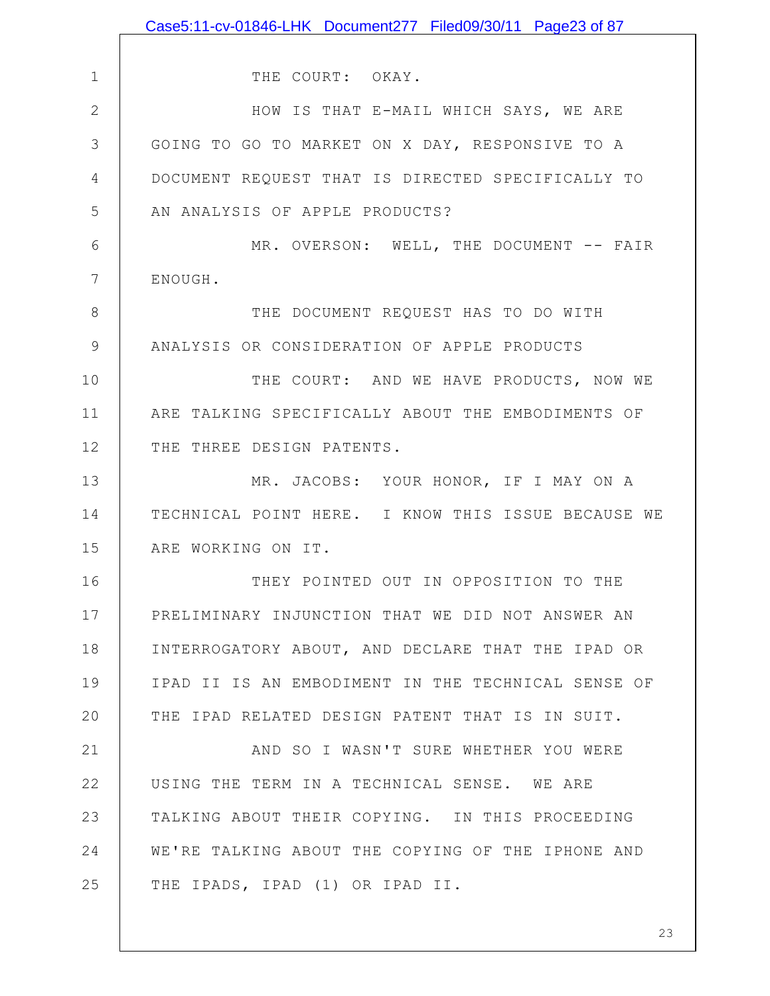|               | Case5:11-cv-01846-LHK Document277 Filed09/30/11 Page23 of 87 |
|---------------|--------------------------------------------------------------|
|               |                                                              |
| $\mathbf 1$   | THE COURT: OKAY.                                             |
| $\mathbf{2}$  | HOW IS THAT E-MAIL WHICH SAYS, WE ARE                        |
| 3             | GOING TO GO TO MARKET ON X DAY, RESPONSIVE TO A              |
| 4             | DOCUMENT REQUEST THAT IS DIRECTED SPECIFICALLY TO            |
| 5             | AN ANALYSIS OF APPLE PRODUCTS?                               |
| 6             | MR. OVERSON: WELL, THE DOCUMENT -- FAIR                      |
| 7             | ENOUGH.                                                      |
| $8\,$         | THE DOCUMENT REQUEST HAS TO DO WITH                          |
| $\mathcal{G}$ | ANALYSIS OR CONSIDERATION OF APPLE PRODUCTS                  |
| 10            | THE COURT: AND WE HAVE PRODUCTS, NOW WE                      |
| 11            | ARE TALKING SPECIFICALLY ABOUT THE EMBODIMENTS OF            |
| 12            | THE THREE DESIGN PATENTS.                                    |
| 13            | MR. JACOBS: YOUR HONOR, IF I MAY ON A                        |
| 14            | TECHNICAL POINT HERE. I KNOW THIS ISSUE BECAUSE WE           |
| 15            | ARE WORKING ON IT.                                           |
| 16            | THEY POINTED OUT IN OPPOSITION TO THE                        |
| 17            | PRELIMINARY INJUNCTION THAT WE DID NOT ANSWER AN             |
| 18            | INTERROGATORY ABOUT, AND DECLARE THAT THE IPAD OR            |
| 19            | IPAD II IS AN EMBODIMENT IN THE TECHNICAL SENSE OF           |
| 20            | THE IPAD RELATED DESIGN PATENT THAT IS IN SUIT.              |
| 21            | AND SO I WASN'T SURE WHETHER YOU WERE                        |
| 22            | USING THE TERM IN A TECHNICAL SENSE. WE ARE                  |
| 23            | TALKING ABOUT THEIR COPYING. IN THIS PROCEEDING              |
| 24            | WE'RE TALKING ABOUT THE COPYING OF THE IPHONE AND            |
| 25            | THE IPADS, IPAD (1) OR IPAD II.                              |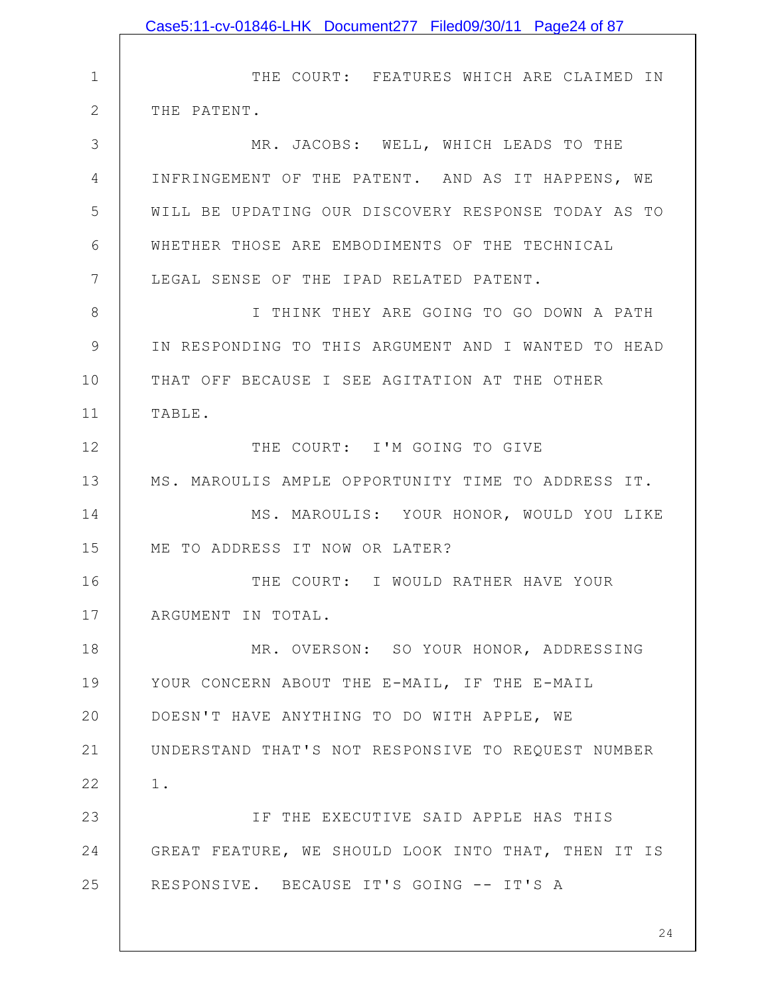|              | Case5:11-cv-01846-LHK Document277 Filed09/30/11 Page24 of 87 |
|--------------|--------------------------------------------------------------|
|              |                                                              |
| $\mathbf 1$  | THE COURT: FEATURES WHICH ARE CLAIMED IN                     |
| $\mathbf{2}$ | THE PATENT.                                                  |
| 3            | MR. JACOBS: WELL, WHICH LEADS TO THE                         |
| 4            | INFRINGEMENT OF THE PATENT. AND AS IT HAPPENS, WE            |
| 5            | WILL BE UPDATING OUR DISCOVERY RESPONSE TODAY AS TO          |
| 6            | WHETHER THOSE ARE EMBODIMENTS OF THE TECHNICAL               |
| 7            | LEGAL SENSE OF THE IPAD RELATED PATENT.                      |
| 8            | I THINK THEY ARE GOING TO GO DOWN A PATH                     |
| 9            | IN RESPONDING TO THIS ARGUMENT AND I WANTED TO HEAD          |
| 10           | THAT OFF BECAUSE I SEE AGITATION AT THE OTHER                |
| 11           | TABLE.                                                       |
| 12           | THE COURT: I'M GOING TO GIVE                                 |
| 13           | MS. MAROULIS AMPLE OPPORTUNITY TIME TO ADDRESS IT.           |
| 14           | MS. MAROULIS: YOUR HONOR, WOULD YOU LIKE                     |
| 15           | ME TO ADDRESS IT NOW OR LATER?                               |
| 16           | THE COURT: I WOULD RATHER HAVE YOUR                          |
| 17           | ARGUMENT IN TOTAL.                                           |
| 18           | MR. OVERSON: SO YOUR HONOR, ADDRESSING                       |
| 19           | YOUR CONCERN ABOUT THE E-MAIL, IF THE E-MAIL                 |
| 20           | DOESN'T HAVE ANYTHING TO DO WITH APPLE, WE                   |
| 21           | UNDERSTAND THAT'S NOT RESPONSIVE TO REQUEST NUMBER           |
| 22           | $1$ .                                                        |
| 23           | IF THE EXECUTIVE SAID APPLE HAS THIS                         |
| 24           | GREAT FEATURE, WE SHOULD LOOK INTO THAT, THEN IT IS          |
| 25           | RESPONSIVE. BECAUSE IT'S GOING -- IT'S A                     |
|              |                                                              |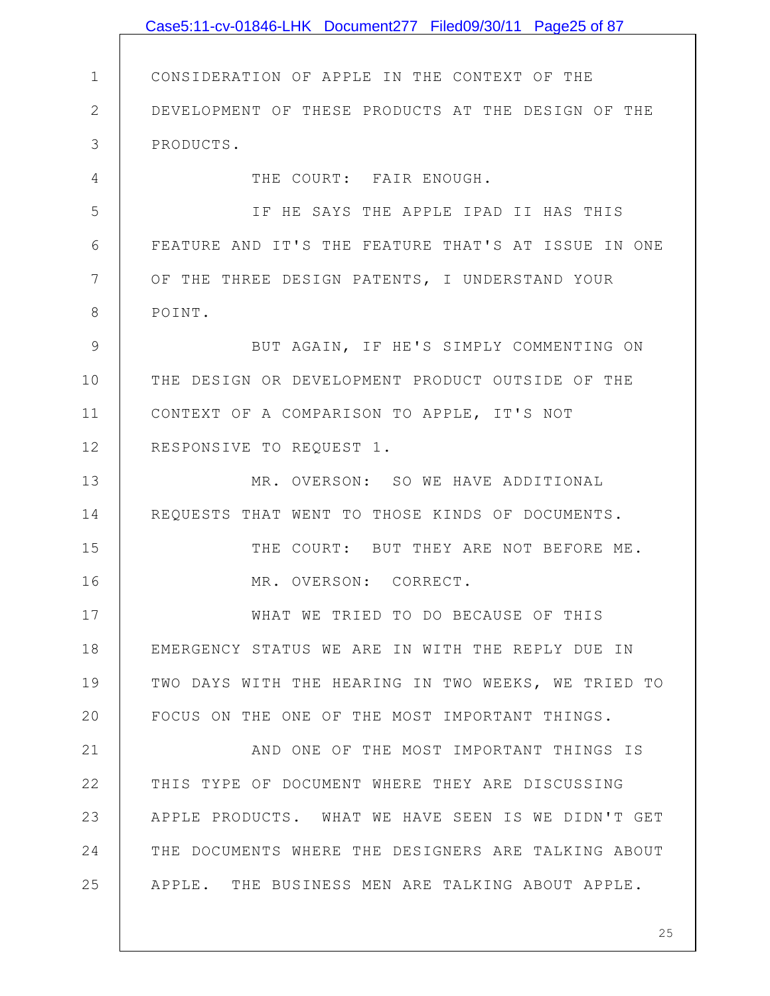|               | Case5:11-cv-01846-LHK Document277 Filed09/30/11 Page25 of 87 |
|---------------|--------------------------------------------------------------|
|               |                                                              |
| $\mathbf{1}$  | CONSIDERATION OF APPLE IN THE CONTEXT OF THE                 |
| $\mathbf{2}$  | DEVELOPMENT OF THESE PRODUCTS AT THE DESIGN OF THE           |
| 3             | PRODUCTS.                                                    |
| 4             | THE COURT: FAIR ENOUGH.                                      |
| 5             | IF HE SAYS THE APPLE IPAD II HAS THIS                        |
| 6             | FEATURE AND IT'S THE FEATURE THAT'S AT ISSUE IN ONE          |
| 7             | OF THE THREE DESIGN PATENTS, I UNDERSTAND YOUR               |
| 8             | POINT.                                                       |
| $\mathcal{G}$ | BUT AGAIN, IF HE'S SIMPLY COMMENTING ON                      |
| 10            | THE DESIGN OR DEVELOPMENT PRODUCT OUTSIDE OF THE             |
| 11            | CONTEXT OF A COMPARISON TO APPLE, IT'S NOT                   |
| 12            | RESPONSIVE TO REQUEST 1.                                     |
| 13            | MR. OVERSON: SO WE HAVE ADDITIONAL                           |
| 14            | REQUESTS THAT WENT TO THOSE KINDS OF DOCUMENTS.              |
| 15            | THE COURT: BUT THEY ARE NOT BEFORE ME.                       |
| 16            | MR. OVERSON: CORRECT.                                        |
| 17            | WHAT WE TRIED TO DO BECAUSE OF THIS                          |
| 18            | EMERGENCY STATUS WE ARE IN WITH THE REPLY DUE IN             |
| 19            | TWO DAYS WITH THE HEARING IN TWO WEEKS, WE TRIED TO          |
| 20            | FOCUS ON THE ONE OF THE MOST IMPORTANT THINGS.               |
| 21            | AND ONE OF THE MOST IMPORTANT THINGS IS                      |
| 22            | THIS TYPE OF DOCUMENT WHERE THEY ARE DISCUSSING              |
| 23            | APPLE PRODUCTS. WHAT WE HAVE SEEN IS WE DIDN'T GET           |
| 24            | THE DOCUMENTS WHERE THE DESIGNERS ARE TALKING ABOUT          |
| 25            | APPLE. THE BUSINESS MEN ARE TALKING ABOUT APPLE.             |
|               |                                                              |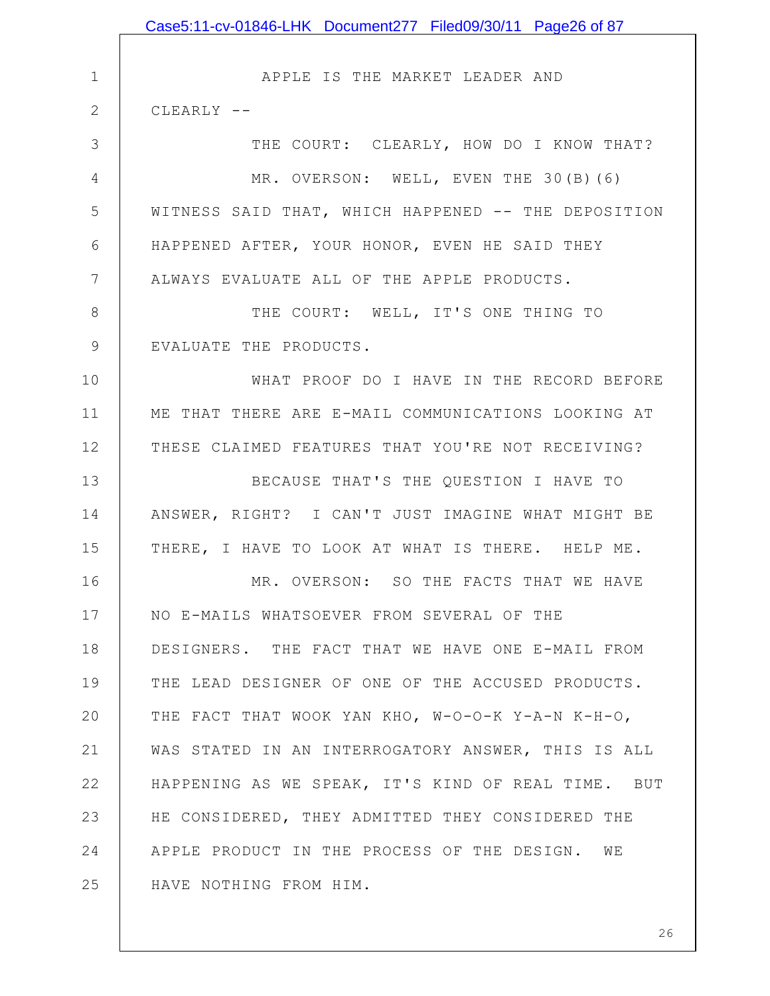1 2 3 4 5 6 7 8 9 10 11 12 13 14 15 16 17 18 19 20 21 22 23 24 25 APPLE IS THE MARKET LEADER AND CLEARLY -- THE COURT: CLEARLY, HOW DO I KNOW THAT? MR. OVERSON: WELL, EVEN THE 30(B)(6) WITNESS SAID THAT, WHICH HAPPENED -- THE DEPOSITION HAPPENED AFTER, YOUR HONOR, EVEN HE SAID THEY ALWAYS EVALUATE ALL OF THE APPLE PRODUCTS. THE COURT: WELL, IT'S ONE THING TO EVALUATE THE PRODUCTS. WHAT PROOF DO I HAVE IN THE RECORD BEFORE ME THAT THERE ARE E-MAIL COMMUNICATIONS LOOKING AT THESE CLAIMED FEATURES THAT YOU'RE NOT RECEIVING? BECAUSE THAT'S THE QUESTION I HAVE TO ANSWER, RIGHT? I CAN'T JUST IMAGINE WHAT MIGHT BE THERE, I HAVE TO LOOK AT WHAT IS THERE. HELP ME. MR. OVERSON: SO THE FACTS THAT WE HAVE NO E-MAILS WHATSOEVER FROM SEVERAL OF THE DESIGNERS. THE FACT THAT WE HAVE ONE E-MAIL FROM THE LEAD DESIGNER OF ONE OF THE ACCUSED PRODUCTS. THE FACT THAT WOOK YAN KHO, W-O-O-K Y-A-N K-H-O, WAS STATED IN AN INTERROGATORY ANSWER, THIS IS ALL HAPPENING AS WE SPEAK, IT'S KIND OF REAL TIME. BUT HE CONSIDERED, THEY ADMITTED THEY CONSIDERED THE APPLE PRODUCT IN THE PROCESS OF THE DESIGN. WE HAVE NOTHING FROM HIM. Case5:11-cv-01846-LHK Document277 Filed09/30/11 Page26 of 87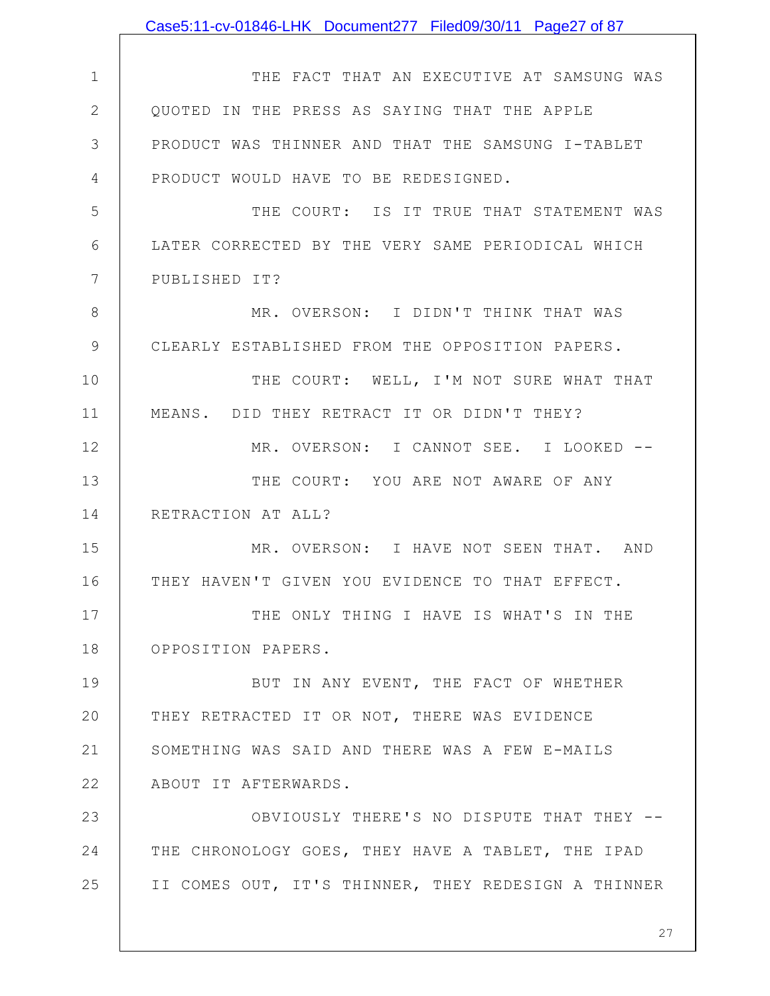|              | Case5:11-cv-01846-LHK Document277 Filed09/30/11 Page27 of 87 |
|--------------|--------------------------------------------------------------|
|              |                                                              |
| $\mathbf 1$  | THE FACT THAT AN EXECUTIVE AT SAMSUNG WAS                    |
| $\mathbf{2}$ | OUOTED IN THE PRESS AS SAYING THAT THE APPLE                 |
| 3            | PRODUCT WAS THINNER AND THAT THE SAMSUNG I-TABLET            |
| 4            | PRODUCT WOULD HAVE TO BE REDESIGNED.                         |
| 5            | THE COURT: IS IT TRUE THAT STATEMENT WAS                     |
| 6            | LATER CORRECTED BY THE VERY SAME PERIODICAL WHICH            |
| 7            | PUBLISHED IT?                                                |
| 8            | MR. OVERSON: I DIDN'T THINK THAT WAS                         |
| 9            | CLEARLY ESTABLISHED FROM THE OPPOSITION PAPERS.              |
| 10           | THE COURT: WELL, I'M NOT SURE WHAT THAT                      |
| 11           | MEANS. DID THEY RETRACT IT OR DIDN'T THEY?                   |
| 12           | MR. OVERSON: I CANNOT SEE. I LOOKED --                       |
| 13           | THE COURT: YOU ARE NOT AWARE OF ANY                          |
| 14           | RETRACTION AT ALL?                                           |
| 15           | MR. OVERSON: I HAVE NOT SEEN THAT. AND                       |
| 16           | THEY HAVEN'T GIVEN YOU EVIDENCE TO THAT EFFECT.              |
| 17           | THE ONLY THING I HAVE IS WHAT'S IN THE                       |
| 18           | OPPOSITION PAPERS.                                           |
| 19           | BUT IN ANY EVENT, THE FACT OF WHETHER                        |
| 20           | THEY RETRACTED IT OR NOT, THERE WAS EVIDENCE                 |
| 21           | SOMETHING WAS SAID AND THERE WAS A FEW E-MAILS               |
| 22           | ABOUT IT AFTERWARDS.                                         |
| 23           | OBVIOUSLY THERE'S NO DISPUTE THAT THEY --                    |
| 24           | THE CHRONOLOGY GOES, THEY HAVE A TABLET, THE IPAD            |
| 25           | II COMES OUT, IT'S THINNER, THEY REDESIGN A THINNER          |
|              |                                                              |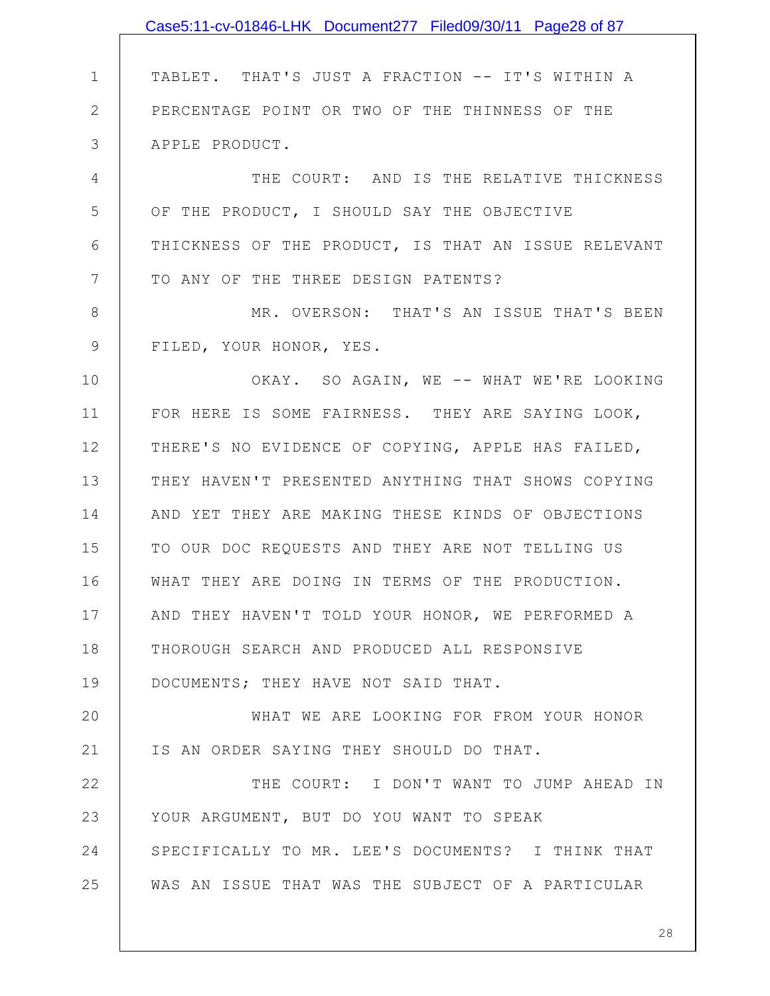1 2 3 4 5 6 7 8 9 10 11 12 13 14 15 16 17 18 19 20 21 22 23 24 25 TABLET. THAT'S JUST A FRACTION -- IT'S WITHIN A PERCENTAGE POINT OR TWO OF THE THINNESS OF THE APPLE PRODUCT. THE COURT: AND IS THE RELATIVE THICKNESS OF THE PRODUCT, I SHOULD SAY THE OBJECTIVE THICKNESS OF THE PRODUCT, IS THAT AN ISSUE RELEVANT TO ANY OF THE THREE DESIGN PATENTS? MR. OVERSON: THAT'S AN ISSUE THAT'S BEEN FILED, YOUR HONOR, YES. OKAY. SO AGAIN, WE -- WHAT WE'RE LOOKING FOR HERE IS SOME FAIRNESS. THEY ARE SAYING LOOK, THERE'S NO EVIDENCE OF COPYING, APPLE HAS FAILED, THEY HAVEN'T PRESENTED ANYTHING THAT SHOWS COPYING AND YET THEY ARE MAKING THESE KINDS OF OBJECTIONS TO OUR DOC REQUESTS AND THEY ARE NOT TELLING US WHAT THEY ARE DOING IN TERMS OF THE PRODUCTION. AND THEY HAVEN'T TOLD YOUR HONOR, WE PERFORMED A THOROUGH SEARCH AND PRODUCED ALL RESPONSIVE DOCUMENTS; THEY HAVE NOT SAID THAT. WHAT WE ARE LOOKING FOR FROM YOUR HONOR IS AN ORDER SAYING THEY SHOULD DO THAT. THE COURT: I DON'T WANT TO JUMP AHEAD IN YOUR ARGUMENT, BUT DO YOU WANT TO SPEAK SPECIFICALLY TO MR. LEE'S DOCUMENTS? I THINK THAT WAS AN ISSUE THAT WAS THE SUBJECT OF A PARTICULAR Case5:11-cv-01846-LHK Document277 Filed09/30/11 Page28 of 87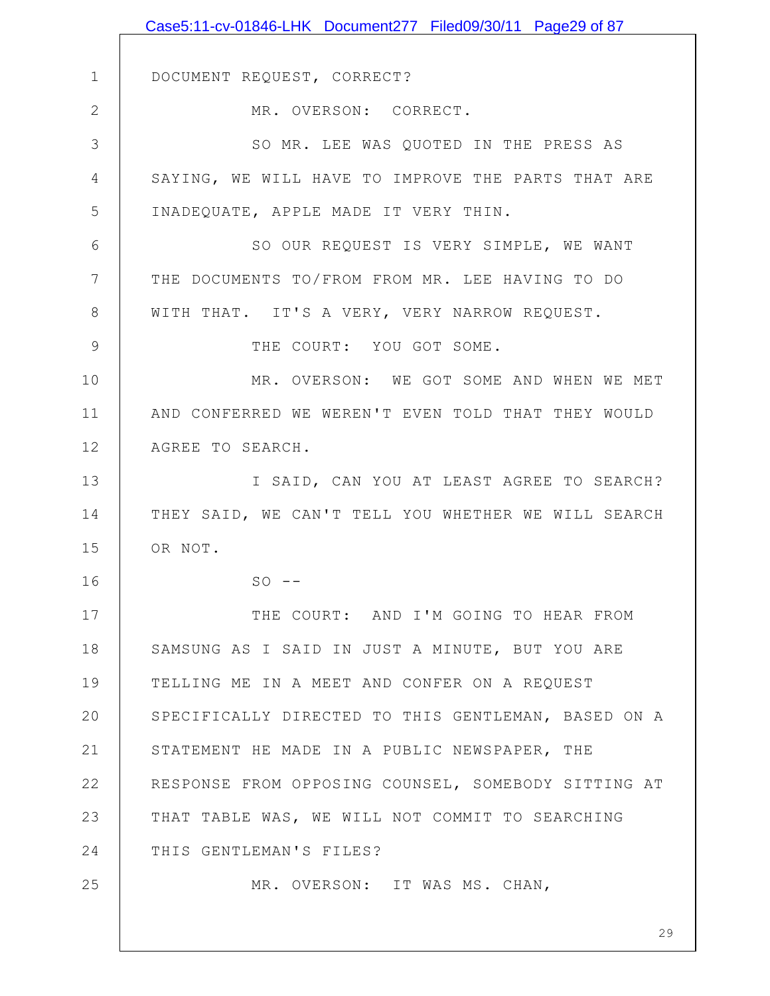|                 | Case5:11-cv-01846-LHK Document277 Filed09/30/11 Page29 of 87 |
|-----------------|--------------------------------------------------------------|
|                 |                                                              |
| $\mathbf 1$     | DOCUMENT REQUEST, CORRECT?                                   |
| $\overline{2}$  | MR. OVERSON: CORRECT.                                        |
| 3               | SO MR. LEE WAS QUOTED IN THE PRESS AS                        |
| 4               | SAYING, WE WILL HAVE TO IMPROVE THE PARTS THAT ARE           |
| 5               | INADEQUATE, APPLE MADE IT VERY THIN.                         |
| 6               | SO OUR REQUEST IS VERY SIMPLE, WE WANT                       |
| $7\phantom{.0}$ | THE DOCUMENTS TO/FROM FROM MR. LEE HAVING TO DO              |
| $8\,$           | WITH THAT. IT'S A VERY, VERY NARROW REQUEST.                 |
| $\mathcal{G}$   | THE COURT: YOU GOT SOME.                                     |
| 10              | MR. OVERSON: WE GOT SOME AND WHEN WE MET                     |
| 11              | AND CONFERRED WE WEREN'T EVEN TOLD THAT THEY WOULD           |
| 12              | AGREE TO SEARCH.                                             |
| 13              | I SAID, CAN YOU AT LEAST AGREE TO SEARCH?                    |
| 14              | THEY SAID, WE CAN'T TELL YOU WHETHER WE WILL SEARCH          |
| 15              | OR NOT.                                                      |
| 16              | $SO = -$                                                     |
| 17              | THE COURT: AND I'M GOING TO HEAR FROM                        |
| 18              | SAMSUNG AS I SAID IN JUST A MINUTE, BUT YOU ARE              |
| 19              | TELLING ME IN A MEET AND CONFER ON A REQUEST                 |
| 20              | SPECIFICALLY DIRECTED TO THIS GENTLEMAN, BASED ON A          |
| 21              | STATEMENT HE MADE IN A PUBLIC NEWSPAPER, THE                 |
| 22              | RESPONSE FROM OPPOSING COUNSEL, SOMEBODY SITTING AT          |
| 23              | THAT TABLE WAS, WE WILL NOT COMMIT TO SEARCHING              |
| 24              | THIS GENTLEMAN'S FILES?                                      |
| 25              | MR. OVERSON: IT WAS MS. CHAN,                                |
|                 |                                                              |
|                 | 29                                                           |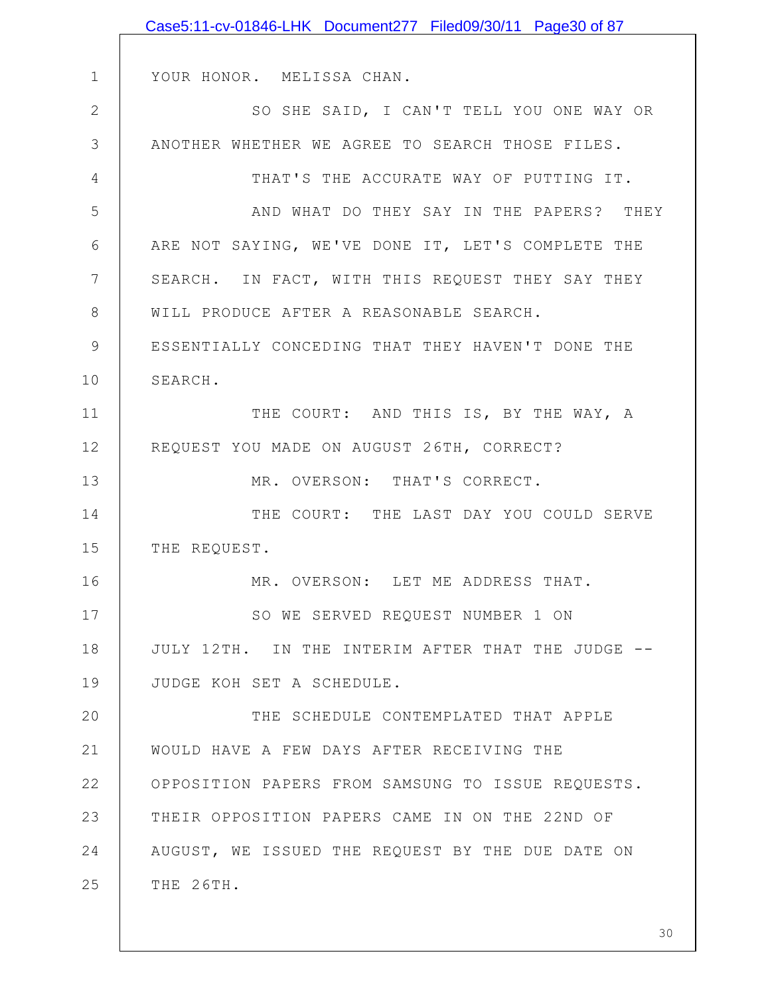|              | Case5:11-cv-01846-LHK Document277 Filed09/30/11 Page30 of 87 |
|--------------|--------------------------------------------------------------|
|              |                                                              |
| $\mathbf 1$  | YOUR HONOR. MELISSA CHAN.                                    |
| $\mathbf{2}$ | SO SHE SAID, I CAN'T TELL YOU ONE WAY OR                     |
| 3            | ANOTHER WHETHER WE AGREE TO SEARCH THOSE FILES.              |
| 4            | THAT'S THE ACCURATE WAY OF PUTTING IT.                       |
| 5            | AND WHAT DO THEY SAY IN THE PAPERS? THEY                     |
| 6            | ARE NOT SAYING, WE'VE DONE IT, LET'S COMPLETE THE            |
| 7            | SEARCH. IN FACT, WITH THIS REQUEST THEY SAY THEY             |
| 8            | WILL PRODUCE AFTER A REASONABLE SEARCH.                      |
| 9            | ESSENTIALLY CONCEDING THAT THEY HAVEN'T DONE THE             |
| 10           | SEARCH.                                                      |
| 11           | THE COURT: AND THIS IS, BY THE WAY, A                        |
| 12           | REQUEST YOU MADE ON AUGUST 26TH, CORRECT?                    |
| 13           | MR. OVERSON: THAT'S CORRECT.                                 |
| 14           | THE COURT: THE LAST DAY YOU COULD SERVE                      |
| 15           | THE REQUEST.                                                 |
| 16           | MR. OVERSON: LET ME ADDRESS THAT.                            |
| 17           | SO WE SERVED REQUEST NUMBER 1 ON                             |
| 18           | JULY 12TH. IN THE INTERIM AFTER THAT THE JUDGE --            |
| 19           | JUDGE KOH SET A SCHEDULE.                                    |
| 20           | THE SCHEDULE CONTEMPLATED THAT APPLE                         |
| 21           | WOULD HAVE A FEW DAYS AFTER RECEIVING THE                    |
| 22           | OPPOSITION PAPERS FROM SAMSUNG TO ISSUE REQUESTS.            |
| 23           | THEIR OPPOSITION PAPERS CAME IN ON THE 22ND OF               |
| 24           | AUGUST, WE ISSUED THE REQUEST BY THE DUE DATE ON             |
| 25           | THE 26TH.                                                    |
|              |                                                              |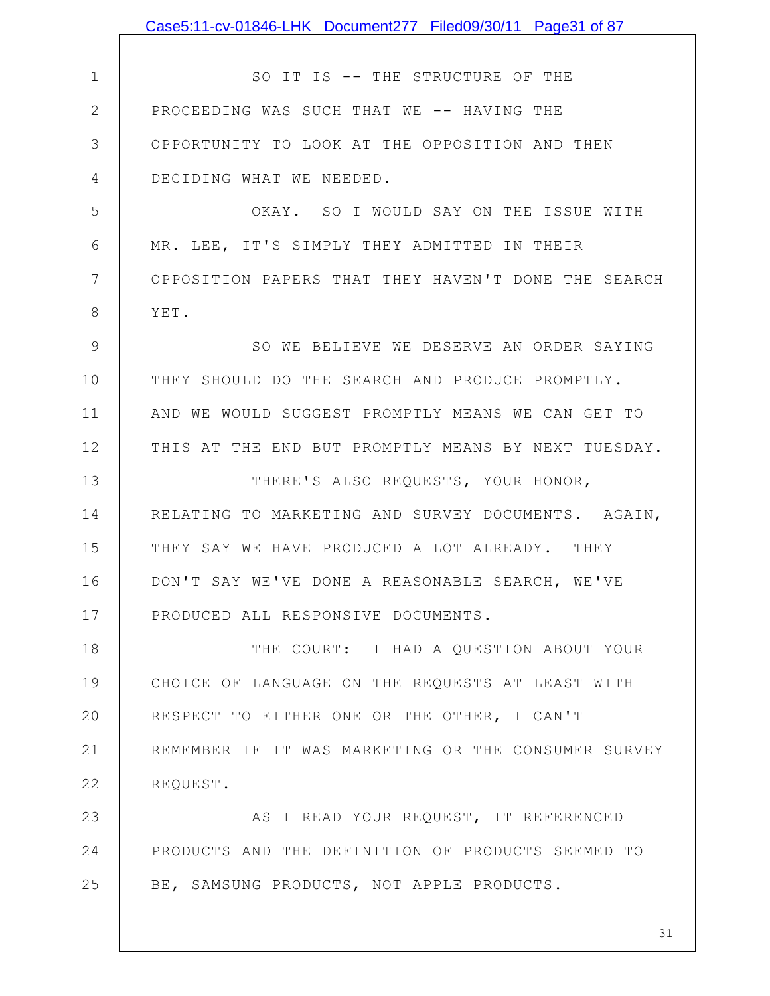1 2 3 4 5 6 7 8 9 10 11 12 13 14 15 16 17 18 19 20 21 22 23 24 25 SO IT IS -- THE STRUCTURE OF THE PROCEEDING WAS SUCH THAT WE -- HAVING THE OPPORTUNITY TO LOOK AT THE OPPOSITION AND THEN DECIDING WHAT WE NEEDED. OKAY. SO I WOULD SAY ON THE ISSUE WITH MR. LEE, IT'S SIMPLY THEY ADMITTED IN THEIR OPPOSITION PAPERS THAT THEY HAVEN'T DONE THE SEARCH YET. SO WE BELIEVE WE DESERVE AN ORDER SAYING THEY SHOULD DO THE SEARCH AND PRODUCE PROMPTLY. AND WE WOULD SUGGEST PROMPTLY MEANS WE CAN GET TO THIS AT THE END BUT PROMPTLY MEANS BY NEXT TUESDAY. THERE'S ALSO REQUESTS, YOUR HONOR, RELATING TO MARKETING AND SURVEY DOCUMENTS. AGAIN, THEY SAY WE HAVE PRODUCED A LOT ALREADY. THEY DON'T SAY WE'VE DONE A REASONABLE SEARCH, WE'VE PRODUCED ALL RESPONSIVE DOCUMENTS. THE COURT: I HAD A QUESTION ABOUT YOUR CHOICE OF LANGUAGE ON THE REQUESTS AT LEAST WITH RESPECT TO EITHER ONE OR THE OTHER, I CAN'T REMEMBER IF IT WAS MARKETING OR THE CONSUMER SURVEY REQUEST. AS I READ YOUR REQUEST, IT REFERENCED PRODUCTS AND THE DEFINITION OF PRODUCTS SEEMED TO BE, SAMSUNG PRODUCTS, NOT APPLE PRODUCTS. Case5:11-cv-01846-LHK Document277 Filed09/30/11 Page31 of 87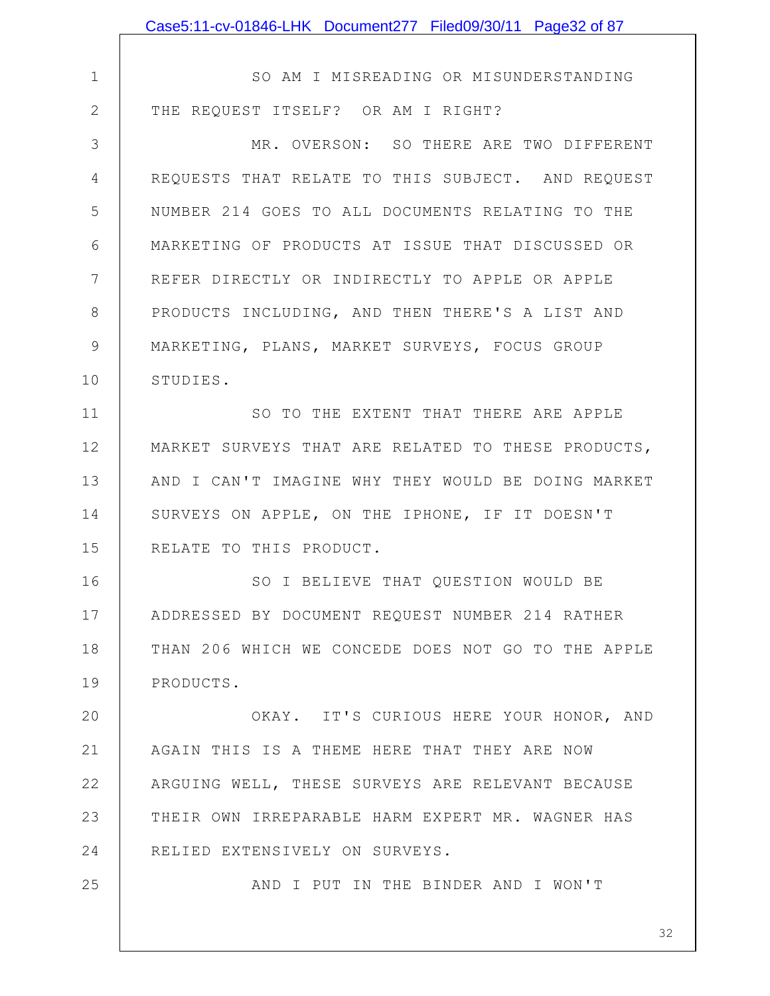|                | Case5:11-cv-01846-LHK Document277 Filed09/30/11 Page32 of 87 |
|----------------|--------------------------------------------------------------|
|                |                                                              |
| $\mathbf 1$    | SO AM I MISREADING OR MISUNDERSTANDING                       |
| $\mathbf{2}$   | THE REQUEST ITSELF? OR AM I RIGHT?                           |
| $\mathcal{S}$  | MR. OVERSON: SO THERE ARE TWO DIFFERENT                      |
| $\overline{4}$ | REQUESTS THAT RELATE TO THIS SUBJECT. AND REQUEST            |
| 5              | NUMBER 214 GOES TO ALL DOCUMENTS RELATING TO THE             |
| 6              | MARKETING OF PRODUCTS AT ISSUE THAT DISCUSSED OR             |
| 7              | REFER DIRECTLY OR INDIRECTLY TO APPLE OR APPLE               |
| $8\,$          | PRODUCTS INCLUDING, AND THEN THERE'S A LIST AND              |
| 9              | MARKETING, PLANS, MARKET SURVEYS, FOCUS GROUP                |
| 10             | STUDIES.                                                     |
| 11             | SO TO THE EXTENT THAT THERE ARE APPLE                        |
| 12             | MARKET SURVEYS THAT ARE RELATED TO THESE PRODUCTS,           |
| 13             | AND I CAN'T IMAGINE WHY THEY WOULD BE DOING MARKET           |
| 14             | SURVEYS ON APPLE, ON THE IPHONE, IF IT DOESN'T               |
| 15             | RELATE TO THIS PRODUCT.                                      |
| 16             | SO I BELIEVE THAT QUESTION WOULD BE                          |
| 17             | ADDRESSED BY DOCUMENT REQUEST NUMBER 214 RATHER              |
| 18             | THAN 206 WHICH WE CONCEDE DOES NOT GO TO THE APPLE           |
| 19             | PRODUCTS.                                                    |
| 20             | OKAY. IT'S CURIOUS HERE YOUR HONOR, AND                      |
| 21             | AGAIN THIS IS A THEME HERE THAT THEY ARE NOW                 |
| 22             | ARGUING WELL, THESE SURVEYS ARE RELEVANT BECAUSE             |
| 23             | THEIR OWN IRREPARABLE HARM EXPERT MR. WAGNER HAS             |
| 24             | RELIED EXTENSIVELY ON SURVEYS.                               |
| 25             | AND I PUT IN THE BINDER AND I WON'T                          |
|                |                                                              |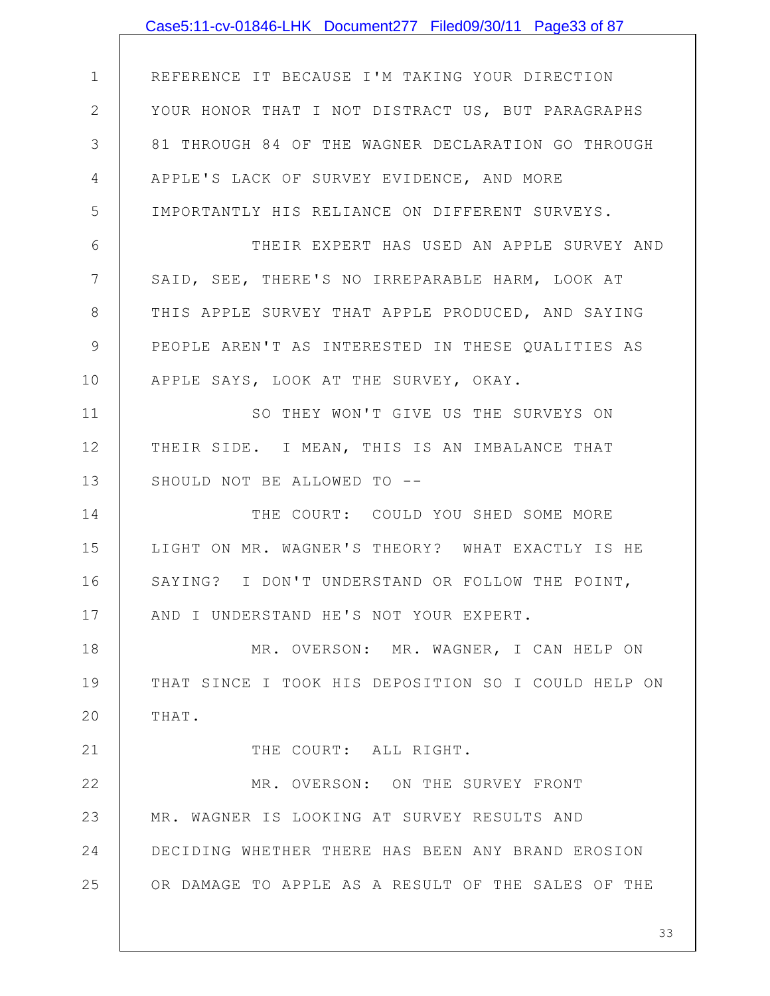|                | Case5:11-cv-01846-LHK Document277 Filed09/30/11 Page33 of 87 |
|----------------|--------------------------------------------------------------|
|                |                                                              |
| $\mathbf{1}$   | REFERENCE IT BECAUSE I'M TAKING YOUR DIRECTION               |
| $\mathbf{2}$   | YOUR HONOR THAT I NOT DISTRACT US, BUT PARAGRAPHS            |
| 3              | 81 THROUGH 84 OF THE WAGNER DECLARATION GO THROUGH           |
| 4              | APPLE'S LACK OF SURVEY EVIDENCE, AND MORE                    |
| 5              | IMPORTANTLY HIS RELIANCE ON DIFFERENT SURVEYS.               |
| 6              | THEIR EXPERT HAS USED AN APPLE SURVEY AND                    |
| $\overline{7}$ | SAID, SEE, THERE'S NO IRREPARABLE HARM, LOOK AT              |
| $8\,$          | THIS APPLE SURVEY THAT APPLE PRODUCED, AND SAYING            |
| 9              | PEOPLE AREN'T AS INTERESTED IN THESE QUALITIES AS            |
| 10             | APPLE SAYS, LOOK AT THE SURVEY, OKAY.                        |
| 11             | SO THEY WON'T GIVE US THE SURVEYS ON                         |
| 12             | THEIR SIDE. I MEAN, THIS IS AN IMBALANCE THAT                |
| 13             | SHOULD NOT BE ALLOWED TO --                                  |
| 14             | THE COURT: COULD YOU SHED SOME MORE                          |
| 15             | LIGHT ON MR. WAGNER'S THEORY? WHAT EXACTLY IS HE             |
| 16             | SAYING? I DON'T UNDERSTAND OR FOLLOW THE POINT,              |
| 17             | AND I UNDERSTAND HE'S NOT YOUR EXPERT.                       |
| 18             | MR. OVERSON: MR. WAGNER, I CAN HELP ON                       |
| 19             | THAT SINCE I TOOK HIS DEPOSITION SO I COULD HELP ON          |
| 20             | THAT.                                                        |
| 21             | THE COURT: ALL RIGHT.                                        |
| 22             | MR. OVERSON: ON THE SURVEY FRONT                             |
| 23             | MR. WAGNER IS LOOKING AT SURVEY RESULTS AND                  |
| 24             | DECIDING WHETHER THERE HAS BEEN ANY BRAND EROSION            |
| 25             | OR DAMAGE TO APPLE AS A RESULT OF THE SALES OF THE           |
|                |                                                              |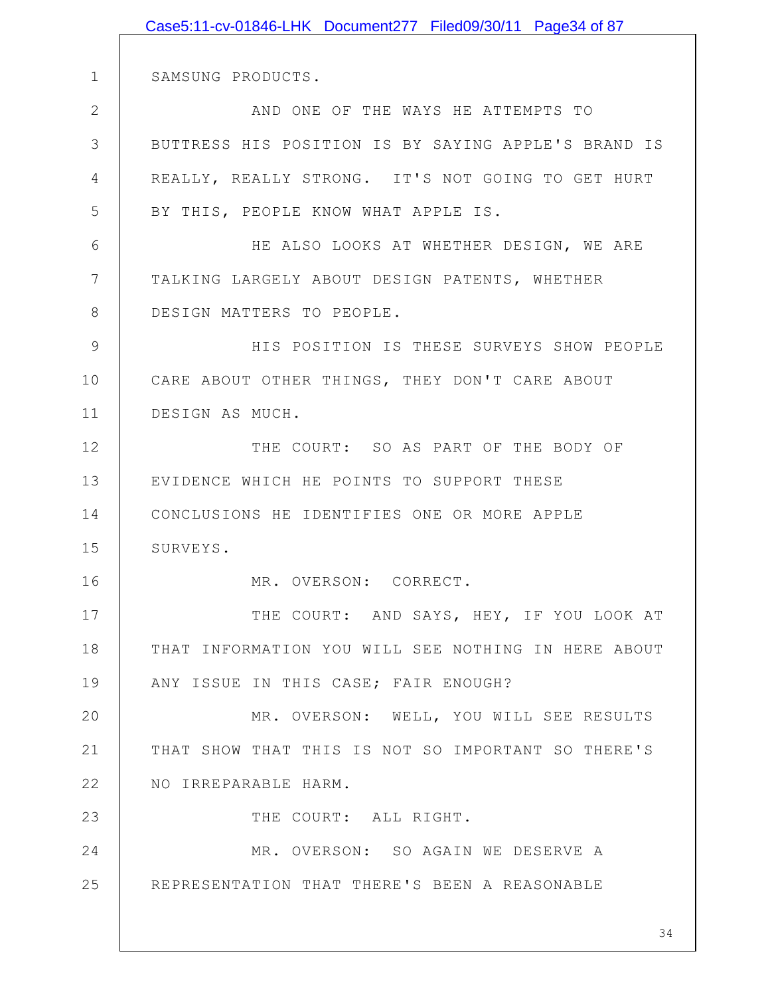|              | Case5:11-cv-01846-LHK Document277 Filed09/30/11 Page34 of 87 |
|--------------|--------------------------------------------------------------|
|              |                                                              |
| 1            | SAMSUNG PRODUCTS.                                            |
| $\mathbf{2}$ | AND ONE OF THE WAYS HE ATTEMPTS TO                           |
| 3            | BUTTRESS HIS POSITION IS BY SAYING APPLE'S BRAND IS          |
| 4            | REALLY, REALLY STRONG. IT'S NOT GOING TO GET HURT            |
| 5            | BY THIS, PEOPLE KNOW WHAT APPLE IS.                          |
| 6            | HE ALSO LOOKS AT WHETHER DESIGN, WE ARE                      |
| 7            | TALKING LARGELY ABOUT DESIGN PATENTS, WHETHER                |
| 8            | DESIGN MATTERS TO PEOPLE.                                    |
| 9            | HIS POSITION IS THESE SURVEYS SHOW PEOPLE                    |
| 10           | CARE ABOUT OTHER THINGS, THEY DON'T CARE ABOUT               |
| 11           | DESIGN AS MUCH.                                              |
| 12           | THE COURT: SO AS PART OF THE BODY OF                         |
| 13           | EVIDENCE WHICH HE POINTS TO SUPPORT THESE                    |
| 14           | CONCLUSIONS HE IDENTIFIES ONE OR MORE APPLE                  |
| 15           | SURVEYS.                                                     |
| 16           | MR. OVERSON: CORRECT.                                        |
| 17           | THE COURT: AND SAYS, HEY, IF YOU LOOK AT                     |
| 18           | THAT INFORMATION YOU WILL SEE NOTHING IN HERE ABOUT          |
| 19           | ANY ISSUE IN THIS CASE; FAIR ENOUGH?                         |
| 20           | MR. OVERSON: WELL, YOU WILL SEE RESULTS                      |
| 21           | THAT SHOW THAT THIS IS NOT SO IMPORTANT SO THERE'S           |
| 22           | NO IRREPARABLE HARM.                                         |
| 23           | THE COURT: ALL RIGHT.                                        |
| 24           | MR. OVERSON: SO AGAIN WE DESERVE A                           |
| 25           | REPRESENTATION THAT THERE'S BEEN A REASONABLE                |
|              |                                                              |
|              | 34                                                           |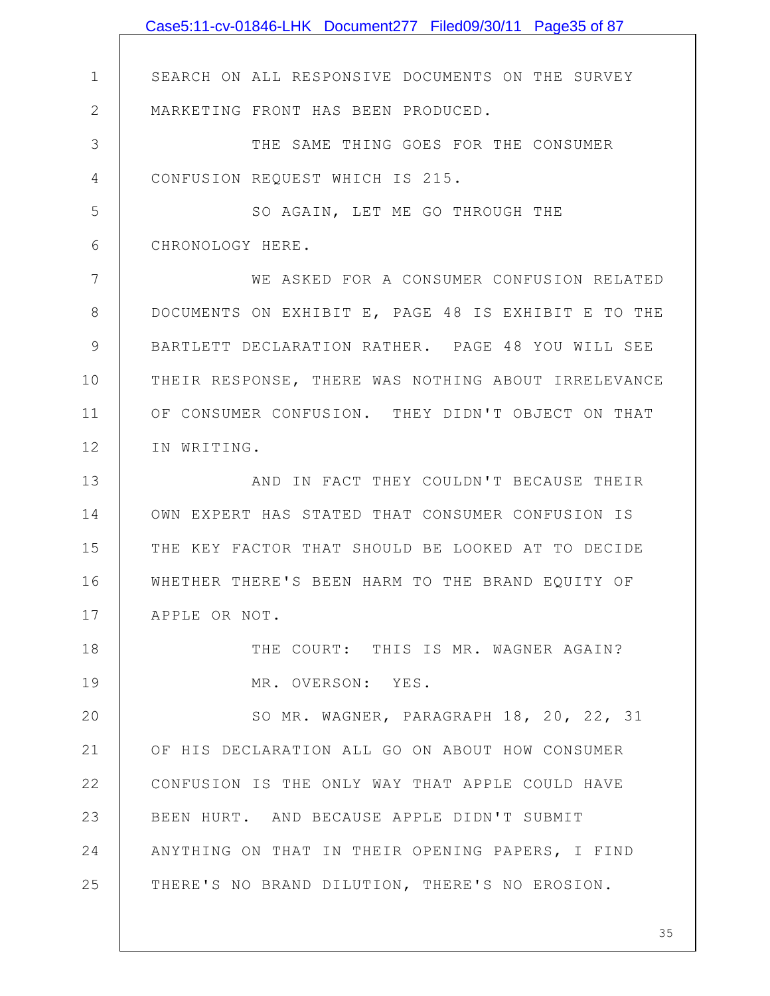|              | Case5:11-cv-01846-LHK Document277 Filed09/30/11 Page35 of 87 |
|--------------|--------------------------------------------------------------|
|              |                                                              |
| $\mathbf 1$  | SEARCH ON ALL RESPONSIVE DOCUMENTS ON THE SURVEY             |
| $\mathbf{2}$ | MARKETING FRONT HAS BEEN PRODUCED.                           |
| 3            | THE SAME THING GOES FOR THE CONSUMER                         |
| 4            | CONFUSION REQUEST WHICH IS 215.                              |
| 5            | SO AGAIN, LET ME GO THROUGH THE                              |
| 6            | CHRONOLOGY HERE.                                             |
| 7            | WE ASKED FOR A CONSUMER CONFUSION RELATED                    |
| 8            | DOCUMENTS ON EXHIBIT E, PAGE 48 IS EXHIBIT E TO THE          |
| $\mathsf 9$  | BARTLETT DECLARATION RATHER. PAGE 48 YOU WILL SEE            |
| 10           | THEIR RESPONSE, THERE WAS NOTHING ABOUT IRRELEVANCE          |
| 11           | OF CONSUMER CONFUSION. THEY DIDN'T OBJECT ON THAT            |
| 12           | IN WRITING.                                                  |
| 13           | AND IN FACT THEY COULDN'T BECAUSE THEIR                      |
| 14           | OWN EXPERT HAS STATED THAT CONSUMER CONFUSION IS             |
| 15           | THE KEY FACTOR THAT SHOULD BE LOOKED AT TO DECIDE            |
| 16           | WHETHER THERE'S BEEN HARM TO THE BRAND EQUITY OF             |
| 17           | APPLE OR NOT.                                                |
| 18           | THE COURT: THIS IS MR. WAGNER AGAIN?                         |
| 19           | MR. OVERSON: YES.                                            |
| 20           | SO MR. WAGNER, PARAGRAPH 18, 20, 22, 31                      |
| 21           | OF HIS DECLARATION ALL GO ON ABOUT HOW CONSUMER              |
| 22           | CONFUSION IS THE ONLY WAY THAT APPLE COULD HAVE              |
| 23           | BEEN HURT. AND BECAUSE APPLE DIDN'T SUBMIT                   |
| 24           | ANYTHING ON THAT IN THEIR OPENING PAPERS, I FIND             |
| 25           | THERE'S NO BRAND DILUTION, THERE'S NO EROSION.               |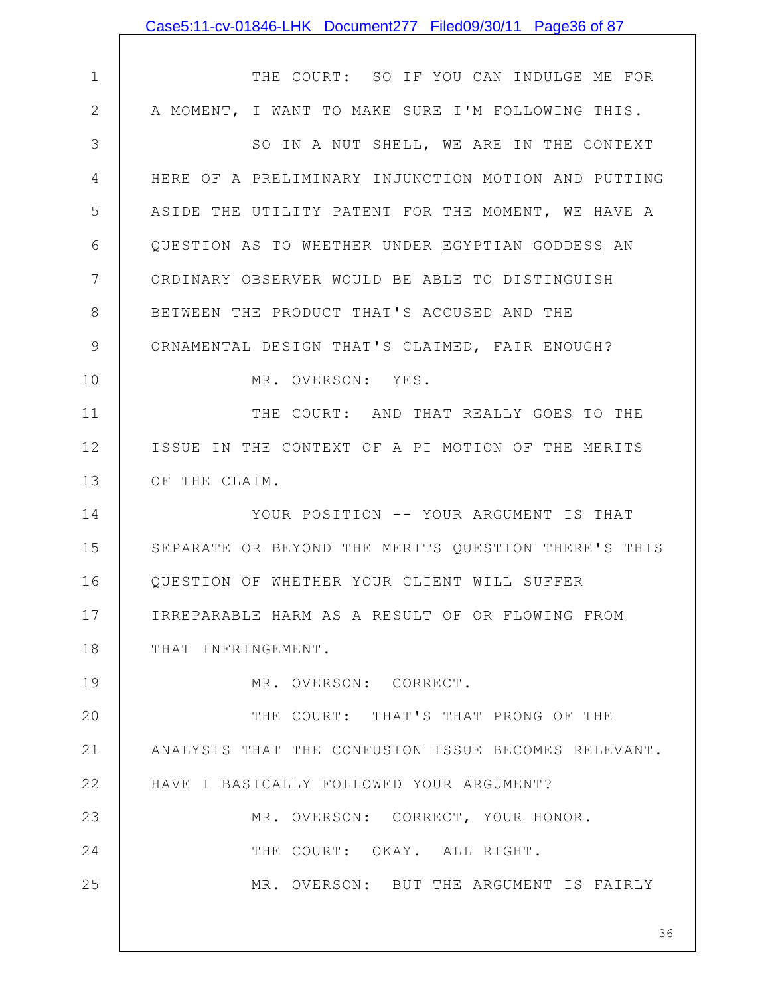|                | Case5:11-cv-01846-LHK Document277 Filed09/30/11 Page36 of 87 |
|----------------|--------------------------------------------------------------|
|                |                                                              |
| $\mathbf 1$    | THE COURT: SO IF YOU CAN INDULGE ME FOR                      |
| 2              | A MOMENT, I WANT TO MAKE SURE I'M FOLLOWING THIS.            |
| 3              | SO IN A NUT SHELL, WE ARE IN THE CONTEXT                     |
| $\overline{4}$ | HERE OF A PRELIMINARY INJUNCTION MOTION AND PUTTING          |
| 5              | ASIDE THE UTILITY PATENT FOR THE MOMENT, WE HAVE A           |
| 6              | QUESTION AS TO WHETHER UNDER EGYPTIAN GODDESS AN             |
| 7              | ORDINARY OBSERVER WOULD BE ABLE TO DISTINGUISH               |
| 8              | BETWEEN THE PRODUCT THAT'S ACCUSED AND THE                   |
| 9              | ORNAMENTAL DESIGN THAT'S CLAIMED, FAIR ENOUGH?               |
| 10             | MR. OVERSON: YES.                                            |
| 11             | THE COURT: AND THAT REALLY GOES TO THE                       |
| 12             | ISSUE IN THE CONTEXT OF A PI MOTION OF THE MERITS            |
| 13             | OF THE CLAIM.                                                |
| 14             | YOUR POSITION -- YOUR ARGUMENT IS THAT                       |
| 15             | SEPARATE OR BEYOND THE MERITS QUESTION THERE'S THIS          |
| 16             | QUESTION OF WHETHER YOUR CLIENT WILL SUFFER                  |
| 17             | IRREPARABLE HARM AS A RESULT OF OR FLOWING FROM              |
| 18             | THAT INFRINGEMENT.                                           |
| 19             | MR. OVERSON: CORRECT.                                        |
| 20             | THE COURT: THAT'S THAT PRONG OF THE                          |
| 21             | ANALYSIS THAT THE CONFUSION ISSUE BECOMES RELEVANT.          |
| 22             | HAVE I BASICALLY FOLLOWED YOUR ARGUMENT?                     |
| 23             | MR. OVERSON: CORRECT, YOUR HONOR.                            |
| 24             | THE COURT: OKAY. ALL RIGHT.                                  |
| 25             | MR. OVERSON: BUT THE ARGUMENT IS FAIRLY                      |
|                |                                                              |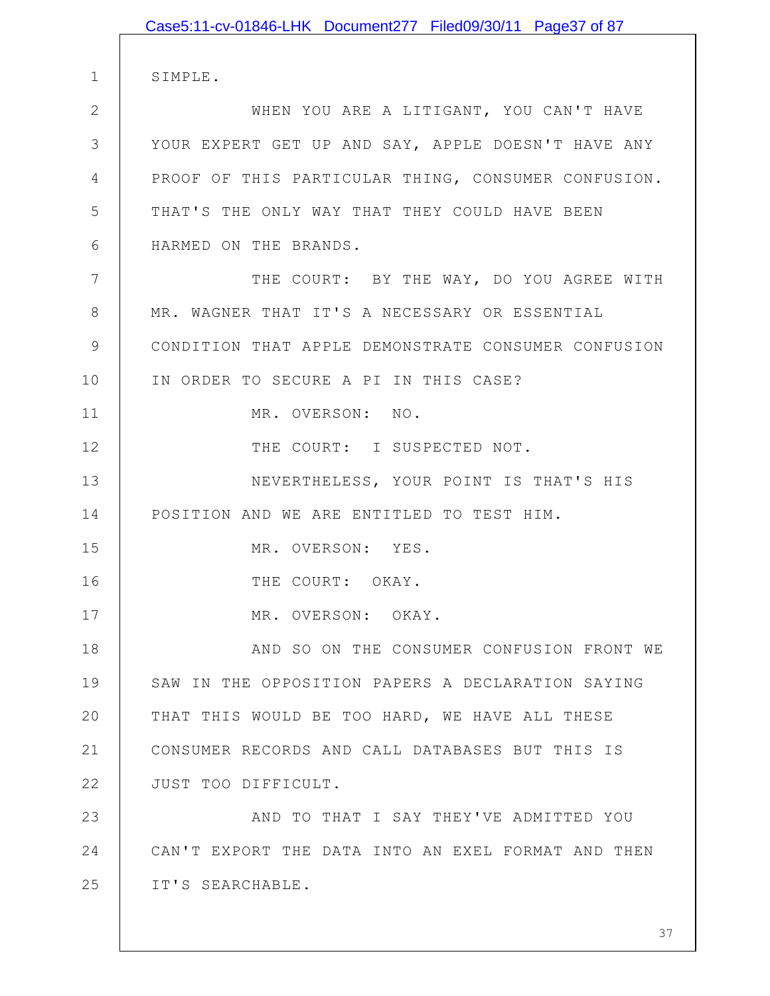|               | Case5:11-cv-01846-LHK Document277 Filed09/30/11 Page37 of 87 |
|---------------|--------------------------------------------------------------|
|               |                                                              |
| $\mathbf 1$   | SIMPLE.                                                      |
| $\mathbf{2}$  | WHEN YOU ARE A LITIGANT, YOU CAN'T HAVE                      |
| 3             | YOUR EXPERT GET UP AND SAY, APPLE DOESN'T HAVE ANY           |
| 4             | PROOF OF THIS PARTICULAR THING, CONSUMER CONFUSION.          |
| 5             | THAT'S THE ONLY WAY THAT THEY COULD HAVE BEEN                |
| 6             | HARMED ON THE BRANDS.                                        |
| 7             | THE COURT: BY THE WAY, DO YOU AGREE WITH                     |
| 8             | MR. WAGNER THAT IT'S A NECESSARY OR ESSENTIAL                |
| $\mathcal{G}$ | CONDITION THAT APPLE DEMONSTRATE CONSUMER CONFUSION          |
| 10            | IN ORDER TO SECURE A PI IN THIS CASE?                        |
| 11            | MR. OVERSON: NO.                                             |
| 12            | THE COURT: I SUSPECTED NOT.                                  |
| 13            | NEVERTHELESS, YOUR POINT IS THAT'S HIS                       |
| 14            | POSITION AND WE ARE ENTITLED TO TEST HIM.                    |
| 15            | MR. OVERSON: YES.                                            |
| 16            | THE COURT: OKAY.                                             |
| 17            | MR. OVERSON: OKAY.                                           |
| 18            | AND SO ON THE CONSUMER CONFUSION FRONT WE                    |
| 19            | SAW IN THE OPPOSITION PAPERS A DECLARATION SAYING            |
| 20            | THAT THIS WOULD BE TOO HARD, WE HAVE ALL THESE               |
| 21            | CONSUMER RECORDS AND CALL DATABASES BUT THIS IS              |
| 22            | JUST TOO DIFFICULT.                                          |
| 23            | AND TO THAT I SAY THEY'VE ADMITTED YOU                       |
| 24            | CAN'T EXPORT THE DATA INTO AN EXEL FORMAT AND THEN           |
| 25            | IT'S SEARCHABLE.                                             |
|               |                                                              |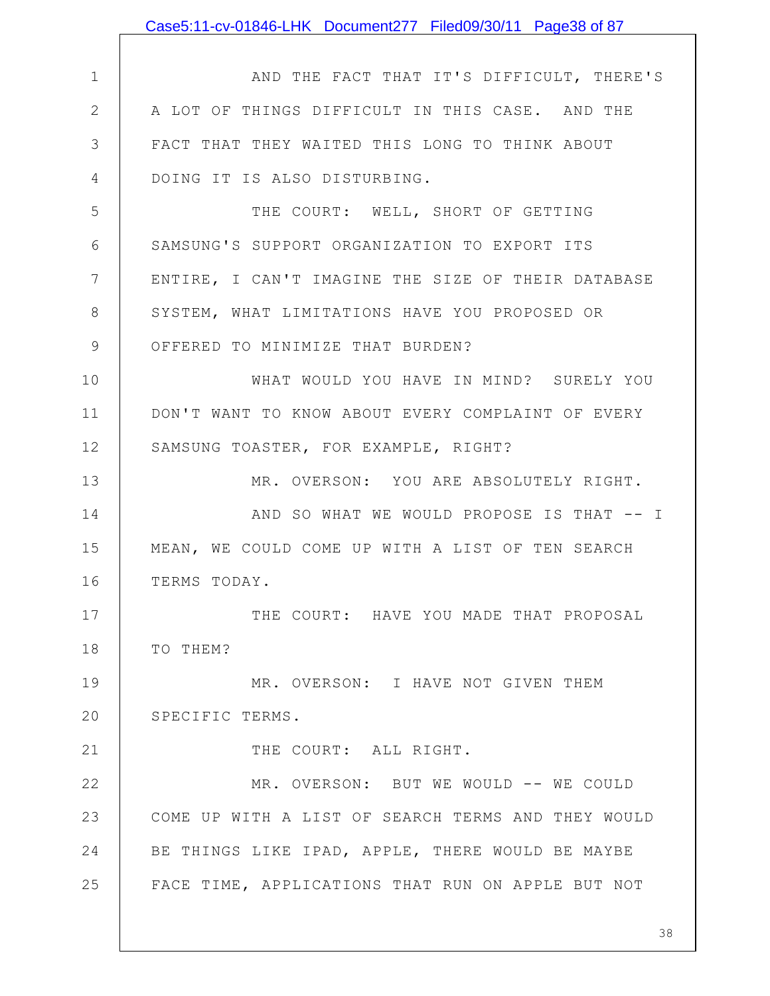|                | Case5:11-cv-01846-LHK Document277 Filed09/30/11 Page38 of 87 |
|----------------|--------------------------------------------------------------|
|                |                                                              |
| $\mathbf 1$    | AND THE FACT THAT IT'S DIFFICULT, THERE'S                    |
| $\overline{2}$ | A LOT OF THINGS DIFFICULT IN THIS CASE. AND THE              |
| 3              | FACT THAT THEY WAITED THIS LONG TO THINK ABOUT               |
| 4              | DOING IT IS ALSO DISTURBING.                                 |
| 5              | THE COURT: WELL, SHORT OF GETTING                            |
| 6              | SAMSUNG'S SUPPORT ORGANIZATION TO EXPORT ITS                 |
| 7              | ENTIRE, I CAN'T IMAGINE THE SIZE OF THEIR DATABASE           |
| 8              | SYSTEM, WHAT LIMITATIONS HAVE YOU PROPOSED OR                |
| 9              | OFFERED TO MINIMIZE THAT BURDEN?                             |
| 10             | WHAT WOULD YOU HAVE IN MIND? SURELY YOU                      |
| 11             | DON'T WANT TO KNOW ABOUT EVERY COMPLAINT OF EVERY            |
| 12             | SAMSUNG TOASTER, FOR EXAMPLE, RIGHT?                         |
| 13             | MR. OVERSON: YOU ARE ABSOLUTELY RIGHT.                       |
| 14             | AND SO WHAT WE WOULD PROPOSE IS THAT -- I                    |
| 15             | MEAN, WE COULD COME UP WITH A LIST OF TEN SEARCH             |
| 16             | TERMS TODAY.                                                 |
| 17             | THE COURT: HAVE YOU MADE THAT PROPOSAL                       |
| 18             | TO THEM?                                                     |
| 19             | MR. OVERSON: I HAVE NOT GIVEN THEM                           |
| 20             | SPECIFIC TERMS.                                              |
| 21             | THE COURT: ALL RIGHT.                                        |
| 22             | MR. OVERSON: BUT WE WOULD -- WE COULD                        |
| 23             | COME UP WITH A LIST OF SEARCH TERMS AND THEY WOULD           |
| 24             | BE THINGS LIKE IPAD, APPLE, THERE WOULD BE MAYBE             |
| 25             | FACE TIME, APPLICATIONS THAT RUN ON APPLE BUT NOT            |
|                |                                                              |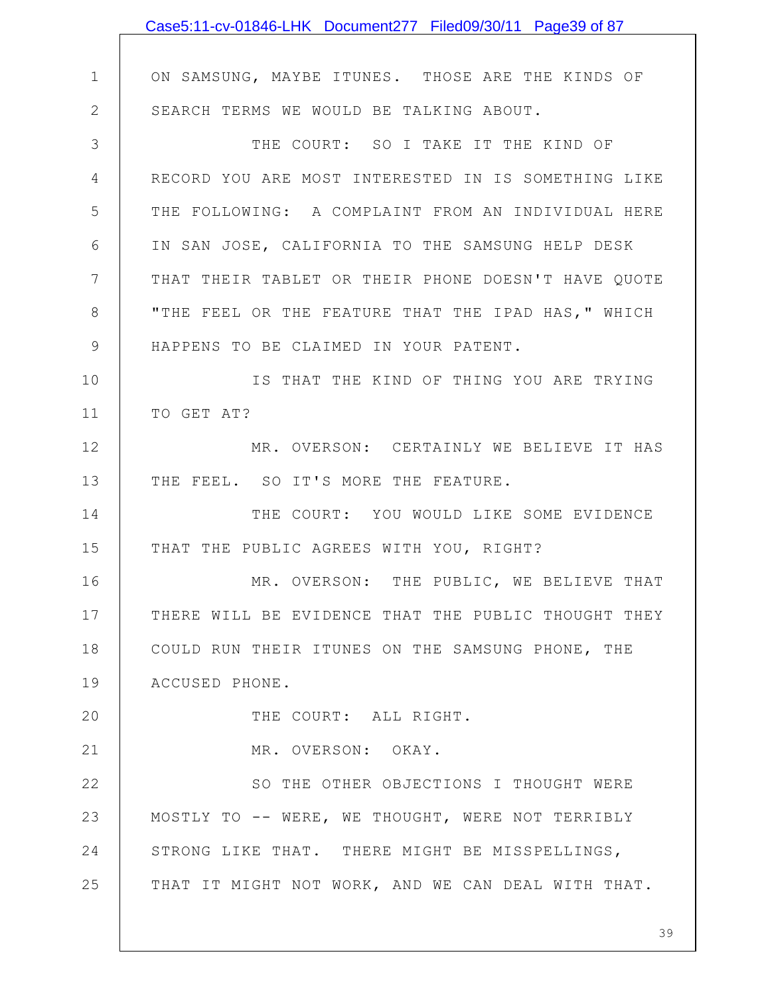|              | Case5:11-cv-01846-LHK Document277 Filed09/30/11 Page39 of 87 |
|--------------|--------------------------------------------------------------|
|              |                                                              |
| $\mathbf 1$  | ON SAMSUNG, MAYBE ITUNES. THOSE ARE THE KINDS OF             |
| $\mathbf{2}$ | SEARCH TERMS WE WOULD BE TALKING ABOUT.                      |
| 3            | THE COURT: SO I TAKE IT THE KIND OF                          |
| 4            | RECORD YOU ARE MOST INTERESTED IN IS SOMETHING LIKE          |
| 5            | THE FOLLOWING: A COMPLAINT FROM AN INDIVIDUAL HERE           |
| 6            | IN SAN JOSE, CALIFORNIA TO THE SAMSUNG HELP DESK             |
| 7            | THAT THEIR TABLET OR THEIR PHONE DOESN'T HAVE QUOTE          |
| 8            | "THE FEEL OR THE FEATURE THAT THE IPAD HAS, " WHICH          |
| 9            | HAPPENS TO BE CLAIMED IN YOUR PATENT.                        |
| 10           | IS THAT THE KIND OF THING YOU ARE TRYING                     |
| 11           | TO GET AT?                                                   |
| 12           | MR. OVERSON: CERTAINLY WE BELIEVE IT HAS                     |
| 13           | THE FEEL. SO IT'S MORE THE FEATURE.                          |
| 14           | THE COURT: YOU WOULD LIKE SOME EVIDENCE                      |
| 15           | THAT THE PUBLIC AGREES WITH YOU, RIGHT?                      |
| 16           | MR. OVERSON: THE PUBLIC, WE BELIEVE THAT                     |
| 17           | THERE WILL BE EVIDENCE THAT THE PUBLIC THOUGHT THEY          |
| 18           | COULD RUN THEIR ITUNES ON THE SAMSUNG PHONE, THE             |
| 19           | ACCUSED PHONE.                                               |
| 20           | THE COURT: ALL RIGHT.                                        |
| 21           | MR. OVERSON: OKAY.                                           |
| 22           | SO THE OTHER OBJECTIONS I THOUGHT WERE                       |
| 23           | MOSTLY TO -- WERE, WE THOUGHT, WERE NOT TERRIBLY             |
| 24           | STRONG LIKE THAT. THERE MIGHT BE MISSPELLINGS,               |
| 25           | THAT IT MIGHT NOT WORK, AND WE CAN DEAL WITH THAT.           |
|              |                                                              |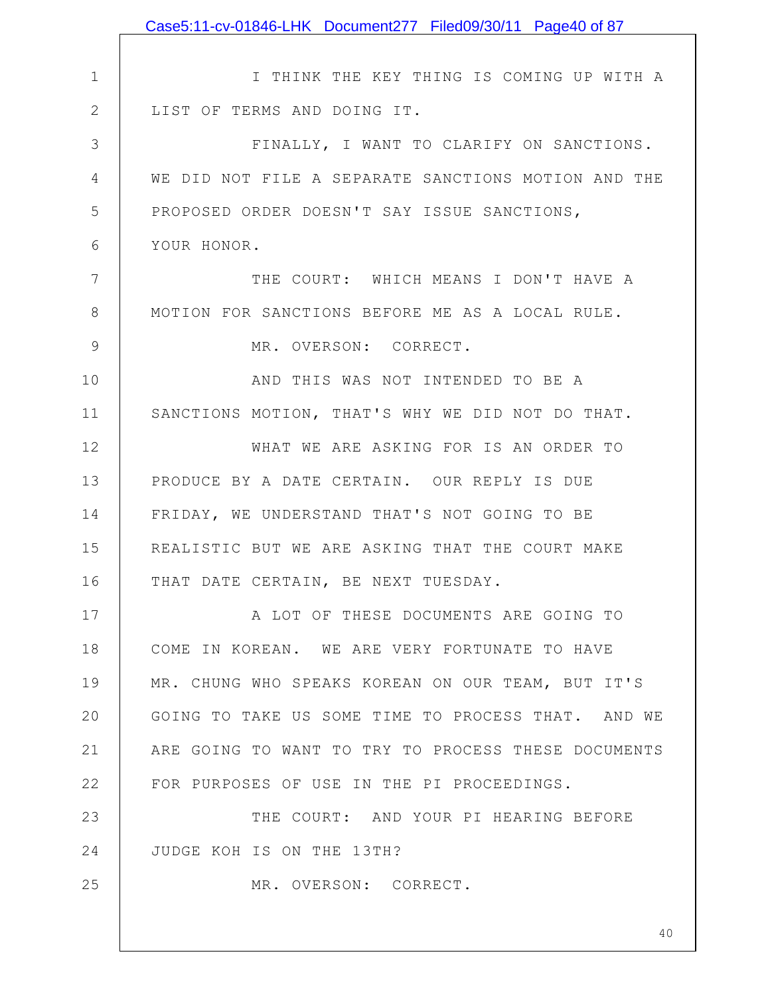|               | Case5:11-cv-01846-LHK Document277 Filed09/30/11 Page40 of 87 |
|---------------|--------------------------------------------------------------|
|               |                                                              |
| 1             | I THINK THE KEY THING IS COMING UP WITH A                    |
| $\mathbf{2}$  | LIST OF TERMS AND DOING IT.                                  |
| $\mathcal{S}$ | FINALLY, I WANT TO CLARIFY ON SANCTIONS.                     |
| 4             | WE DID NOT FILE A SEPARATE SANCTIONS MOTION AND THE          |
| 5             | PROPOSED ORDER DOESN'T SAY ISSUE SANCTIONS,                  |
| 6             | YOUR HONOR.                                                  |
| 7             | THE COURT: WHICH MEANS I DON'T HAVE A                        |
| 8             | MOTION FOR SANCTIONS BEFORE ME AS A LOCAL RULE.              |
| $\mathcal{G}$ | MR. OVERSON: CORRECT.                                        |
| 10            | AND THIS WAS NOT INTENDED TO BE A                            |
| 11            | SANCTIONS MOTION, THAT'S WHY WE DID NOT DO THAT.             |
| 12            | WHAT WE ARE ASKING FOR IS AN ORDER TO                        |
| 13            | PRODUCE BY A DATE CERTAIN. OUR REPLY IS DUE                  |
| 14            | FRIDAY, WE UNDERSTAND THAT'S NOT GOING TO BE                 |
| 15            | REALISTIC BUT WE ARE ASKING THAT THE COURT MAKE              |
| 16            | THAT DATE CERTAIN, BE NEXT TUESDAY.                          |
| 17            | A LOT OF THESE DOCUMENTS ARE GOING TO                        |
| 18            | COME IN KOREAN. WE ARE VERY FORTUNATE TO HAVE                |
| 19            | MR. CHUNG WHO SPEAKS KOREAN ON OUR TEAM, BUT IT'S            |
| 20            | GOING TO TAKE US SOME TIME TO PROCESS THAT. AND WE           |
| 21            | ARE GOING TO WANT TO TRY TO PROCESS THESE DOCUMENTS          |
| 22            | FOR PURPOSES OF USE IN THE PI PROCEEDINGS.                   |
| 23            | THE COURT: AND YOUR PI HEARING BEFORE                        |
| 24            | JUDGE KOH IS ON THE 13TH?                                    |
| 25            | MR. OVERSON: CORRECT.                                        |
|               |                                                              |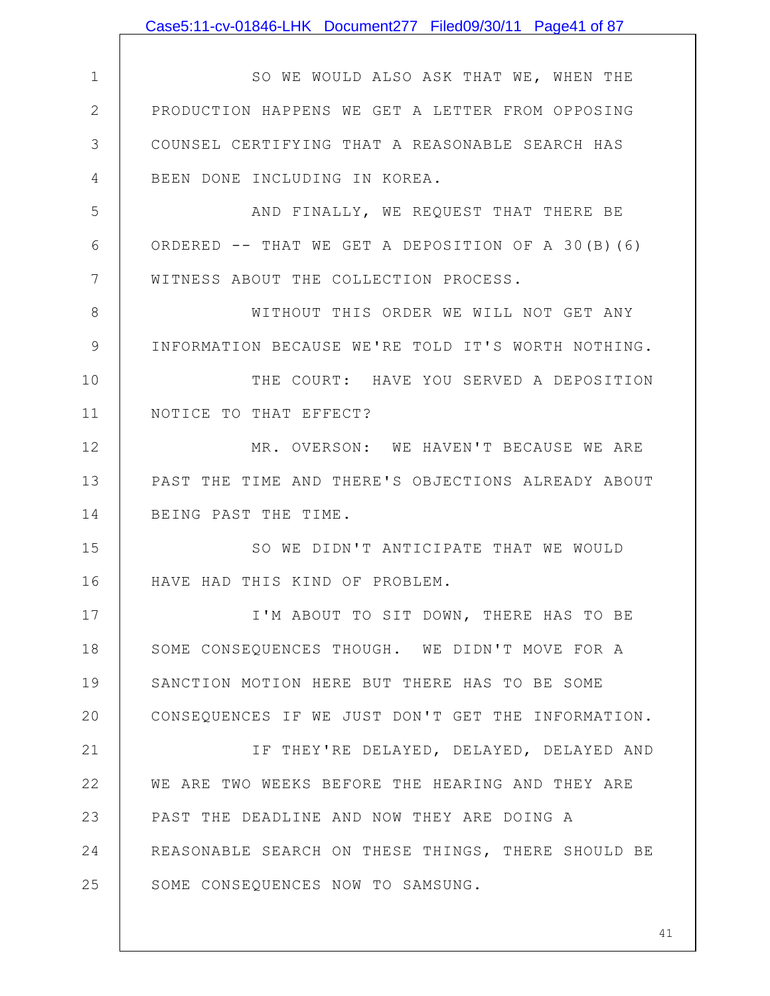| Case5:11-cv-01846-LHK Document277 Filed09/30/11 Page41 of 87 |
|--------------------------------------------------------------|
|                                                              |
| SO WE WOULD ALSO ASK THAT WE, WHEN THE                       |
| PRODUCTION HAPPENS WE GET A LETTER FROM OPPOSING             |
| COUNSEL CERTIFYING THAT A REASONABLE SEARCH HAS              |
| BEEN DONE INCLUDING IN KOREA.                                |
| AND FINALLY, WE REQUEST THAT THERE BE                        |
| ORDERED $--$ THAT WE GET A DEPOSITION OF A 30(B)(6)          |
| WITNESS ABOUT THE COLLECTION PROCESS.                        |
| WITHOUT THIS ORDER WE WILL NOT GET ANY                       |
| INFORMATION BECAUSE WE'RE TOLD IT'S WORTH NOTHING.           |
| THE COURT: HAVE YOU SERVED A DEPOSITION                      |
| NOTICE TO THAT EFFECT?                                       |
| MR. OVERSON: WE HAVEN'T BECAUSE WE ARE                       |
| PAST THE TIME AND THERE'S OBJECTIONS ALREADY ABOUT           |
| BEING PAST THE TIME.                                         |
| SO WE DIDN'T ANTICIPATE THAT WE WOULD                        |
| HAVE HAD THIS KIND OF PROBLEM.                               |
| I'M ABOUT TO SIT DOWN, THERE HAS TO BE                       |
| SOME CONSEQUENCES THOUGH. WE DIDN'T MOVE FOR A               |
| SANCTION MOTION HERE BUT THERE HAS TO BE SOME                |
| CONSEQUENCES IF WE JUST DON'T GET THE INFORMATION.           |
| IF THEY'RE DELAYED, DELAYED, DELAYED AND                     |
| WE ARE TWO WEEKS BEFORE THE HEARING AND THEY ARE             |
| PAST THE DEADLINE AND NOW THEY ARE DOING A                   |
| REASONABLE SEARCH ON THESE THINGS, THERE SHOULD BE           |
| SOME CONSEQUENCES NOW TO SAMSUNG.                            |
|                                                              |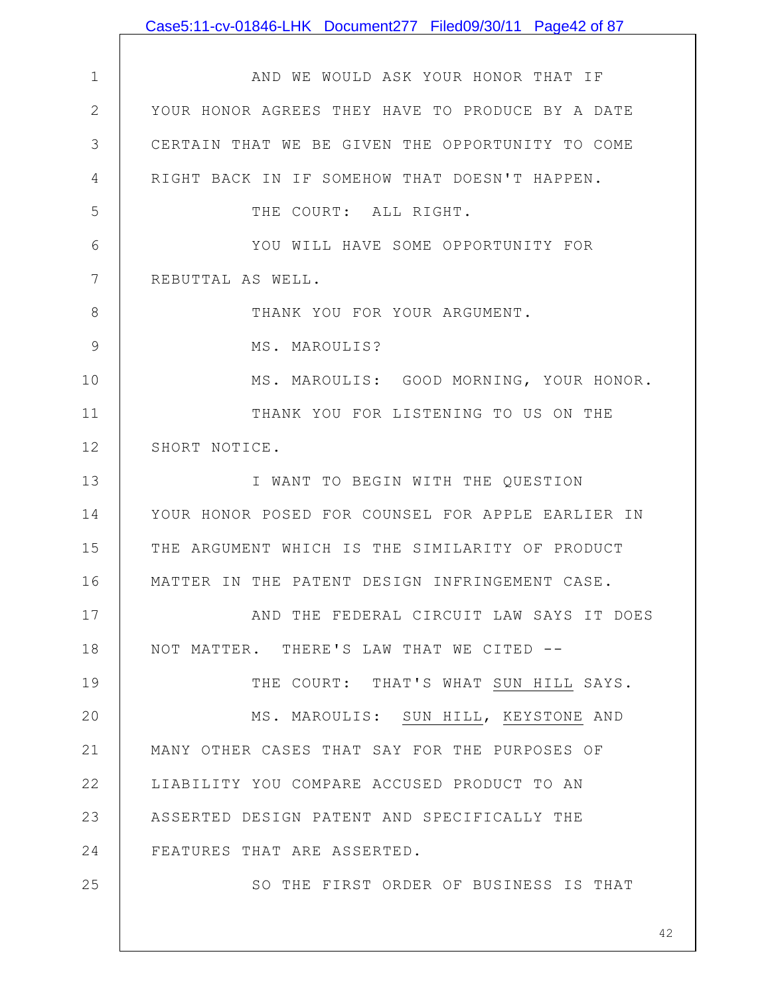1 2 3 4 5 6 7 8 9 10 11 12 13 14 15 16 17 18 19 20 21 22 23 24 25 AND WE WOULD ASK YOUR HONOR THAT IF YOUR HONOR AGREES THEY HAVE TO PRODUCE BY A DATE CERTAIN THAT WE BE GIVEN THE OPPORTUNITY TO COME RIGHT BACK IN IF SOMEHOW THAT DOESN'T HAPPEN. THE COURT: ALL RIGHT. YOU WILL HAVE SOME OPPORTUNITY FOR REBUTTAL AS WELL. THANK YOU FOR YOUR ARGUMENT. MS. MAROULIS? MS. MAROULIS: GOOD MORNING, YOUR HONOR. THANK YOU FOR LISTENING TO US ON THE SHORT NOTICE. I WANT TO BEGIN WITH THE QUESTION YOUR HONOR POSED FOR COUNSEL FOR APPLE EARLIER IN THE ARGUMENT WHICH IS THE SIMILARITY OF PRODUCT MATTER IN THE PATENT DESIGN INFRINGEMENT CASE. AND THE FEDERAL CIRCUIT LAW SAYS IT DOES NOT MATTER. THERE'S LAW THAT WE CITED -- THE COURT: THAT'S WHAT SUN HILL SAYS. MS. MAROULIS: SUN HILL, KEYSTONE AND MANY OTHER CASES THAT SAY FOR THE PURPOSES OF LIABILITY YOU COMPARE ACCUSED PRODUCT TO AN ASSERTED DESIGN PATENT AND SPECIFICALLY THE FEATURES THAT ARE ASSERTED. SO THE FIRST ORDER OF BUSINESS IS THAT Case5:11-cv-01846-LHK Document277 Filed09/30/11 Page42 of 87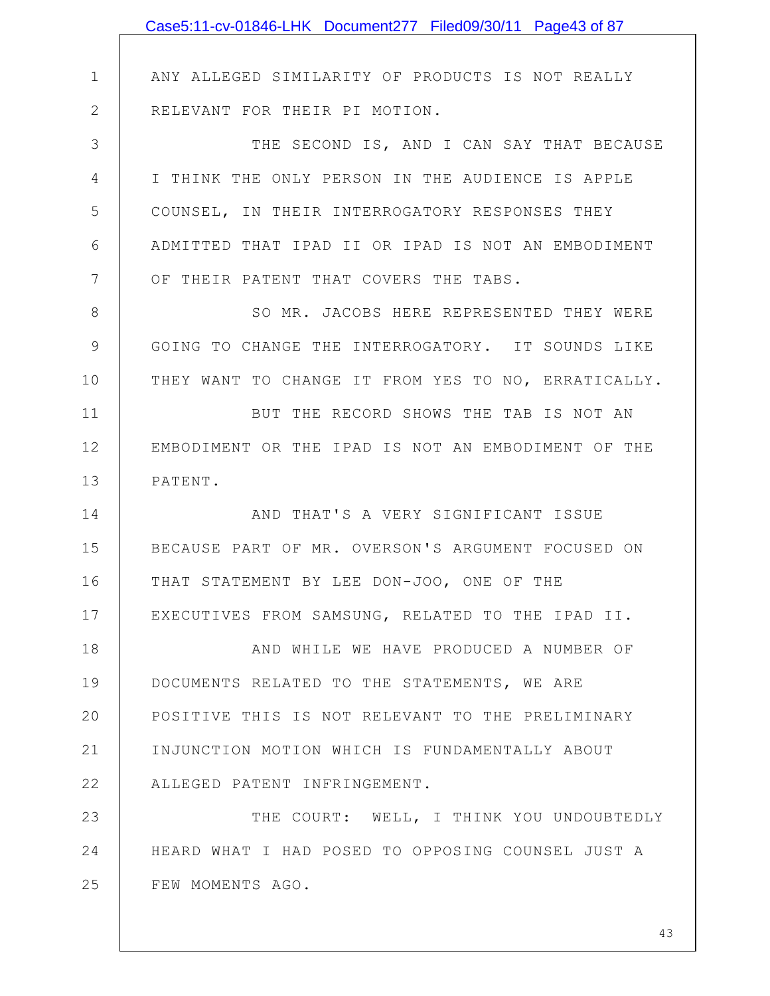|              | Case5:11-cv-01846-LHK Document277 Filed09/30/11 Page43 of 87 |
|--------------|--------------------------------------------------------------|
|              |                                                              |
| $\mathbf 1$  | ANY ALLEGED SIMILARITY OF PRODUCTS IS NOT REALLY             |
| $\mathbf{2}$ | RELEVANT FOR THEIR PI MOTION.                                |
| 3            | THE SECOND IS, AND I CAN SAY THAT BECAUSE                    |
| 4            | I THINK THE ONLY PERSON IN THE AUDIENCE IS APPLE             |
| 5            | COUNSEL, IN THEIR INTERROGATORY RESPONSES THEY               |
| 6            | ADMITTED THAT IPAD II OR IPAD IS NOT AN EMBODIMENT           |
| 7            | OF THEIR PATENT THAT COVERS THE TABS.                        |
| $8\,$        | SO MR. JACOBS HERE REPRESENTED THEY WERE                     |
| 9            | GOING TO CHANGE THE INTERROGATORY. IT SOUNDS LIKE            |
| 10           | THEY WANT TO CHANGE IT FROM YES TO NO, ERRATICALLY.          |
| 11           | BUT THE RECORD SHOWS THE TAB IS NOT AN                       |
| 12           | EMBODIMENT OR THE IPAD IS NOT AN EMBODIMENT OF THE           |
| 13           | PATENT.                                                      |
| 14           | AND THAT'S A VERY SIGNIFICANT ISSUE                          |
| 15           | BECAUSE PART OF MR. OVERSON'S ARGUMENT FOCUSED ON            |
| 16           | THAT STATEMENT BY LEE DON-JOO, ONE OF THE                    |
| 17           | EXECUTIVES FROM SAMSUNG, RELATED TO THE IPAD II.             |
| 18           | AND WHILE WE HAVE PRODUCED A NUMBER OF                       |
| 19           | DOCUMENTS RELATED TO THE STATEMENTS, WE ARE                  |
| 20           | POSITIVE THIS IS NOT RELEVANT TO THE PRELIMINARY             |
| 21           | INJUNCTION MOTION WHICH IS FUNDAMENTALLY ABOUT               |
| 22           | ALLEGED PATENT INFRINGEMENT.                                 |
| 23           | THE COURT: WELL, I THINK YOU UNDOUBTEDLY                     |
| 24           | HEARD WHAT I HAD POSED TO OPPOSING COUNSEL JUST A            |
| 25           | FEW MOMENTS AGO.                                             |
|              |                                                              |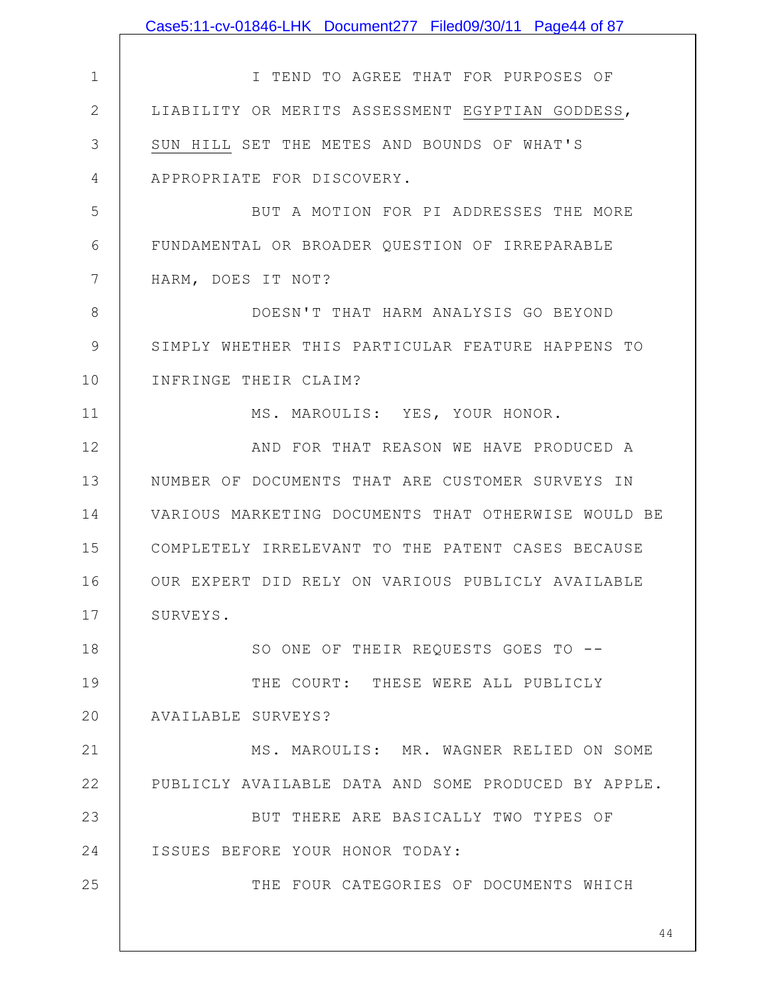|               | Case5:11-cv-01846-LHK Document277 Filed09/30/11 Page44 of 87 |
|---------------|--------------------------------------------------------------|
|               |                                                              |
| $\mathbf 1$   | I TEND TO AGREE THAT FOR PURPOSES OF                         |
| $\mathbf{2}$  | LIABILITY OR MERITS ASSESSMENT EGYPTIAN GODDESS,             |
| 3             | SUN HILL SET THE METES AND BOUNDS OF WHAT'S                  |
| 4             | APPROPRIATE FOR DISCOVERY.                                   |
| 5             | BUT A MOTION FOR PI ADDRESSES THE MORE                       |
| 6             | FUNDAMENTAL OR BROADER QUESTION OF IRREPARABLE               |
| 7             | HARM, DOES IT NOT?                                           |
| 8             | DOESN'T THAT HARM ANALYSIS GO BEYOND                         |
| $\mathcal{G}$ | SIMPLY WHETHER THIS PARTICULAR FEATURE HAPPENS TO            |
| 10            | INFRINGE THEIR CLAIM?                                        |
| 11            | MS. MAROULIS: YES, YOUR HONOR.                               |
| 12            | AND FOR THAT REASON WE HAVE PRODUCED A                       |
| 13            | NUMBER OF DOCUMENTS THAT ARE CUSTOMER SURVEYS IN             |
| 14            | VARIOUS MARKETING DOCUMENTS THAT OTHERWISE WOULD BE          |
| 15            | COMPLETELY IRRELEVANT TO THE PATENT CASES BECAUSE            |
| 16            | OUR EXPERT DID RELY ON VARIOUS PUBLICLY AVAILABLE            |
| 17            | SURVEYS.                                                     |
| 18            | SO ONE OF THEIR REQUESTS GOES TO --                          |
| 19            | THE COURT: THESE WERE ALL PUBLICLY                           |
| 20            | AVAILABLE SURVEYS?                                           |
| 21            | MS. MAROULIS: MR. WAGNER RELIED ON SOME                      |
| 22            | PUBLICLY AVAILABLE DATA AND SOME PRODUCED BY APPLE.          |
| 23            | BUT THERE ARE BASICALLY TWO TYPES OF                         |
| 24            | ISSUES BEFORE YOUR HONOR TODAY:                              |
| 25            | THE FOUR CATEGORIES OF DOCUMENTS WHICH                       |
|               | 44                                                           |
|               |                                                              |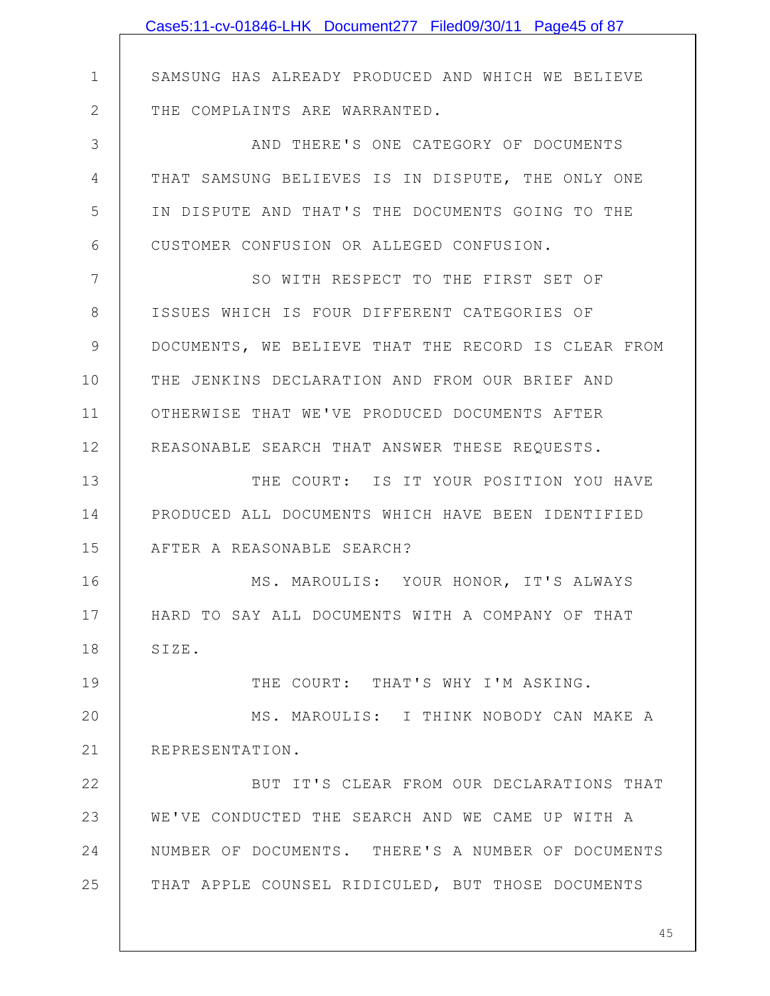|              | Case5:11-cv-01846-LHK Document277 Filed09/30/11 Page45 of 87 |
|--------------|--------------------------------------------------------------|
|              |                                                              |
| $\mathbf 1$  | SAMSUNG HAS ALREADY PRODUCED AND WHICH WE BELIEVE            |
| $\mathbf{2}$ | THE COMPLAINTS ARE WARRANTED.                                |
| 3            | AND THERE'S ONE CATEGORY OF DOCUMENTS                        |
| 4            | THAT SAMSUNG BELIEVES IS IN DISPUTE, THE ONLY ONE            |
| 5            | IN DISPUTE AND THAT'S THE DOCUMENTS GOING TO THE             |
| 6            | CUSTOMER CONFUSION OR ALLEGED CONFUSION.                     |
| 7            | SO WITH RESPECT TO THE FIRST SET OF                          |
| 8            | ISSUES WHICH IS FOUR DIFFERENT CATEGORIES OF                 |
| 9            | DOCUMENTS, WE BELIEVE THAT THE RECORD IS CLEAR FROM          |
| 10           | THE JENKINS DECLARATION AND FROM OUR BRIEF AND               |
| 11           | OTHERWISE THAT WE'VE PRODUCED DOCUMENTS AFTER                |
| 12           | REASONABLE SEARCH THAT ANSWER THESE REQUESTS.                |
| 13           | THE COURT: IS IT YOUR POSITION YOU HAVE                      |
| 14           | PRODUCED ALL DOCUMENTS WHICH HAVE BEEN IDENTIFIED            |
| 15           | AFTER A REASONABLE SEARCH?                                   |
| 16           | MS. MAROULIS: YOUR HONOR, IT'S ALWAYS                        |
| 17           | HARD TO SAY ALL DOCUMENTS WITH A COMPANY OF THAT             |
| 18           | SIZE.                                                        |
| 19           | THE COURT: THAT'S WHY I'M ASKING.                            |
| 20           | MS. MAROULIS: I THINK NOBODY CAN MAKE A                      |
| 21           | REPRESENTATION.                                              |
| 22           | BUT IT'S CLEAR FROM OUR DECLARATIONS THAT                    |
| 23           | WE'VE CONDUCTED THE SEARCH AND WE CAME UP WITH A             |
| 24           | NUMBER OF DOCUMENTS. THERE'S A NUMBER OF DOCUMENTS           |
| 25           | THAT APPLE COUNSEL RIDICULED, BUT THOSE DOCUMENTS            |
|              |                                                              |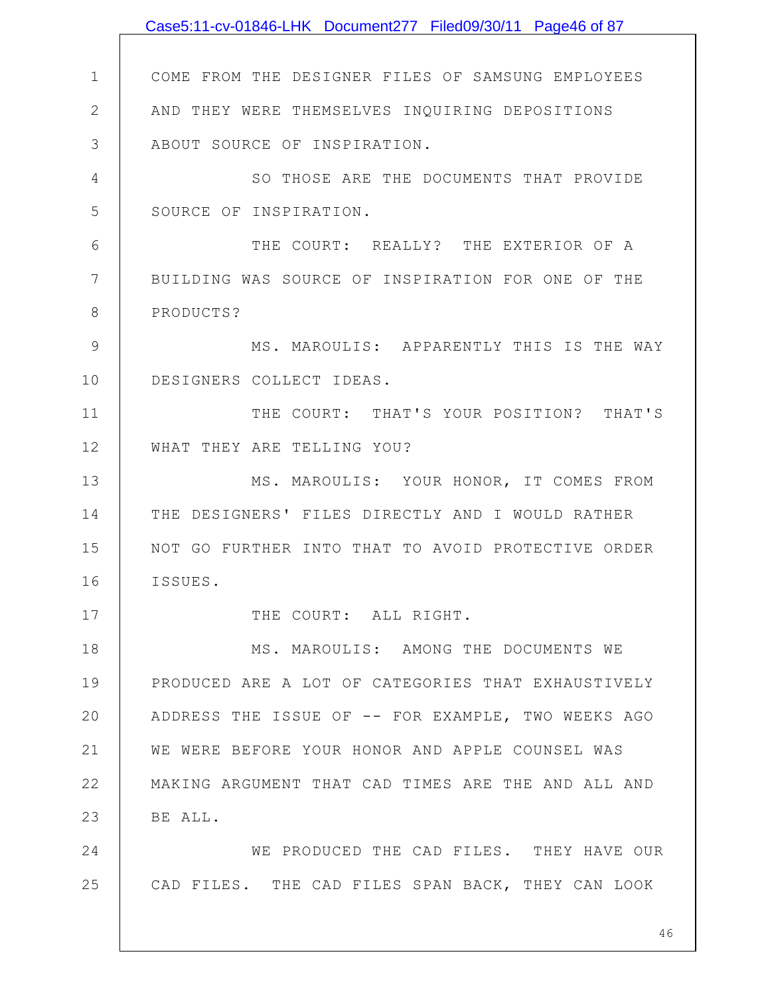|               | Case5:11-cv-01846-LHK Document277 Filed09/30/11 Page46 of 87 |
|---------------|--------------------------------------------------------------|
|               |                                                              |
| $\mathbf{1}$  | COME FROM THE DESIGNER FILES OF SAMSUNG EMPLOYEES            |
| $\mathbf{2}$  | AND THEY WERE THEMSELVES INQUIRING DEPOSITIONS               |
| 3             | ABOUT SOURCE OF INSPIRATION.                                 |
| 4             | SO THOSE ARE THE DOCUMENTS THAT PROVIDE                      |
| 5             | SOURCE OF INSPIRATION.                                       |
| 6             | THE COURT: REALLY? THE EXTERIOR OF A                         |
| 7             | BUILDING WAS SOURCE OF INSPIRATION FOR ONE OF THE            |
| 8             | PRODUCTS?                                                    |
| $\mathcal{G}$ | MS. MAROULIS: APPARENTLY THIS IS THE WAY                     |
| 10            | DESIGNERS COLLECT IDEAS.                                     |
| 11            | THE COURT: THAT'S YOUR POSITION? THAT'S                      |
| 12            | WHAT THEY ARE TELLING YOU?                                   |
| 13            | MS. MAROULIS: YOUR HONOR, IT COMES FROM                      |
| 14            | THE DESIGNERS' FILES DIRECTLY AND I WOULD RATHER             |
| 15            | NOT GO FURTHER INTO THAT TO AVOID PROTECTIVE ORDER           |
| 16            | ISSUES.                                                      |
| 17            | THE COURT: ALL RIGHT.                                        |
| 18            | MS. MAROULIS: AMONG THE DOCUMENTS WE                         |
| 19            | PRODUCED ARE A LOT OF CATEGORIES THAT EXHAUSTIVELY           |
| 20            | ADDRESS THE ISSUE OF -- FOR EXAMPLE, TWO WEEKS AGO           |
| 21            | WE WERE BEFORE YOUR HONOR AND APPLE COUNSEL WAS              |
| 22            | MAKING ARGUMENT THAT CAD TIMES ARE THE AND ALL AND           |
| 23            | BE ALL.                                                      |
| 24            | WE PRODUCED THE CAD FILES. THEY HAVE OUR                     |
| 25            | CAD FILES. THE CAD FILES SPAN BACK, THEY CAN LOOK            |
|               | 46                                                           |
|               |                                                              |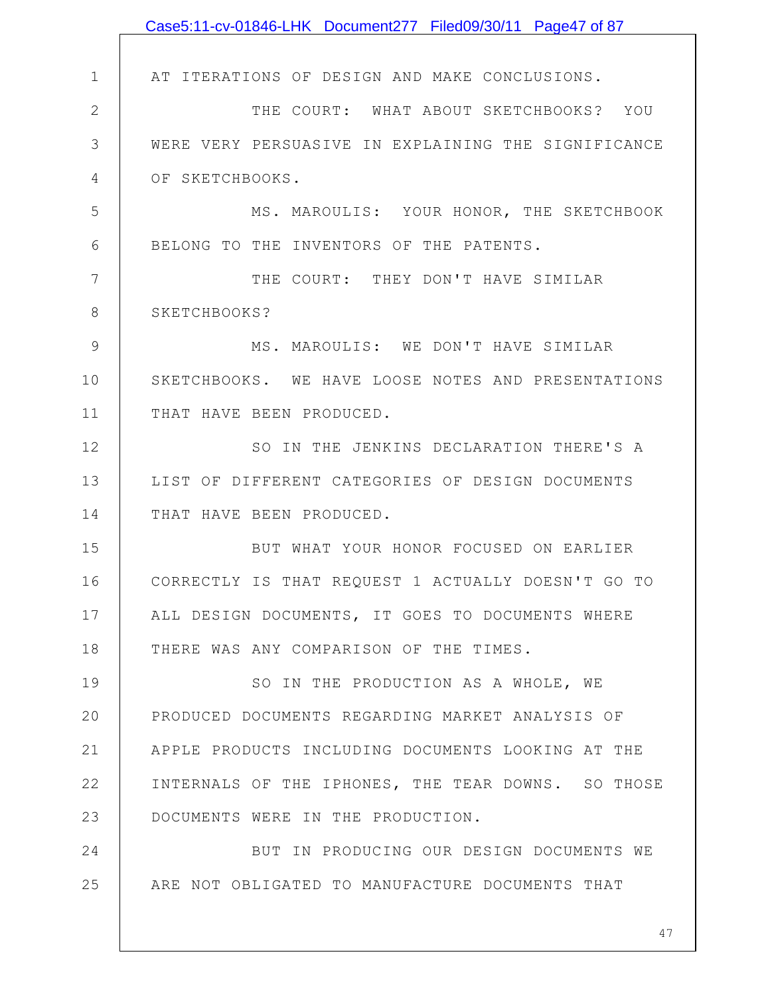|               | Case5:11-cv-01846-LHK Document277 Filed09/30/11 Page47 of 87 |
|---------------|--------------------------------------------------------------|
|               |                                                              |
| $\mathbf 1$   | AT ITERATIONS OF DESIGN AND MAKE CONCLUSIONS.                |
| $\mathbf{2}$  | THE COURT: WHAT ABOUT SKETCHBOOKS? YOU                       |
| 3             | WERE VERY PERSUASIVE IN EXPLAINING THE SIGNIFICANCE          |
| 4             | OF SKETCHBOOKS.                                              |
| 5             | MS. MAROULIS: YOUR HONOR, THE SKETCHBOOK                     |
| 6             | BELONG TO THE INVENTORS OF THE PATENTS.                      |
| 7             | THE COURT: THEY DON'T HAVE SIMILAR                           |
| 8             | SKETCHBOOKS?                                                 |
| $\mathcal{G}$ | MS. MAROULIS: WE DON'T HAVE SIMILAR                          |
| 10            | SKETCHBOOKS. WE HAVE LOOSE NOTES AND PRESENTATIONS           |
| 11            | THAT HAVE BEEN PRODUCED.                                     |
| 12            | SO IN THE JENKINS DECLARATION THERE'S A                      |
| 13            | LIST OF DIFFERENT CATEGORIES OF DESIGN DOCUMENTS             |
| 14            | THAT HAVE BEEN PRODUCED.                                     |
| 15            | BUT WHAT YOUR HONOR FOCUSED ON EARLIER                       |
| 16            | CORRECTLY IS THAT REQUEST 1 ACTUALLY DOESN'T GO TO           |
| 17            | ALL DESIGN DOCUMENTS, IT GOES TO DOCUMENTS WHERE             |
| 18            | THERE WAS ANY COMPARISON OF THE TIMES.                       |
| 19            | SO IN THE PRODUCTION AS A WHOLE, WE                          |
| 20            | PRODUCED DOCUMENTS REGARDING MARKET ANALYSIS OF              |
| 21            | APPLE PRODUCTS INCLUDING DOCUMENTS LOOKING AT THE            |
| 22            | INTERNALS OF THE IPHONES, THE TEAR DOWNS. SO THOSE           |
| 23            | DOCUMENTS WERE IN THE PRODUCTION.                            |
| 24            | BUT IN PRODUCING OUR DESIGN DOCUMENTS WE                     |
| 25            | ARE NOT OBLIGATED TO MANUFACTURE DOCUMENTS THAT              |
|               |                                                              |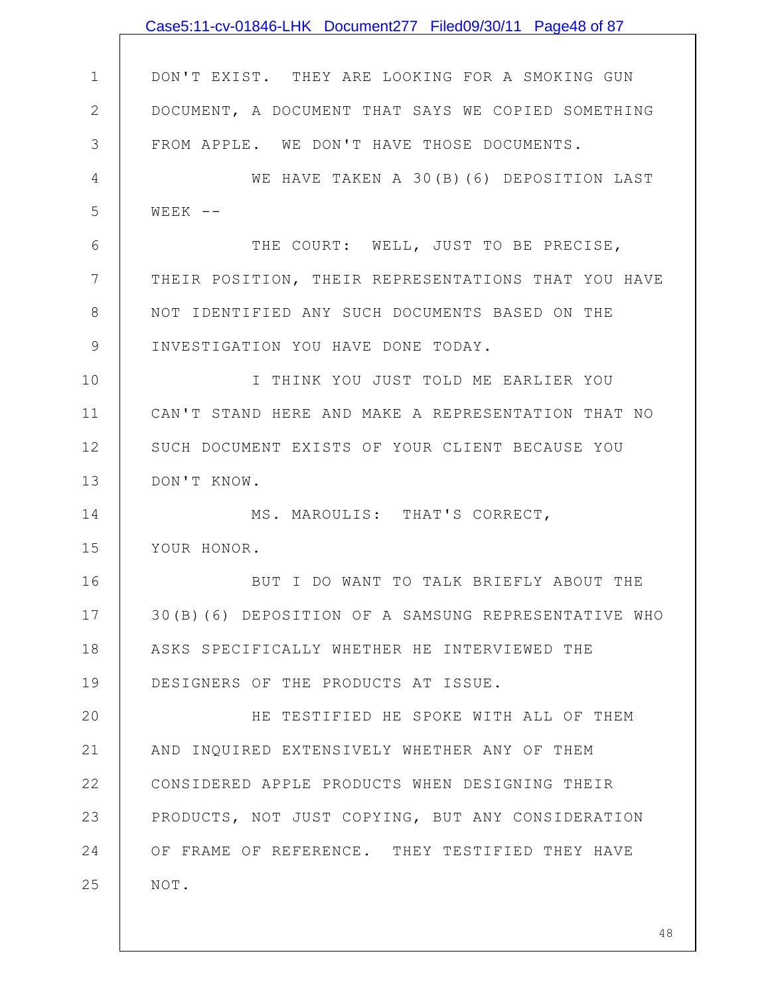|              | Case5:11-cv-01846-LHK Document277 Filed09/30/11 Page48 of 87 |
|--------------|--------------------------------------------------------------|
|              |                                                              |
| $\mathbf 1$  | DON'T EXIST. THEY ARE LOOKING FOR A SMOKING GUN              |
| $\mathbf{2}$ | DOCUMENT, A DOCUMENT THAT SAYS WE COPIED SOMETHING           |
| 3            | FROM APPLE. WE DON'T HAVE THOSE DOCUMENTS.                   |
| 4            | WE HAVE TAKEN A 30(B)(6) DEPOSITION LAST                     |
| 5            | $WEEK$ --                                                    |
| 6            | THE COURT: WELL, JUST TO BE PRECISE,                         |
| 7            | THEIR POSITION, THEIR REPRESENTATIONS THAT YOU HAVE          |
| 8            | NOT IDENTIFIED ANY SUCH DOCUMENTS BASED ON THE               |
| $\mathsf 9$  | INVESTIGATION YOU HAVE DONE TODAY.                           |
| 10           | I THINK YOU JUST TOLD ME EARLIER YOU                         |
| 11           | CAN'T STAND HERE AND MAKE A REPRESENTATION THAT NO           |
| 12           | SUCH DOCUMENT EXISTS OF YOUR CLIENT BECAUSE YOU              |
| 13           | DON'T KNOW.                                                  |
| 14           | MS. MAROULIS: THAT'S CORRECT,                                |
| 15           | YOUR HONOR.                                                  |
| 16           | BUT I DO WANT TO TALK BRIEFLY ABOUT THE                      |
| 17           | 30(B)(6) DEPOSITION OF A SAMSUNG REPRESENTATIVE WHO          |
| 18           | ASKS SPECIFICALLY WHETHER HE INTERVIEWED THE                 |
| 19           | DESIGNERS OF THE PRODUCTS AT ISSUE.                          |
| 20           | HE TESTIFIED HE SPOKE WITH ALL OF THEM                       |
| 21           | AND INQUIRED EXTENSIVELY WHETHER ANY OF THEM                 |
| 22           | CONSIDERED APPLE PRODUCTS WHEN DESIGNING THEIR               |
| 23           | PRODUCTS, NOT JUST COPYING, BUT ANY CONSIDERATION            |
| 24           | OF FRAME OF REFERENCE. THEY TESTIFIED THEY HAVE              |
| 25           | NOT.                                                         |
|              |                                                              |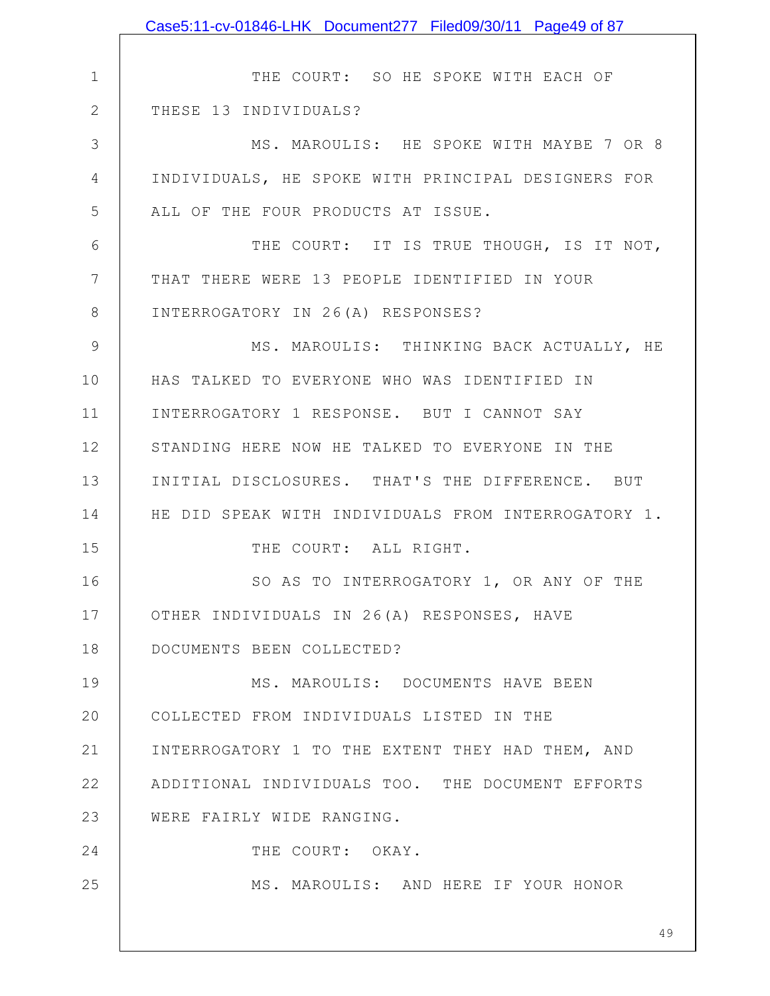|              | Case5:11-cv-01846-LHK Document277 Filed09/30/11 Page49 of 87 |
|--------------|--------------------------------------------------------------|
|              |                                                              |
| 1            | THE COURT: SO HE SPOKE WITH EACH OF                          |
| $\mathbf{2}$ | THESE 13 INDIVIDUALS?                                        |
| 3            | MS. MAROULIS: HE SPOKE WITH MAYBE 7 OR 8                     |
| 4            | INDIVIDUALS, HE SPOKE WITH PRINCIPAL DESIGNERS FOR           |
| 5            | ALL OF THE FOUR PRODUCTS AT ISSUE.                           |
| 6            | THE COURT: IT IS TRUE THOUGH, IS IT NOT,                     |
| 7            | THAT THERE WERE 13 PEOPLE IDENTIFIED IN YOUR                 |
| 8            | INTERROGATORY IN 26(A) RESPONSES?                            |
| 9            | MS. MAROULIS: THINKING BACK ACTUALLY, HE                     |
| 10           | HAS TALKED TO EVERYONE WHO WAS IDENTIFIED IN                 |
| 11           | INTERROGATORY 1 RESPONSE. BUT I CANNOT SAY                   |
| 12           | STANDING HERE NOW HE TALKED TO EVERYONE IN THE               |
| 13           | INITIAL DISCLOSURES. THAT'S THE DIFFERENCE. BUT              |
| 14           | HE DID SPEAK WITH INDIVIDUALS FROM INTERROGATORY 1.          |
| 15           | THE COURT: ALL RIGHT.                                        |
| 16           | SO AS TO INTERROGATORY 1, OR ANY OF THE                      |
| 17           | OTHER INDIVIDUALS IN 26(A) RESPONSES, HAVE                   |
| 18           | DOCUMENTS BEEN COLLECTED?                                    |
| 19           | MS. MAROULIS: DOCUMENTS HAVE BEEN                            |
| 20           | COLLECTED FROM INDIVIDUALS LISTED IN THE                     |
| 21           | INTERROGATORY 1 TO THE EXTENT THEY HAD THEM, AND             |
| 22           | ADDITIONAL INDIVIDUALS TOO. THE DOCUMENT EFFORTS             |
| 23           | WERE FAIRLY WIDE RANGING.                                    |
| 24           | THE COURT: OKAY.                                             |
| 25           | MS. MAROULIS: AND HERE IF YOUR HONOR                         |
|              |                                                              |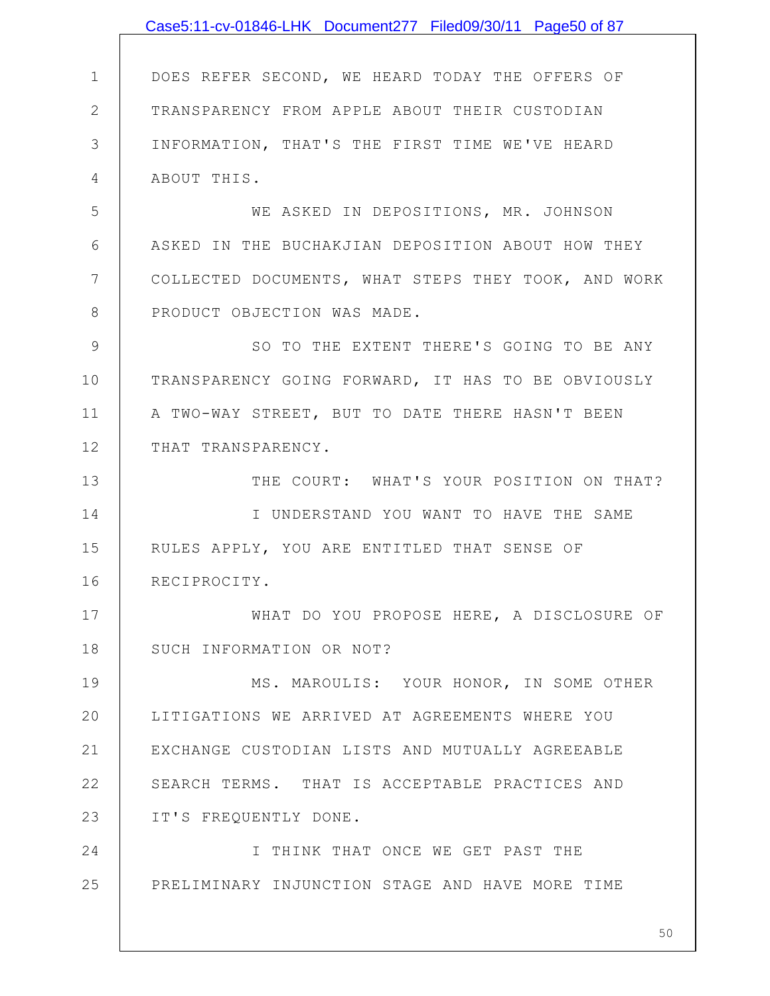|              | Case5:11-cv-01846-LHK Document277 Filed09/30/11 Page50 of 87 |
|--------------|--------------------------------------------------------------|
|              |                                                              |
| $\mathbf 1$  | DOES REFER SECOND, WE HEARD TODAY THE OFFERS OF              |
| $\mathbf{2}$ | TRANSPARENCY FROM APPLE ABOUT THEIR CUSTODIAN                |
| 3            | INFORMATION, THAT'S THE FIRST TIME WE'VE HEARD               |
| 4            | ABOUT THIS.                                                  |
| 5            | WE ASKED IN DEPOSITIONS, MR. JOHNSON                         |
| 6            | ASKED IN THE BUCHAKJIAN DEPOSITION ABOUT HOW THEY            |
| 7            | COLLECTED DOCUMENTS, WHAT STEPS THEY TOOK, AND WORK          |
| 8            | PRODUCT OBJECTION WAS MADE.                                  |
| $\mathsf 9$  | SO TO THE EXTENT THERE'S GOING TO BE ANY                     |
| 10           | TRANSPARENCY GOING FORWARD, IT HAS TO BE OBVIOUSLY           |
| 11           | A TWO-WAY STREET, BUT TO DATE THERE HASN'T BEEN              |
| 12           | THAT TRANSPARENCY.                                           |
| 13           | THE COURT: WHAT'S YOUR POSITION ON THAT?                     |
| 14           | I UNDERSTAND YOU WANT TO HAVE THE SAME                       |
| 15           | RULES APPLY, YOU ARE ENTITLED THAT SENSE OF                  |
| 16           | RECIPROCITY.                                                 |
| 17           | WHAT DO YOU PROPOSE HERE, A DISCLOSURE OF                    |
| 18           | SUCH INFORMATION OR NOT?                                     |
| 19           | MS. MAROULIS: YOUR HONOR, IN SOME OTHER                      |
| 20           | LITIGATIONS WE ARRIVED AT AGREEMENTS WHERE YOU               |
| 21           | EXCHANGE CUSTODIAN LISTS AND MUTUALLY AGREEABLE              |
| 22           | SEARCH TERMS. THAT IS ACCEPTABLE PRACTICES AND               |
| 23           | IT'S FREQUENTLY DONE.                                        |
| 24           | I THINK THAT ONCE WE GET PAST THE                            |
| 25           | PRELIMINARY INJUNCTION STAGE AND HAVE MORE TIME              |
|              |                                                              |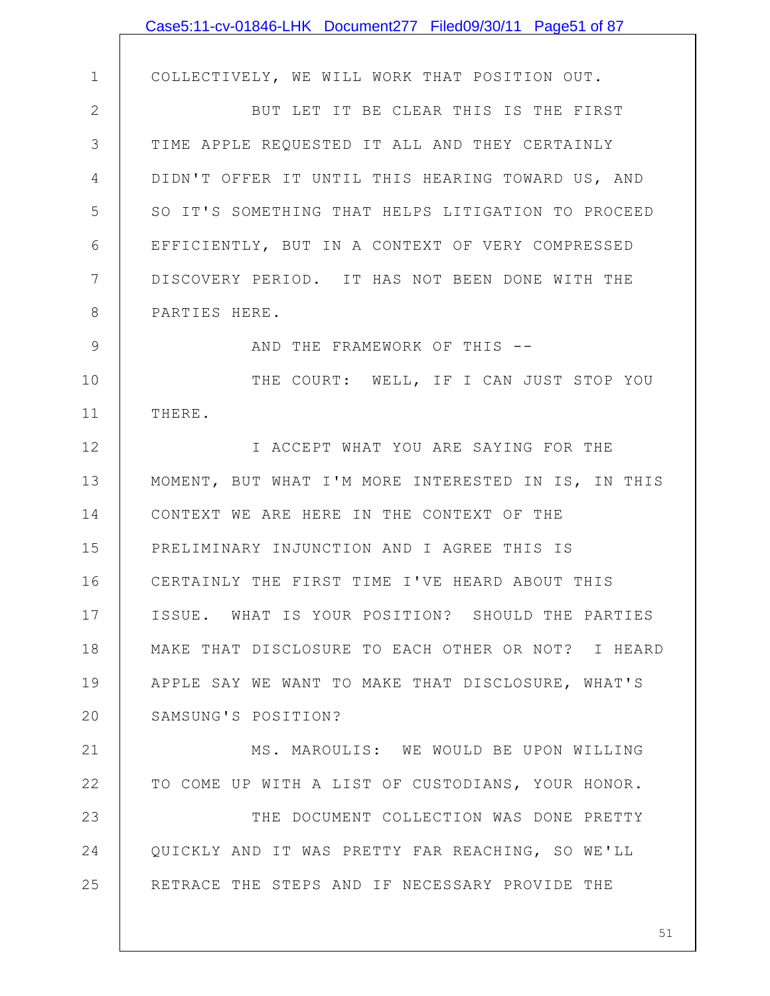|               | Case5:11-cv-01846-LHK Document277 Filed09/30/11 Page51 of 87 |
|---------------|--------------------------------------------------------------|
|               |                                                              |
| $\mathbf 1$   | COLLECTIVELY, WE WILL WORK THAT POSITION OUT.                |
| $\mathbf{2}$  | BUT LET IT BE CLEAR THIS IS THE FIRST                        |
| 3             | TIME APPLE REQUESTED IT ALL AND THEY CERTAINLY               |
| 4             | DIDN'T OFFER IT UNTIL THIS HEARING TOWARD US, AND            |
| 5             | SO IT'S SOMETHING THAT HELPS LITIGATION TO PROCEED           |
| 6             | EFFICIENTLY, BUT IN A CONTEXT OF VERY COMPRESSED             |
| 7             | DISCOVERY PERIOD. IT HAS NOT BEEN DONE WITH THE              |
| 8             | PARTIES HERE.                                                |
| $\mathcal{G}$ | AND THE FRAMEWORK OF THIS --                                 |
| 10            | THE COURT: WELL, IF I CAN JUST STOP YOU                      |
| 11            | THERE.                                                       |
| 12            | I ACCEPT WHAT YOU ARE SAYING FOR THE                         |
| 13            | MOMENT, BUT WHAT I'M MORE INTERESTED IN IS, IN THIS          |
| 14            | CONTEXT WE ARE HERE IN THE CONTEXT OF THE                    |
| 15            | PRELIMINARY INJUNCTION AND I AGREE THIS IS                   |
| 16            | CERTAINLY THE FIRST TIME I'VE HEARD ABOUT THIS               |
| 17            | ISSUE. WHAT IS YOUR POSITION? SHOULD THE PARTIES             |
| 18            | MAKE THAT DISCLOSURE TO EACH OTHER OR NOT? I HEARD           |
| 19            | APPLE SAY WE WANT TO MAKE THAT DISCLOSURE, WHAT'S            |
| 20            | SAMSUNG'S POSITION?                                          |
| 21            | MS. MAROULIS: WE WOULD BE UPON WILLING                       |
| 22            | TO COME UP WITH A LIST OF CUSTODIANS, YOUR HONOR.            |
| 23            | THE DOCUMENT COLLECTION WAS DONE PRETTY                      |
| 24            | QUICKLY AND IT WAS PRETTY FAR REACHING, SO WE'LL             |
| 25            | RETRACE THE STEPS AND IF NECESSARY PROVIDE THE               |
|               |                                                              |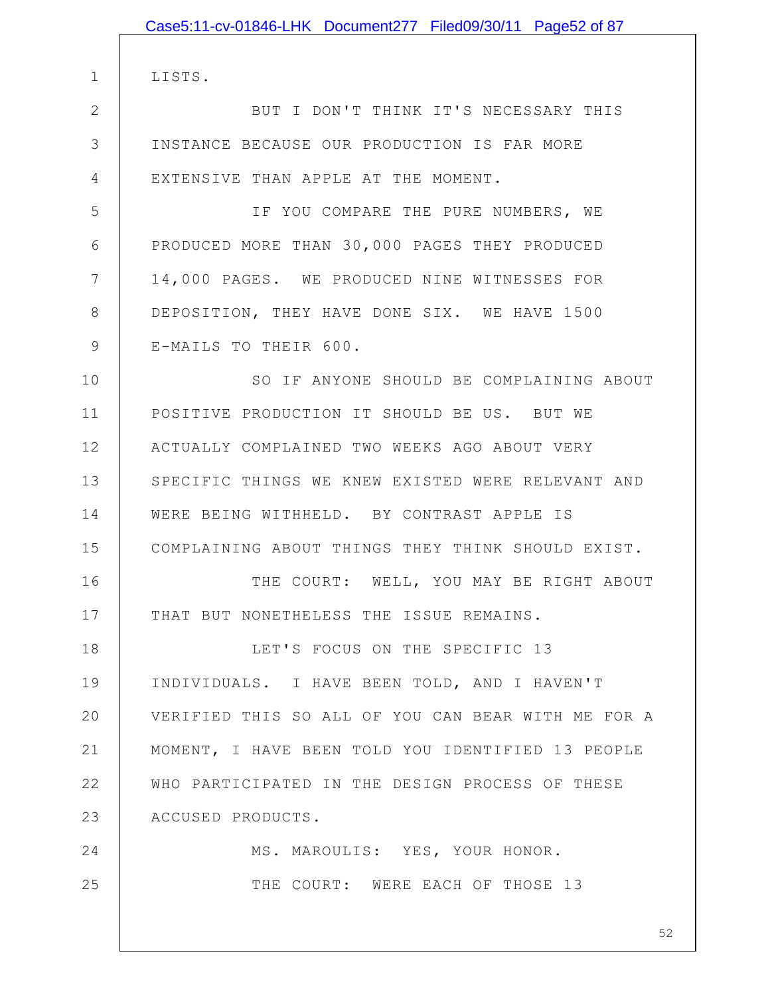|               | Case5:11-cv-01846-LHK Document277 Filed09/30/11 Page52 of 87 |
|---------------|--------------------------------------------------------------|
|               |                                                              |
| 1             | LISTS.                                                       |
| 2             | BUT I DON'T THINK IT'S NECESSARY THIS                        |
| 3             | INSTANCE BECAUSE OUR PRODUCTION IS FAR MORE                  |
| 4             | EXTENSIVE THAN APPLE AT THE MOMENT.                          |
| 5             | IF YOU COMPARE THE PURE NUMBERS, WE                          |
| 6             | PRODUCED MORE THAN 30,000 PAGES THEY PRODUCED                |
| 7             | 14,000 PAGES. WE PRODUCED NINE WITNESSES FOR                 |
| 8             | DEPOSITION, THEY HAVE DONE SIX. WE HAVE 1500                 |
| $\mathcal{G}$ | E-MAILS TO THEIR 600.                                        |
| 10            | SO IF ANYONE SHOULD BE COMPLAINING ABOUT                     |
| 11            | POSITIVE PRODUCTION IT SHOULD BE US. BUT WE                  |
| 12            | ACTUALLY COMPLAINED TWO WEEKS AGO ABOUT VERY                 |
| 13            | SPECIFIC THINGS WE KNEW EXISTED WERE RELEVANT AND            |
| 14            | WERE BEING WITHHELD. BY CONTRAST APPLE IS                    |
| 15            | COMPLAINING ABOUT THINGS THEY THINK SHOULD EXIST.            |
| 16            | THE COURT: WELL, YOU MAY BE RIGHT ABOUT                      |
| 17            | THAT BUT NONETHELESS THE ISSUE REMAINS.                      |
| 18            | LET'S FOCUS ON THE SPECIFIC 13                               |
| 19            | INDIVIDUALS. I HAVE BEEN TOLD, AND I HAVEN'T                 |
| 20            | VERIFIED THIS SO ALL OF YOU CAN BEAR WITH ME FOR A           |
| 21            | MOMENT, I HAVE BEEN TOLD YOU IDENTIFIED 13 PEOPLE            |
| 22            | WHO PARTICIPATED IN THE DESIGN PROCESS OF THESE              |
| 23            | ACCUSED PRODUCTS.                                            |
| 24            | MS. MAROULIS: YES, YOUR HONOR.                               |
| 25            | THE COURT: WERE EACH OF THOSE 13                             |
|               |                                                              |
|               | 52                                                           |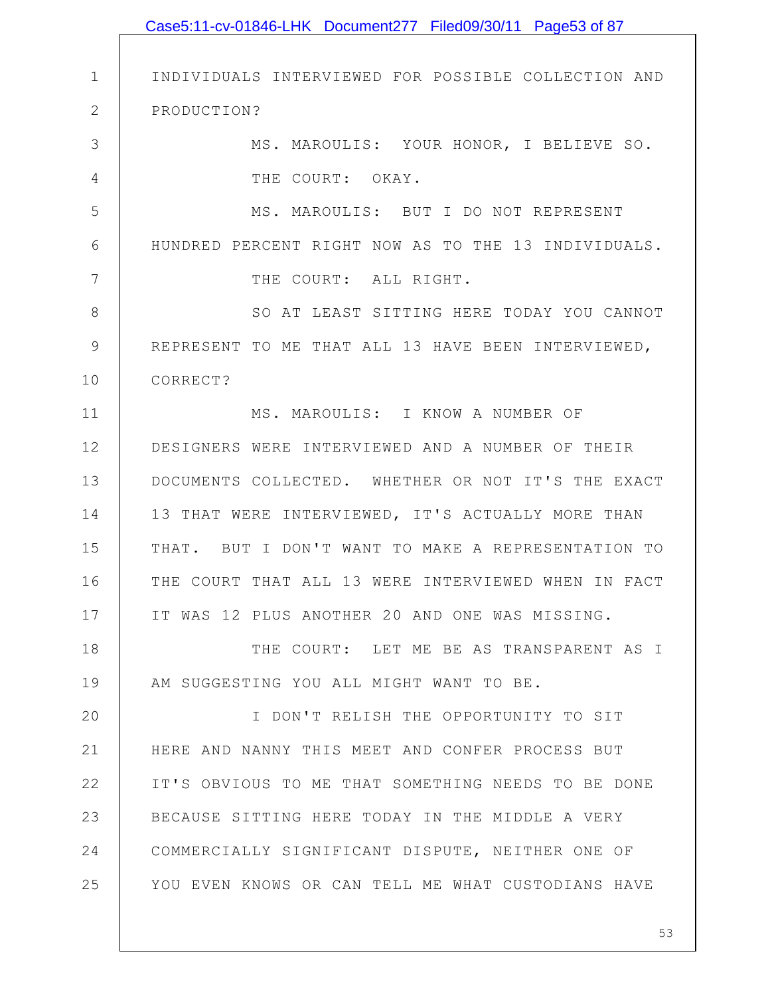|                | Case5:11-cv-01846-LHK Document277 Filed09/30/11 Page53 of 87 |
|----------------|--------------------------------------------------------------|
|                |                                                              |
| $\mathbf 1$    | INDIVIDUALS INTERVIEWED FOR POSSIBLE COLLECTION AND          |
| $\mathbf{2}$   | PRODUCTION?                                                  |
| 3              | MS. MAROULIS: YOUR HONOR, I BELIEVE SO.                      |
| 4              | THE COURT: OKAY.                                             |
| 5              | MS. MAROULIS: BUT I DO NOT REPRESENT                         |
| 6              | HUNDRED PERCENT RIGHT NOW AS TO THE 13 INDIVIDUALS.          |
| $7\phantom{.}$ | THE COURT: ALL RIGHT.                                        |
| $\,8\,$        | SO AT LEAST SITTING HERE TODAY YOU CANNOT                    |
| $\mathcal{G}$  | REPRESENT TO ME THAT ALL 13 HAVE BEEN INTERVIEWED,           |
| 10             | CORRECT?                                                     |
| 11             | MS. MAROULIS: I KNOW A NUMBER OF                             |
| 12             | DESIGNERS WERE INTERVIEWED AND A NUMBER OF THEIR             |
| 13             | DOCUMENTS COLLECTED. WHETHER OR NOT IT'S THE EXACT           |
| 14             | 13 THAT WERE INTERVIEWED, IT'S ACTUALLY MORE THAN            |
| 15             | THAT. BUT I DON'T WANT TO MAKE A REPRESENTATION TO           |
| 16             | THE COURT THAT ALL 13 WERE INTERVIEWED WHEN IN FACT          |
| 17             | IT WAS 12 PLUS ANOTHER 20 AND ONE WAS MISSING.               |
| 18             | THE COURT: LET ME BE AS TRANSPARENT AS I                     |
| 19             | AM SUGGESTING YOU ALL MIGHT WANT TO BE.                      |
| 20             | I DON'T RELISH THE OPPORTUNITY TO SIT                        |
| 21             | HERE AND NANNY THIS MEET AND CONFER PROCESS BUT              |
| 22             | IT'S OBVIOUS TO ME THAT SOMETHING NEEDS TO BE DONE           |
| 23             | BECAUSE SITTING HERE TODAY IN THE MIDDLE A VERY              |
| 24             | COMMERCIALLY SIGNIFICANT DISPUTE, NEITHER ONE OF             |
| 25             | YOU EVEN KNOWS OR CAN TELL ME WHAT CUSTODIANS HAVE           |
|                |                                                              |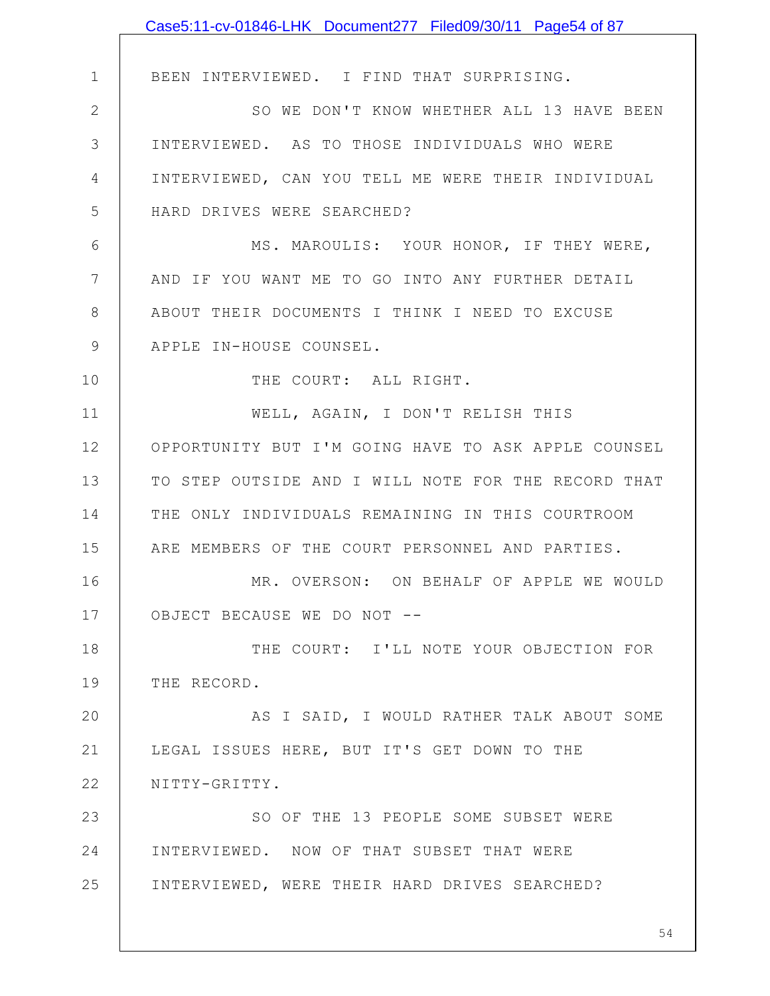|             | Case5:11-cv-01846-LHK Document277 Filed09/30/11 Page54 of 87 |
|-------------|--------------------------------------------------------------|
|             |                                                              |
| $\mathbf 1$ | BEEN INTERVIEWED. I FIND THAT SURPRISING.                    |
| 2           | SO WE DON'T KNOW WHETHER ALL 13 HAVE BEEN                    |
| 3           | INTERVIEWED. AS TO THOSE INDIVIDUALS WHO WERE                |
| 4           | INTERVIEWED, CAN YOU TELL ME WERE THEIR INDIVIDUAL           |
| 5           | HARD DRIVES WERE SEARCHED?                                   |
| 6           | MS. MAROULIS: YOUR HONOR, IF THEY WERE,                      |
| 7           | AND IF YOU WANT ME TO GO INTO ANY FURTHER DETAIL             |
| 8           | ABOUT THEIR DOCUMENTS I THINK I NEED TO EXCUSE               |
| 9           | APPLE IN-HOUSE COUNSEL.                                      |
| 10          | THE COURT: ALL RIGHT.                                        |
| 11          | WELL, AGAIN, I DON'T RELISH THIS                             |
| 12          | OPPORTUNITY BUT I'M GOING HAVE TO ASK APPLE COUNSEL          |
| 13          | TO STEP OUTSIDE AND I WILL NOTE FOR THE RECORD THAT          |
| 14          | THE ONLY INDIVIDUALS REMAINING IN THIS COURTROOM             |
| 15          | ARE MEMBERS OF THE COURT PERSONNEL AND PARTIES.              |
| 16          | MR. OVERSON: ON BEHALF OF APPLE WE WOULD                     |
| 17          | OBJECT BECAUSE WE DO NOT --                                  |
| 18          | THE COURT: I'LL NOTE YOUR OBJECTION FOR                      |
| 19          | THE RECORD.                                                  |
| 20          | AS I SAID, I WOULD RATHER TALK ABOUT SOME                    |
| 21          | LEGAL ISSUES HERE, BUT IT'S GET DOWN TO THE                  |
| 22          | NITTY-GRITTY.                                                |
| 23          | SO OF THE 13 PEOPLE SOME SUBSET WERE                         |
| 24          | INTERVIEWED. NOW OF THAT SUBSET THAT WERE                    |
| 25          | INTERVIEWED, WERE THEIR HARD DRIVES SEARCHED?                |
|             |                                                              |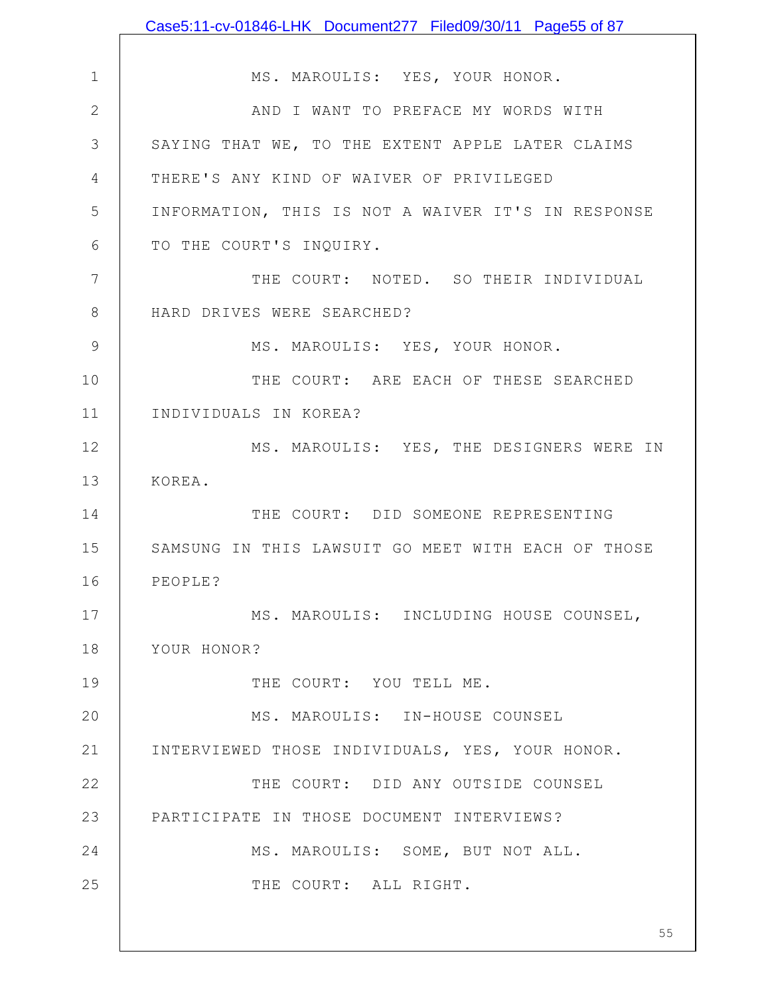|               | Case5:11-cv-01846-LHK Document277 Filed09/30/11 Page55 of 87 |
|---------------|--------------------------------------------------------------|
|               |                                                              |
| $\mathbf 1$   | MS. MAROULIS: YES, YOUR HONOR.                               |
| $\mathbf{2}$  | AND I WANT TO PREFACE MY WORDS WITH                          |
| 3             | SAYING THAT WE, TO THE EXTENT APPLE LATER CLAIMS             |
| 4             | THERE'S ANY KIND OF WAIVER OF PRIVILEGED                     |
| 5             | INFORMATION, THIS IS NOT A WAIVER IT'S IN RESPONSE           |
| 6             | TO THE COURT'S INQUIRY.                                      |
| 7             | THE COURT: NOTED. SO THEIR INDIVIDUAL                        |
| 8             | HARD DRIVES WERE SEARCHED?                                   |
| $\mathcal{G}$ | MS. MAROULIS: YES, YOUR HONOR.                               |
| 10            | THE COURT: ARE EACH OF THESE SEARCHED                        |
| 11            | INDIVIDUALS IN KOREA?                                        |
| 12            | MS. MAROULIS: YES, THE DESIGNERS WERE IN                     |
| 13            | KOREA.                                                       |
| 14            | THE COURT: DID SOMEONE REPRESENTING                          |
| 15            | SAMSUNG IN THIS LAWSUIT GO MEET WITH EACH OF THOSE           |
| 16            | PEOPLE?                                                      |
| 17            | MS. MAROULIS: INCLUDING HOUSE COUNSEL,                       |
| 18            | YOUR HONOR?                                                  |
| 19            | THE COURT: YOU TELL ME.                                      |
| 20            | MS. MAROULIS: IN-HOUSE COUNSEL                               |
| 21            | INTERVIEWED THOSE INDIVIDUALS, YES, YOUR HONOR.              |
| 22            | THE COURT: DID ANY OUTSIDE COUNSEL                           |
| 23            | PARTICIPATE IN THOSE DOCUMENT INTERVIEWS?                    |
| 24            | MS. MAROULIS: SOME, BUT NOT ALL.                             |
| 25            | THE COURT: ALL RIGHT.                                        |
|               | 55                                                           |
|               |                                                              |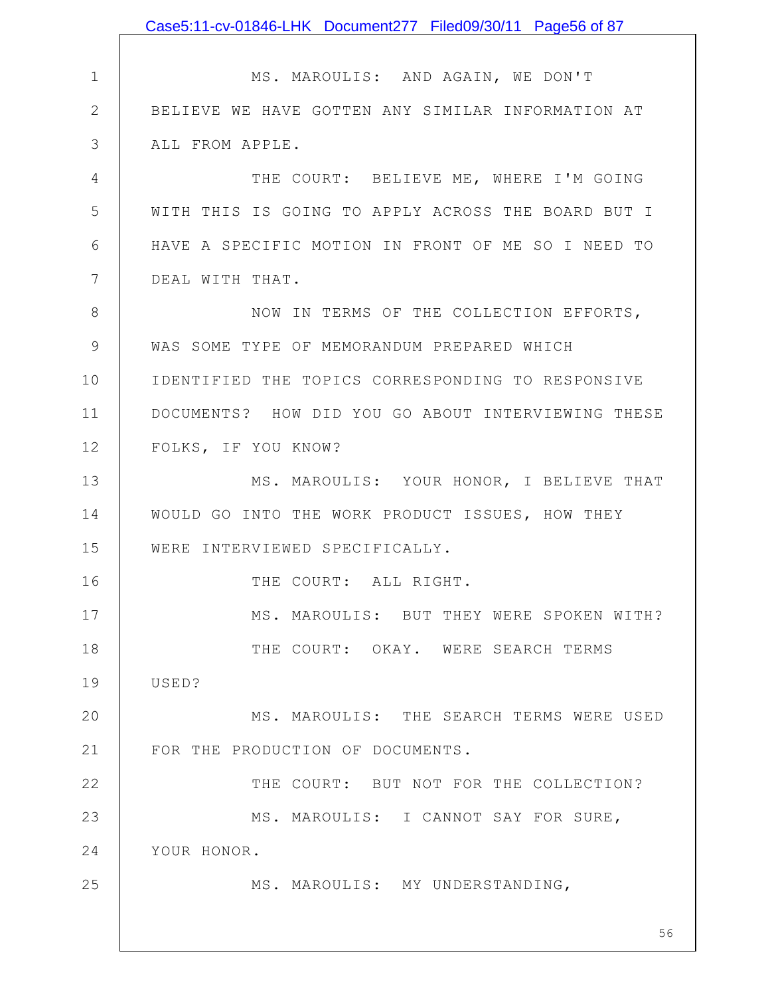|                | Case5:11-cv-01846-LHK Document277 Filed09/30/11 Page56 of 87 |
|----------------|--------------------------------------------------------------|
|                |                                                              |
| $\mathbf 1$    | MS. MAROULIS: AND AGAIN, WE DON'T                            |
| $\mathbf{2}$   | BELIEVE WE HAVE GOTTEN ANY SIMILAR INFORMATION AT            |
| 3              | ALL FROM APPLE.                                              |
| $\overline{4}$ | THE COURT: BELIEVE ME, WHERE I'M GOING                       |
| 5              | WITH THIS IS GOING TO APPLY ACROSS THE BOARD BUT I           |
| 6              | HAVE A SPECIFIC MOTION IN FRONT OF ME SO I NEED TO           |
| $\overline{7}$ | DEAL WITH THAT.                                              |
| $8\,$          | NOW IN TERMS OF THE COLLECTION EFFORTS,                      |
| $\mathcal{G}$  | WAS SOME TYPE OF MEMORANDUM PREPARED WHICH                   |
| 10             | IDENTIFIED THE TOPICS CORRESPONDING TO RESPONSIVE            |
| 11             | DOCUMENTS? HOW DID YOU GO ABOUT INTERVIEWING THESE           |
| 12             | FOLKS, IF YOU KNOW?                                          |
| 13             | MS. MAROULIS: YOUR HONOR, I BELIEVE THAT                     |
| 14             | WOULD GO INTO THE WORK PRODUCT ISSUES, HOW THEY              |
| 15             | WERE INTERVIEWED SPECIFICALLY.                               |
| 16             | THE COURT: ALL RIGHT.                                        |
| 17             | MS. MAROULIS: BUT THEY WERE SPOKEN WITH?                     |
| 18             | THE COURT: OKAY. WERE SEARCH TERMS                           |
| 19             | USED?                                                        |
| 20             | MS. MAROULIS: THE SEARCH TERMS WERE USED                     |
| 21             | FOR THE PRODUCTION OF DOCUMENTS.                             |
| 22             | THE COURT: BUT NOT FOR THE COLLECTION?                       |
| 23             | MS. MAROULIS: I CANNOT SAY FOR SURE,                         |
| 24             | YOUR HONOR.                                                  |
| 25             | MS. MAROULIS: MY UNDERSTANDING,                              |
|                |                                                              |
|                | 56                                                           |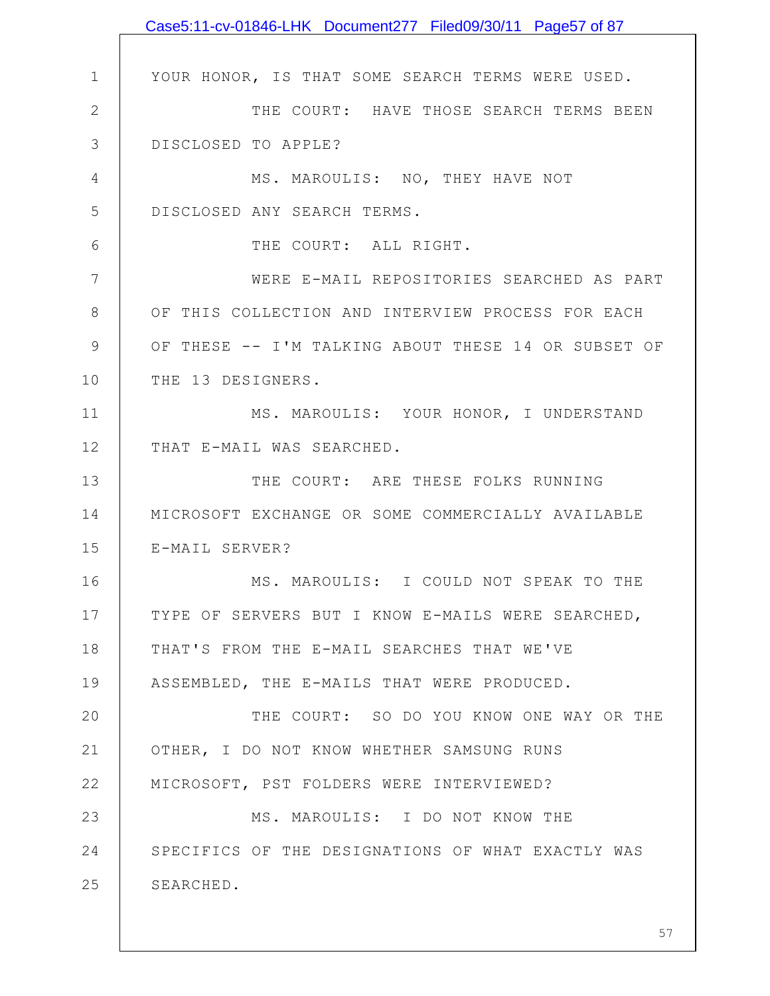|              | Case5:11-cv-01846-LHK Document277 Filed09/30/11 Page57 of 87 |
|--------------|--------------------------------------------------------------|
|              |                                                              |
| $\mathbf{1}$ | YOUR HONOR, IS THAT SOME SEARCH TERMS WERE USED.             |
| $\mathbf{2}$ | THE COURT: HAVE THOSE SEARCH TERMS BEEN                      |
| 3            | DISCLOSED TO APPLE?                                          |
| 4            | MS. MAROULIS: NO, THEY HAVE NOT                              |
| 5            | DISCLOSED ANY SEARCH TERMS.                                  |
| 6            | THE COURT: ALL RIGHT.                                        |
| 7            | WERE E-MAIL REPOSITORIES SEARCHED AS PART                    |
| 8            | OF THIS COLLECTION AND INTERVIEW PROCESS FOR EACH            |
| 9            | OF THESE -- I'M TALKING ABOUT THESE 14 OR SUBSET OF          |
| 10           | THE 13 DESIGNERS.                                            |
| 11           | MS. MAROULIS: YOUR HONOR, I UNDERSTAND                       |
| 12           | THAT E-MAIL WAS SEARCHED.                                    |
| 13           | THE COURT: ARE THESE FOLKS RUNNING                           |
| 14           | MICROSOFT EXCHANGE OR SOME COMMERCIALLY AVAILABLE            |
| 15           | E-MAIL SERVER?                                               |
| 16           | MS. MAROULIS: I COULD NOT SPEAK TO THE                       |
| 17           | TYPE OF SERVERS BUT I KNOW E-MAILS WERE SEARCHED,            |
| 18           | THAT'S FROM THE E-MAIL SEARCHES THAT WE'VE                   |
| 19           | ASSEMBLED, THE E-MAILS THAT WERE PRODUCED.                   |
| 20           | THE COURT: SO DO YOU KNOW ONE WAY OR THE                     |
| 21           | OTHER, I DO NOT KNOW WHETHER SAMSUNG RUNS                    |
| 22           | MICROSOFT, PST FOLDERS WERE INTERVIEWED?                     |
| 23           | MS. MAROULIS: I DO NOT KNOW THE                              |
| 24           | SPECIFICS OF THE DESIGNATIONS OF WHAT EXACTLY WAS            |
| 25           | SEARCHED.                                                    |
|              |                                                              |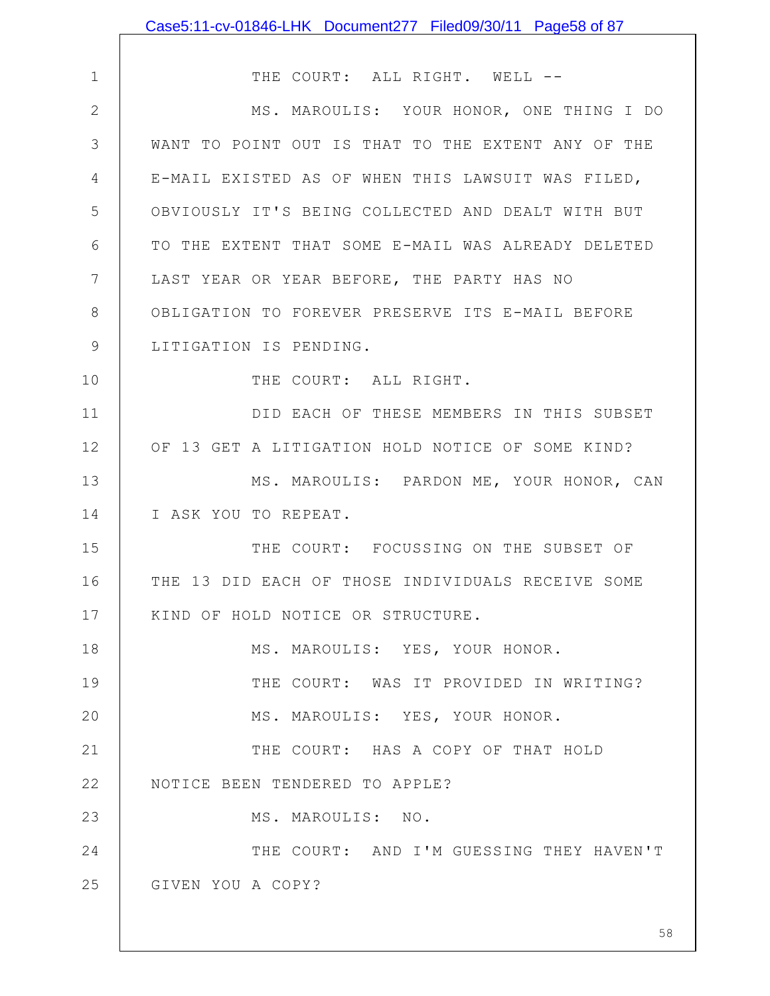|                | Case5:11-cv-01846-LHK Document277 Filed09/30/11 Page58 of 87 |
|----------------|--------------------------------------------------------------|
|                |                                                              |
| $\mathbf 1$    | THE COURT: ALL RIGHT. WELL --                                |
| $\mathbf{2}$   | MS. MAROULIS: YOUR HONOR, ONE THING I DO                     |
| 3              | WANT TO POINT OUT IS THAT TO THE EXTENT ANY OF THE           |
| 4              | E-MAIL EXISTED AS OF WHEN THIS LAWSUIT WAS FILED,            |
| 5              | OBVIOUSLY IT'S BEING COLLECTED AND DEALT WITH BUT            |
| 6              | TO THE EXTENT THAT SOME E-MAIL WAS ALREADY DELETED           |
| $7\phantom{.}$ | LAST YEAR OR YEAR BEFORE, THE PARTY HAS NO                   |
| 8              | OBLIGATION TO FOREVER PRESERVE ITS E-MAIL BEFORE             |
| 9              | LITIGATION IS PENDING.                                       |
| 10             | THE COURT: ALL RIGHT.                                        |
| 11             | DID EACH OF THESE MEMBERS IN THIS SUBSET                     |
| 12             | OF 13 GET A LITIGATION HOLD NOTICE OF SOME KIND?             |
| 13             | MS. MAROULIS: PARDON ME, YOUR HONOR, CAN                     |
| 14             | I ASK YOU TO REPEAT.                                         |
| 15             | THE COURT: FOCUSSING ON THE SUBSET OF                        |
| 16             | THE 13 DID EACH OF THOSE INDIVIDUALS RECEIVE SOME            |
| 17             | KIND OF HOLD NOTICE OR STRUCTURE.                            |
| 18             | MS. MAROULIS: YES, YOUR HONOR.                               |
| 19             | THE COURT: WAS IT PROVIDED IN WRITING?                       |
| 20             | MS. MAROULIS: YES, YOUR HONOR.                               |
| 21             | THE COURT: HAS A COPY OF THAT HOLD                           |
| 22             | NOTICE BEEN TENDERED TO APPLE?                               |
| 23             | MS. MAROULIS: NO.                                            |
| 24             | THE COURT: AND I'M GUESSING THEY HAVEN'T                     |
| 25             | GIVEN YOU A COPY?                                            |
|                |                                                              |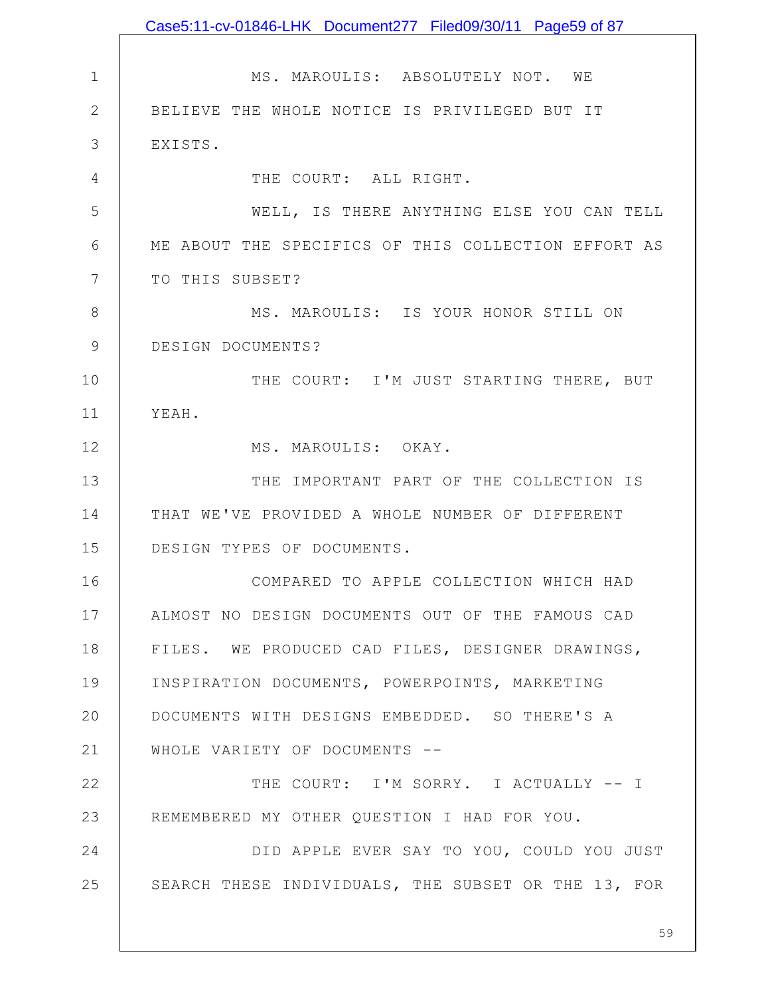|              | Case5:11-cv-01846-LHK Document277 Filed09/30/11 Page59 of 87 |
|--------------|--------------------------------------------------------------|
|              |                                                              |
| $\mathbf{1}$ | MS. MAROULIS: ABSOLUTELY NOT. WE                             |
| $\mathbf{2}$ | BELIEVE THE WHOLE NOTICE IS PRIVILEGED BUT IT                |
| 3            | EXISTS.                                                      |
| 4            | THE COURT: ALL RIGHT.                                        |
| 5            | WELL, IS THERE ANYTHING ELSE YOU CAN TELL                    |
| 6            | ME ABOUT THE SPECIFICS OF THIS COLLECTION EFFORT AS          |
| 7            | TO THIS SUBSET?                                              |
| 8            | MS. MAROULIS: IS YOUR HONOR STILL ON                         |
| 9            | DESIGN DOCUMENTS?                                            |
| 10           | THE COURT: I'M JUST STARTING THERE, BUT                      |
| 11           | YEAH.                                                        |
| 12           | MS. MAROULIS: OKAY.                                          |
| 13           | THE IMPORTANT PART OF THE COLLECTION IS                      |
| 14           | THAT WE'VE PROVIDED A WHOLE NUMBER OF DIFFERENT              |
| 15           | DESIGN TYPES OF DOCUMENTS.                                   |
| 16           | COMPARED TO APPLE COLLECTION WHICH HAD                       |
| 17           | ALMOST NO DESIGN DOCUMENTS OUT OF THE FAMOUS CAD             |
| 18           | FILES. WE PRODUCED CAD FILES, DESIGNER DRAWINGS,             |
| 19           | INSPIRATION DOCUMENTS, POWERPOINTS, MARKETING                |
| 20           | DOCUMENTS WITH DESIGNS EMBEDDED. SO THERE'S A                |
| 21           | WHOLE VARIETY OF DOCUMENTS --                                |
| 22           | THE COURT: I'M SORRY. I ACTUALLY -- I                        |
| 23           | REMEMBERED MY OTHER QUESTION I HAD FOR YOU.                  |
| 24           | DID APPLE EVER SAY TO YOU, COULD YOU JUST                    |
| 25           | SEARCH THESE INDIVIDUALS, THE SUBSET OR THE 13, FOR          |
|              |                                                              |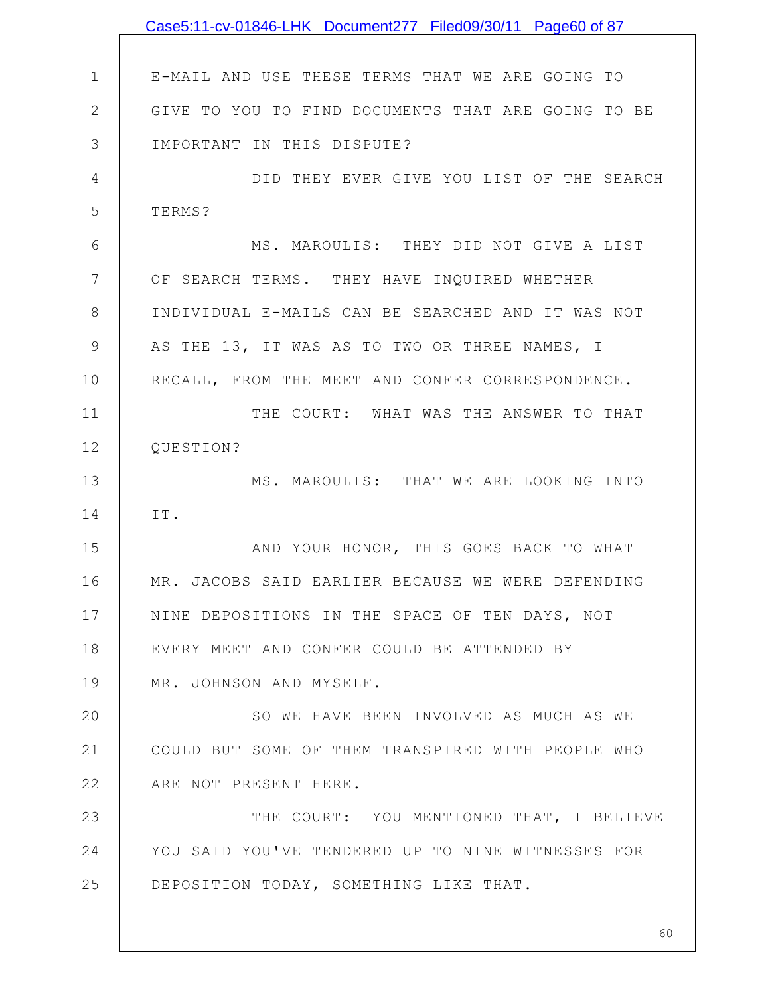|               | Case5:11-cv-01846-LHK Document277 Filed09/30/11 Page60 of 87 |
|---------------|--------------------------------------------------------------|
|               |                                                              |
| $\mathbf 1$   | E-MAIL AND USE THESE TERMS THAT WE ARE GOING TO              |
| $\mathbf{2}$  | GIVE TO YOU TO FIND DOCUMENTS THAT ARE GOING TO BE           |
| 3             | IMPORTANT IN THIS DISPUTE?                                   |
| 4             | DID THEY EVER GIVE YOU LIST OF THE SEARCH                    |
| 5             | TERMS?                                                       |
| 6             | MS. MAROULIS: THEY DID NOT GIVE A LIST                       |
| 7             | OF SEARCH TERMS. THEY HAVE INQUIRED WHETHER                  |
| 8             | INDIVIDUAL E-MAILS CAN BE SEARCHED AND IT WAS NOT            |
| $\mathcal{G}$ | AS THE 13, IT WAS AS TO TWO OR THREE NAMES, I                |
| 10            | RECALL, FROM THE MEET AND CONFER CORRESPONDENCE.             |
| 11            | THE COURT: WHAT WAS THE ANSWER TO THAT                       |
| 12            | QUESTION?                                                    |
| 13            | MS. MAROULIS: THAT WE ARE LOOKING INTO                       |
| 14            | IT.                                                          |
| 15            | AND YOUR HONOR, THIS GOES BACK TO WHAT                       |
| 16            | MR. JACOBS SAID EARLIER BECAUSE WE WERE DEFENDING            |
| 17            | NINE DEPOSITIONS IN THE SPACE OF TEN DAYS, NOT               |
| 18            | EVERY MEET AND CONFER COULD BE ATTENDED BY                   |
| 19            | MR. JOHNSON AND MYSELF.                                      |
| 20            | SO WE HAVE BEEN INVOLVED AS MUCH AS WE                       |
| 21            | COULD BUT SOME OF THEM TRANSPIRED WITH PEOPLE WHO            |
| 22            | ARE NOT PRESENT HERE.                                        |
| 23            | THE COURT: YOU MENTIONED THAT, I BELIEVE                     |
| 24            | YOU SAID YOU'VE TENDERED UP TO NINE WITNESSES FOR            |
| 25            | DEPOSITION TODAY, SOMETHING LIKE THAT.                       |
|               |                                                              |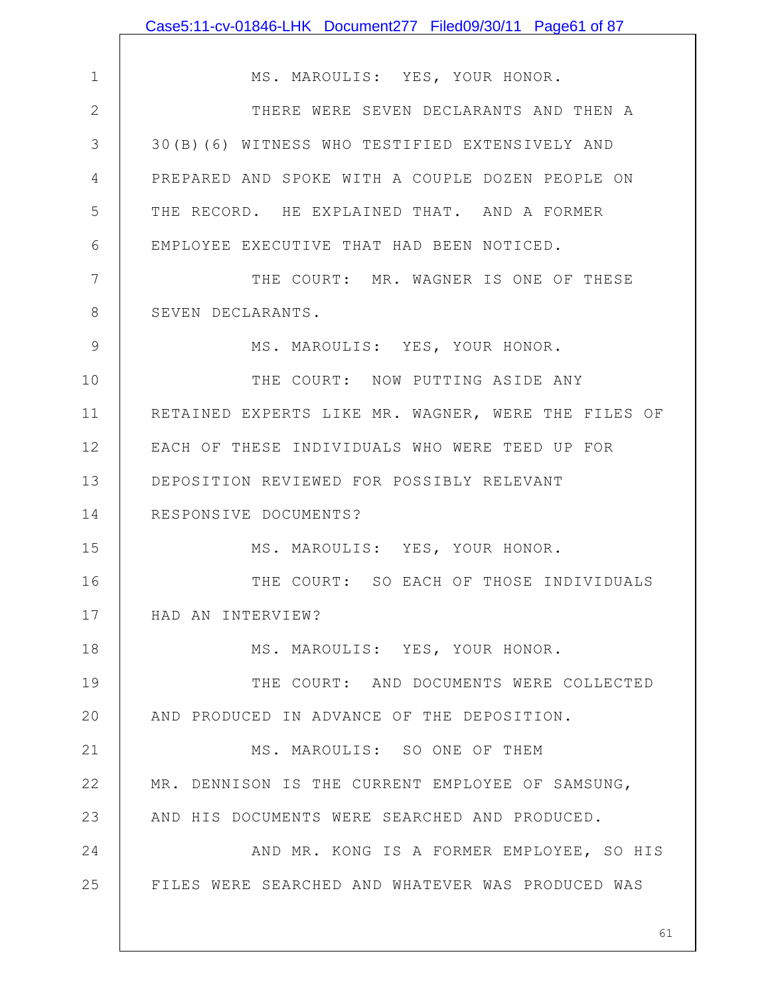|              | Case5:11-cv-01846-LHK Document277 Filed09/30/11 Page61 of 87 |
|--------------|--------------------------------------------------------------|
|              |                                                              |
| $\mathbf 1$  | MS. MAROULIS: YES, YOUR HONOR.                               |
| $\mathbf{2}$ | THERE WERE SEVEN DECLARANTS AND THEN A                       |
| 3            | 30(B)(6) WITNESS WHO TESTIFIED EXTENSIVELY AND               |
| 4            | PREPARED AND SPOKE WITH A COUPLE DOZEN PEOPLE ON             |
| 5            | THE RECORD. HE EXPLAINED THAT. AND A FORMER                  |
| 6            | EMPLOYEE EXECUTIVE THAT HAD BEEN NOTICED.                    |
| 7            | THE COURT: MR. WAGNER IS ONE OF THESE                        |
| 8            | SEVEN DECLARANTS.                                            |
| 9            | MS. MAROULIS: YES, YOUR HONOR.                               |
| 10           | THE COURT: NOW PUTTING ASIDE ANY                             |
| 11           | RETAINED EXPERTS LIKE MR. WAGNER, WERE THE FILES OF          |
| 12           | EACH OF THESE INDIVIDUALS WHO WERE TEED UP FOR               |
| 13           | DEPOSITION REVIEWED FOR POSSIBLY RELEVANT                    |
| 14           | RESPONSIVE DOCUMENTS?                                        |
| 15           | MS. MAROULIS: YES, YOUR HONOR.                               |
| 16           | THE COURT: SO EACH OF THOSE INDIVIDUALS                      |
| 17           | HAD AN INTERVIEW?                                            |
| 18           | MS. MAROULIS: YES, YOUR HONOR.                               |
| 19           | THE COURT: AND DOCUMENTS WERE COLLECTED                      |
| 20           | AND PRODUCED IN ADVANCE OF THE DEPOSITION.                   |
| 21           | MS. MAROULIS: SO ONE OF THEM                                 |
| 22           | MR. DENNISON IS THE CURRENT EMPLOYEE OF SAMSUNG,             |
| 23           | AND HIS DOCUMENTS WERE SEARCHED AND PRODUCED.                |
| 24           | AND MR. KONG IS A FORMER EMPLOYEE, SO HIS                    |
| 25           | FILES WERE SEARCHED AND WHATEVER WAS PRODUCED WAS            |
|              |                                                              |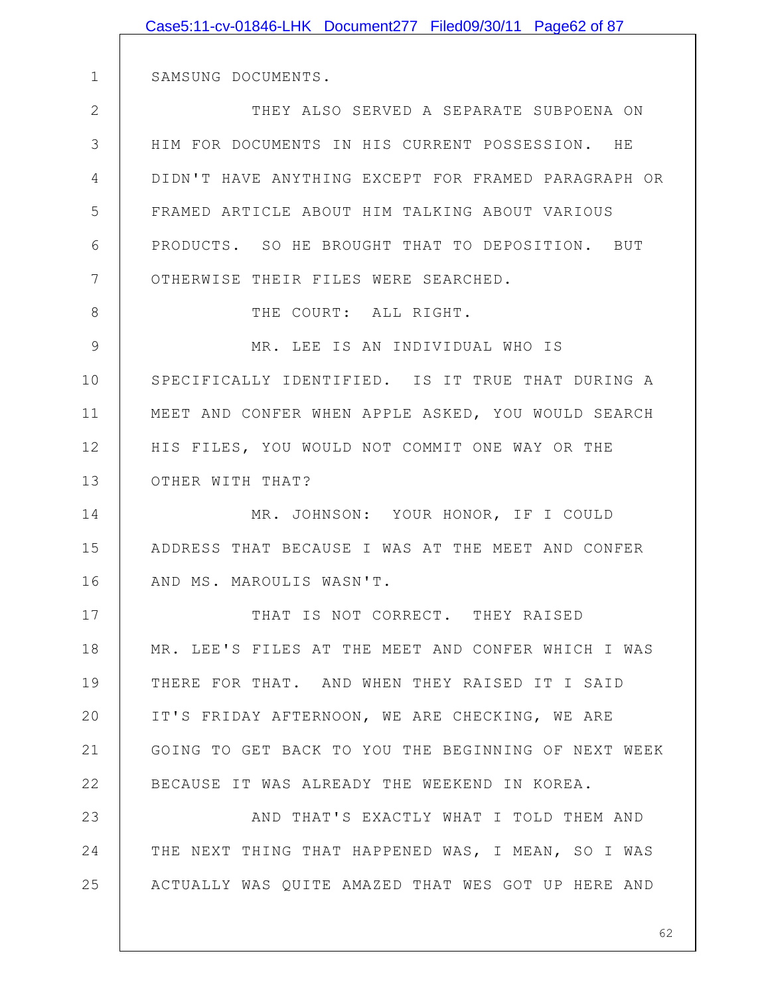|              | Case5:11-cv-01846-LHK Document277 Filed09/30/11 Page62 of 87 |
|--------------|--------------------------------------------------------------|
|              |                                                              |
| $\mathbf 1$  | SAMSUNG DOCUMENTS.                                           |
| $\mathbf{2}$ | THEY ALSO SERVED A SEPARATE SUBPOENA ON                      |
| 3            | HIM FOR DOCUMENTS IN HIS CURRENT POSSESSION. HE              |
| 4            | DIDN'T HAVE ANYTHING EXCEPT FOR FRAMED PARAGRAPH OR          |
| 5            | FRAMED ARTICLE ABOUT HIM TALKING ABOUT VARIOUS               |
| 6            | PRODUCTS. SO HE BROUGHT THAT TO DEPOSITION. BUT              |
| 7            | OTHERWISE THEIR FILES WERE SEARCHED.                         |
| 8            | THE COURT: ALL RIGHT.                                        |
| 9            | MR. LEE IS AN INDIVIDUAL WHO IS                              |
| 10           | SPECIFICALLY IDENTIFIED. IS IT TRUE THAT DURING A            |
| 11           | MEET AND CONFER WHEN APPLE ASKED, YOU WOULD SEARCH           |
| 12           | HIS FILES, YOU WOULD NOT COMMIT ONE WAY OR THE               |
| 13           | OTHER WITH THAT?                                             |
| 14           | MR. JOHNSON: YOUR HONOR, IF I COULD                          |
| 15           | ADDRESS THAT BECAUSE I WAS AT THE MEET AND CONFER            |
| 16           | AND MS. MAROULIS WASN'T.                                     |
| 17           | THAT IS NOT CORRECT. THEY RAISED                             |
| 18           | MR. LEE'S FILES AT THE MEET AND CONFER WHICH I WAS           |
| 19           | THERE FOR THAT. AND WHEN THEY RAISED IT I SAID               |
| 20           | IT'S FRIDAY AFTERNOON, WE ARE CHECKING, WE ARE               |
| 21           | GOING TO GET BACK TO YOU THE BEGINNING OF NEXT WEEK          |
| 22           | BECAUSE IT WAS ALREADY THE WEEKEND IN KOREA.                 |
| 23           | AND THAT'S EXACTLY WHAT I TOLD THEM AND                      |
| 24           | THE NEXT THING THAT HAPPENED WAS, I MEAN, SO I WAS           |
| 25           | ACTUALLY WAS QUITE AMAZED THAT WES GOT UP HERE AND           |
|              |                                                              |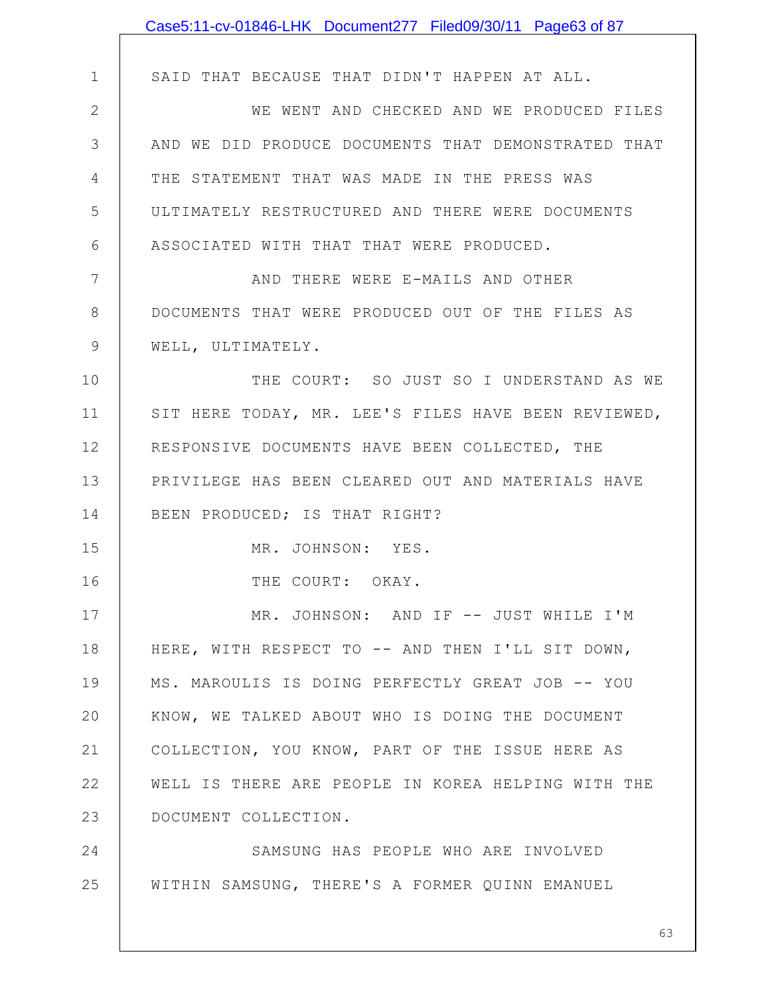|               | Case5:11-cv-01846-LHK Document277 Filed09/30/11 Page63 of 87 |
|---------------|--------------------------------------------------------------|
|               |                                                              |
| $\mathbf 1$   | SAID THAT BECAUSE THAT DIDN'T HAPPEN AT ALL.                 |
| $\mathbf{2}$  | WE WENT AND CHECKED AND WE PRODUCED FILES                    |
| 3             | AND WE DID PRODUCE DOCUMENTS THAT DEMONSTRATED THAT          |
| 4             | THE STATEMENT THAT WAS MADE IN THE PRESS WAS                 |
| 5             | ULTIMATELY RESTRUCTURED AND THERE WERE DOCUMENTS             |
| 6             | ASSOCIATED WITH THAT THAT WERE PRODUCED.                     |
| 7             | AND THERE WERE E-MAILS AND OTHER                             |
| 8             | DOCUMENTS THAT WERE PRODUCED OUT OF THE FILES AS             |
| $\mathcal{G}$ | WELL, ULTIMATELY.                                            |
| 10            | THE COURT: SO JUST SO I UNDERSTAND AS WE                     |
| 11            | SIT HERE TODAY, MR. LEE'S FILES HAVE BEEN REVIEWED,          |
| 12            | RESPONSIVE DOCUMENTS HAVE BEEN COLLECTED, THE                |
| 13            | PRIVILEGE HAS BEEN CLEARED OUT AND MATERIALS HAVE            |
| 14            | BEEN PRODUCED; IS THAT RIGHT?                                |
| 15            | MR. JOHNSON: YES.                                            |
| 16            | THE COURT: OKAY.                                             |
| 17            | MR. JOHNSON: AND IF -- JUST WHILE I'M                        |
| 18            | HERE, WITH RESPECT TO -- AND THEN I'LL SIT DOWN,             |
| 19            | MS. MAROULIS IS DOING PERFECTLY GREAT JOB -- YOU             |
| 20            | KNOW, WE TALKED ABOUT WHO IS DOING THE DOCUMENT              |
| 21            | COLLECTION, YOU KNOW, PART OF THE ISSUE HERE AS              |
| 22            | WELL IS THERE ARE PEOPLE IN KOREA HELPING WITH THE           |
| 23            | DOCUMENT COLLECTION.                                         |
| 24            | SAMSUNG HAS PEOPLE WHO ARE INVOLVED                          |
| 25            | WITHIN SAMSUNG, THERE'S A FORMER QUINN EMANUEL               |
|               |                                                              |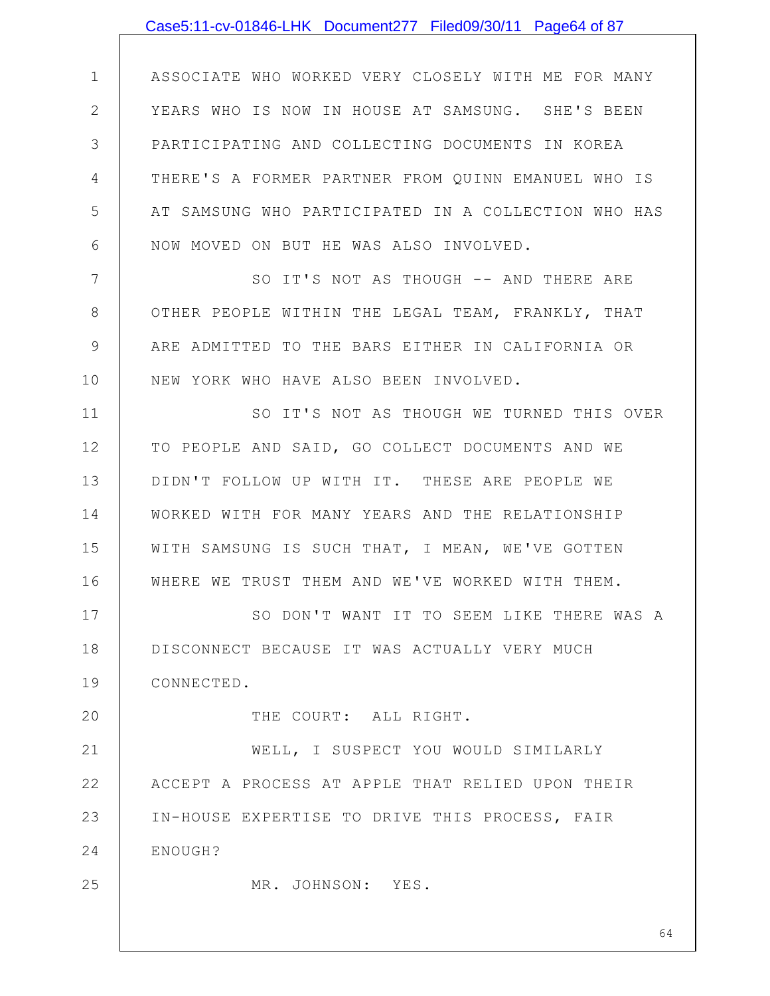|               | Case5:11-cv-01846-LHK Document277 Filed09/30/11 Page64 of 87 |
|---------------|--------------------------------------------------------------|
|               |                                                              |
| $\mathbf 1$   | ASSOCIATE WHO WORKED VERY CLOSELY WITH ME FOR MANY           |
| $\mathbf{2}$  | YEARS WHO IS NOW IN HOUSE AT SAMSUNG. SHE'S BEEN             |
| 3             | PARTICIPATING AND COLLECTING DOCUMENTS IN KOREA              |
| 4             | THERE'S A FORMER PARTNER FROM QUINN EMANUEL WHO IS           |
| 5             | AT SAMSUNG WHO PARTICIPATED IN A COLLECTION WHO HAS          |
| 6             | NOW MOVED ON BUT HE WAS ALSO INVOLVED.                       |
| 7             | SO IT'S NOT AS THOUGH -- AND THERE ARE                       |
| $8\,$         | OTHER PEOPLE WITHIN THE LEGAL TEAM, FRANKLY, THAT            |
| $\mathcal{G}$ | ARE ADMITTED TO THE BARS EITHER IN CALIFORNIA OR             |
| 10            | NEW YORK WHO HAVE ALSO BEEN INVOLVED.                        |
| 11            | SO IT'S NOT AS THOUGH WE TURNED THIS OVER                    |
| 12            | TO PEOPLE AND SAID, GO COLLECT DOCUMENTS AND WE              |
| 13            | DIDN'T FOLLOW UP WITH IT. THESE ARE PEOPLE WE                |
| 14            | WORKED WITH FOR MANY YEARS AND THE RELATIONSHIP              |
| 15            | WITH SAMSUNG IS SUCH THAT, I MEAN, WE'VE GOTTEN              |
| 16            | WHERE WE TRUST THEM AND WE'VE WORKED WITH THEM.              |
| 17            | SO DON'T WANT IT TO SEEM LIKE THERE WAS A                    |
| 18            | DISCONNECT BECAUSE IT WAS ACTUALLY VERY MUCH                 |
| 19            | CONNECTED.                                                   |
| 20            | THE COURT: ALL RIGHT.                                        |
| 21            | WELL, I SUSPECT YOU WOULD SIMILARLY                          |
| 22            | ACCEPT A PROCESS AT APPLE THAT RELIED UPON THEIR             |
| 23            | IN-HOUSE EXPERTISE TO DRIVE THIS PROCESS, FAIR               |
| 24            | ENOUGH?                                                      |
| 25            | MR. JOHNSON: YES.                                            |
|               |                                                              |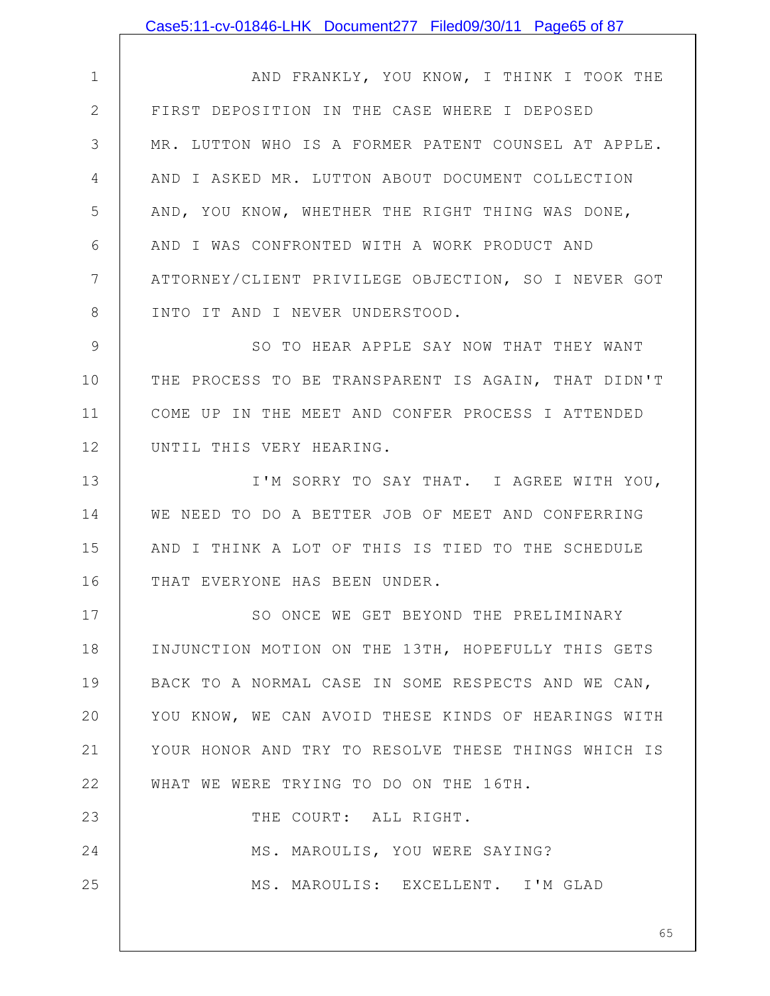1 2 3 4 5 6 7 8 9 10 11 12 13 14 15 16 17 18 19 20 21 22 23 24 25 AND FRANKLY, YOU KNOW, I THINK I TOOK THE FIRST DEPOSITION IN THE CASE WHERE I DEPOSED MR. LUTTON WHO IS A FORMER PATENT COUNSEL AT APPLE. AND I ASKED MR. LUTTON ABOUT DOCUMENT COLLECTION AND, YOU KNOW, WHETHER THE RIGHT THING WAS DONE, AND I WAS CONFRONTED WITH A WORK PRODUCT AND ATTORNEY/CLIENT PRIVILEGE OBJECTION, SO I NEVER GOT INTO IT AND I NEVER UNDERSTOOD. SO TO HEAR APPLE SAY NOW THAT THEY WANT THE PROCESS TO BE TRANSPARENT IS AGAIN, THAT DIDN'T COME UP IN THE MEET AND CONFER PROCESS I ATTENDED UNTIL THIS VERY HEARING. I'M SORRY TO SAY THAT. I AGREE WITH YOU, WE NEED TO DO A BETTER JOB OF MEET AND CONFERRING AND I THINK A LOT OF THIS IS TIED TO THE SCHEDULE THAT EVERYONE HAS BEEN UNDER. SO ONCE WE GET BEYOND THE PRELIMINARY INJUNCTION MOTION ON THE 13TH, HOPEFULLY THIS GETS BACK TO A NORMAL CASE IN SOME RESPECTS AND WE CAN, YOU KNOW, WE CAN AVOID THESE KINDS OF HEARINGS WITH YOUR HONOR AND TRY TO RESOLVE THESE THINGS WHICH IS WHAT WE WERE TRYING TO DO ON THE 16TH. THE COURT: ALL RIGHT. MS. MAROULIS, YOU WERE SAYING? MS. MAROULIS: EXCELLENT. I'M GLAD Case5:11-cv-01846-LHK Document277 Filed09/30/11 Page65 of 87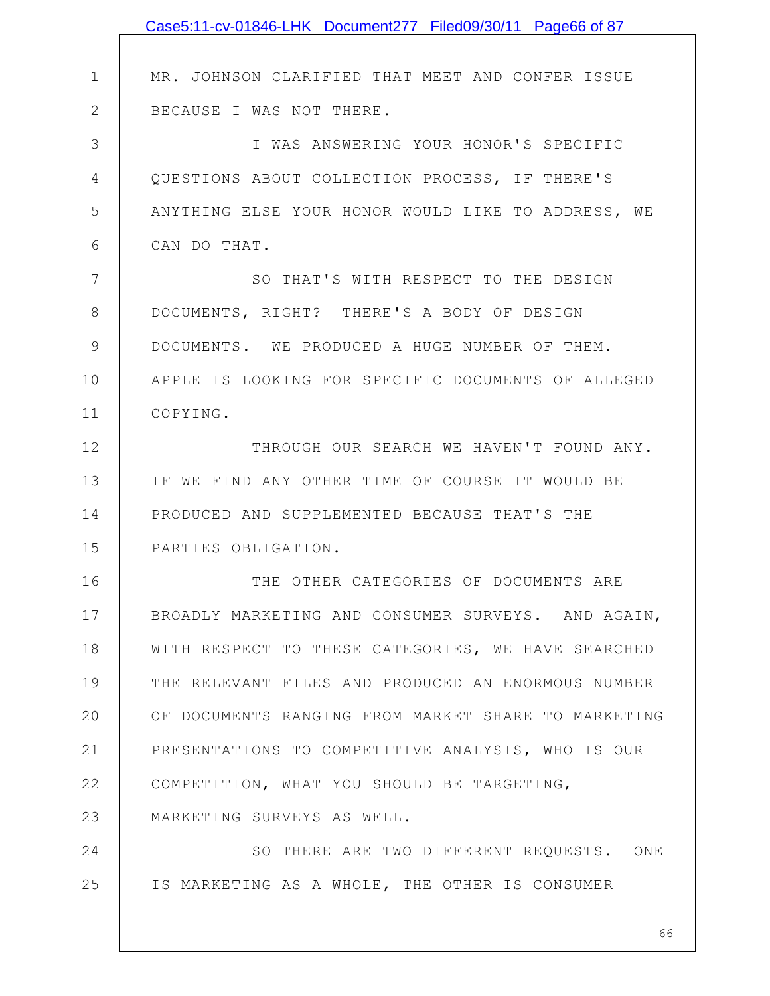|                 | Case5:11-cv-01846-LHK Document277 Filed09/30/11 Page66 of 87 |
|-----------------|--------------------------------------------------------------|
|                 |                                                              |
| $\mathbf 1$     | MR. JOHNSON CLARIFIED THAT MEET AND CONFER ISSUE             |
| $\mathbf{2}$    | BECAUSE I WAS NOT THERE.                                     |
| 3               | I WAS ANSWERING YOUR HONOR'S SPECIFIC                        |
| 4               | QUESTIONS ABOUT COLLECTION PROCESS, IF THERE'S               |
| 5               | ANYTHING ELSE YOUR HONOR WOULD LIKE TO ADDRESS, WE           |
| 6               | CAN DO THAT.                                                 |
| $7\phantom{.0}$ | SO THAT'S WITH RESPECT TO THE DESIGN                         |
| 8               | DOCUMENTS, RIGHT? THERE'S A BODY OF DESIGN                   |
| $\mathcal{G}$   | DOCUMENTS. WE PRODUCED A HUGE NUMBER OF THEM.                |
| 10              | APPLE IS LOOKING FOR SPECIFIC DOCUMENTS OF ALLEGED           |
| 11              | COPYING.                                                     |
| 12              | THROUGH OUR SEARCH WE HAVEN'T FOUND ANY.                     |
| 13              | IF WE FIND ANY OTHER TIME OF COURSE IT WOULD BE              |
| 14              | PRODUCED AND SUPPLEMENTED BECAUSE THAT'S THE                 |
| 15              | PARTIES OBLIGATION.                                          |
| 16              | THE OTHER CATEGORIES OF DOCUMENTS ARE                        |
| 17              | BROADLY MARKETING AND CONSUMER SURVEYS. AND AGAIN,           |
| 18              | WITH RESPECT TO THESE CATEGORIES, WE HAVE SEARCHED           |
| 19              | THE RELEVANT FILES AND PRODUCED AN ENORMOUS NUMBER           |
| 20              | OF DOCUMENTS RANGING FROM MARKET SHARE TO MARKETING          |
| 21              | PRESENTATIONS TO COMPETITIVE ANALYSIS, WHO IS OUR            |
| 22              | COMPETITION, WHAT YOU SHOULD BE TARGETING,                   |
| 23              | MARKETING SURVEYS AS WELL.                                   |
| 24              | SO THERE ARE TWO DIFFERENT REQUESTS. ONE                     |
| 25              | IS MARKETING AS A WHOLE, THE OTHER IS CONSUMER               |
|                 |                                                              |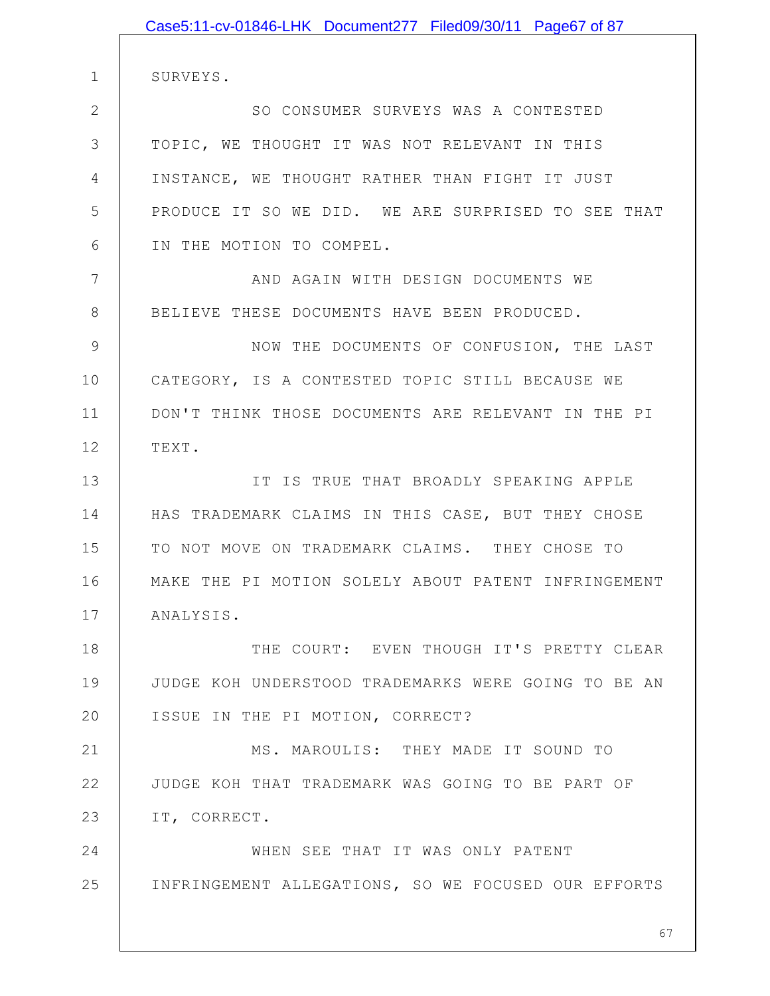|                | Case5:11-cv-01846-LHK Document277 Filed09/30/11 Page67 of 87 |
|----------------|--------------------------------------------------------------|
|                |                                                              |
| $\mathbf 1$    | SURVEYS.                                                     |
| $\mathbf{2}$   | SO CONSUMER SURVEYS WAS A CONTESTED                          |
| 3              | TOPIC, WE THOUGHT IT WAS NOT RELEVANT IN THIS                |
| $\overline{4}$ | INSTANCE, WE THOUGHT RATHER THAN FIGHT IT JUST               |
| 5              | PRODUCE IT SO WE DID. WE ARE SURPRISED TO SEE THAT           |
| 6              | IN THE MOTION TO COMPEL.                                     |
| 7              | AND AGAIN WITH DESIGN DOCUMENTS WE                           |
| 8              | BELIEVE THESE DOCUMENTS HAVE BEEN PRODUCED.                  |
| 9              | NOW THE DOCUMENTS OF CONFUSION, THE LAST                     |
| 10             | CATEGORY, IS A CONTESTED TOPIC STILL BECAUSE WE              |
| 11             | DON'T THINK THOSE DOCUMENTS ARE RELEVANT IN THE PI           |
| 12             | TEXT.                                                        |
| 13             | IT IS TRUE THAT BROADLY SPEAKING APPLE                       |
| 14             | HAS TRADEMARK CLAIMS IN THIS CASE, BUT THEY CHOSE            |
| 15             | TO NOT MOVE ON TRADEMARK CLAIMS. THEY CHOSE TO               |
| 16             | MAKE THE PI MOTION SOLELY ABOUT PATENT INFRINGEMENT          |
| 17             | ANALYSIS.                                                    |
| 18             | THE COURT: EVEN THOUGH IT'S PRETTY CLEAR                     |
| 19             | JUDGE KOH UNDERSTOOD TRADEMARKS WERE GOING TO BE AN          |
| 20             | ISSUE IN THE PI MOTION, CORRECT?                             |
| 21             | MS. MAROULIS: THEY MADE IT SOUND TO                          |
| 22             | JUDGE KOH THAT TRADEMARK WAS GOING TO BE PART OF             |
| 23             | IT, CORRECT.                                                 |
| 24             | WHEN SEE THAT IT WAS ONLY PATENT                             |
| 25             | INFRINGEMENT ALLEGATIONS, SO WE FOCUSED OUR EFFORTS          |
|                |                                                              |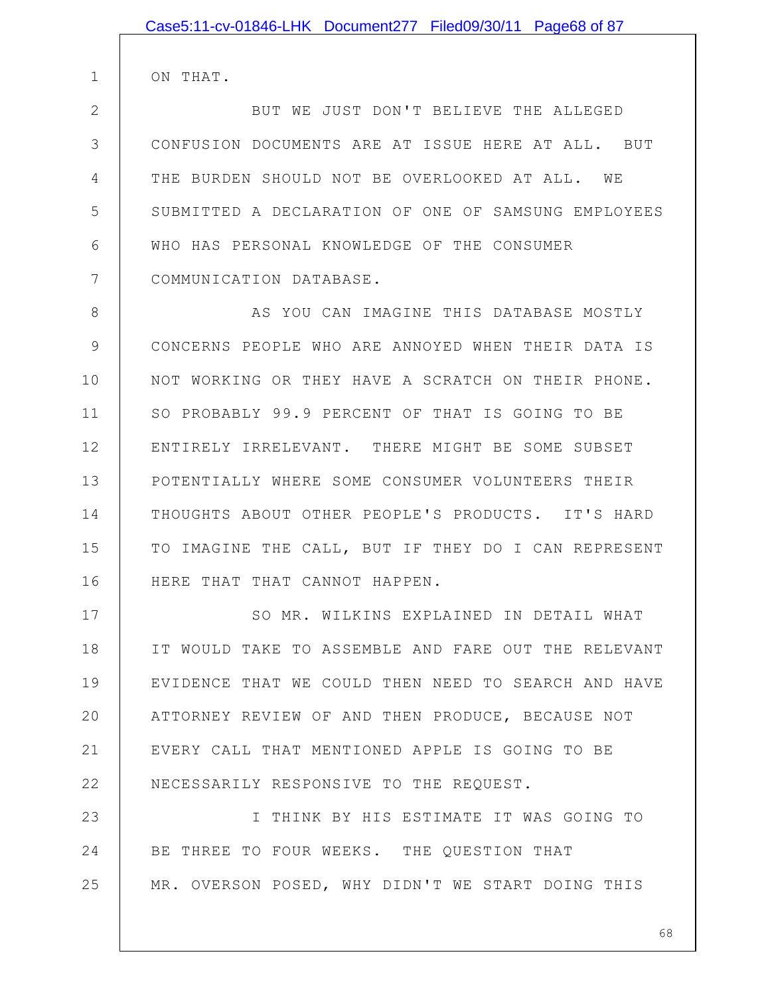ON THAT.

1

2 3 4 5 6 7 BUT WE JUST DON'T BELIEVE THE ALLEGED CONFUSION DOCUMENTS ARE AT ISSUE HERE AT ALL. BUT THE BURDEN SHOULD NOT BE OVERLOOKED AT ALL. WE SUBMITTED A DECLARATION OF ONE OF SAMSUNG EMPLOYEES WHO HAS PERSONAL KNOWLEDGE OF THE CONSUMER COMMUNICATION DATABASE.

8 9 10 11 12 13 14 15 16 AS YOU CAN IMAGINE THIS DATABASE MOSTLY CONCERNS PEOPLE WHO ARE ANNOYED WHEN THEIR DATA IS NOT WORKING OR THEY HAVE A SCRATCH ON THEIR PHONE. SO PROBABLY 99.9 PERCENT OF THAT IS GOING TO BE ENTIRELY IRRELEVANT. THERE MIGHT BE SOME SUBSET POTENTIALLY WHERE SOME CONSUMER VOLUNTEERS THEIR THOUGHTS ABOUT OTHER PEOPLE'S PRODUCTS. IT'S HARD TO IMAGINE THE CALL, BUT IF THEY DO I CAN REPRESENT HERE THAT THAT CANNOT HAPPEN.

17 18 19 20 21 22 SO MR. WILKINS EXPLAINED IN DETAIL WHAT IT WOULD TAKE TO ASSEMBLE AND FARE OUT THE RELEVANT EVIDENCE THAT WE COULD THEN NEED TO SEARCH AND HAVE ATTORNEY REVIEW OF AND THEN PRODUCE, BECAUSE NOT EVERY CALL THAT MENTIONED APPLE IS GOING TO BE NECESSARILY RESPONSIVE TO THE REQUEST.

23 24 25 I THINK BY HIS ESTIMATE IT WAS GOING TO BE THREE TO FOUR WEEKS. THE QUESTION THAT MR. OVERSON POSED, WHY DIDN'T WE START DOING THIS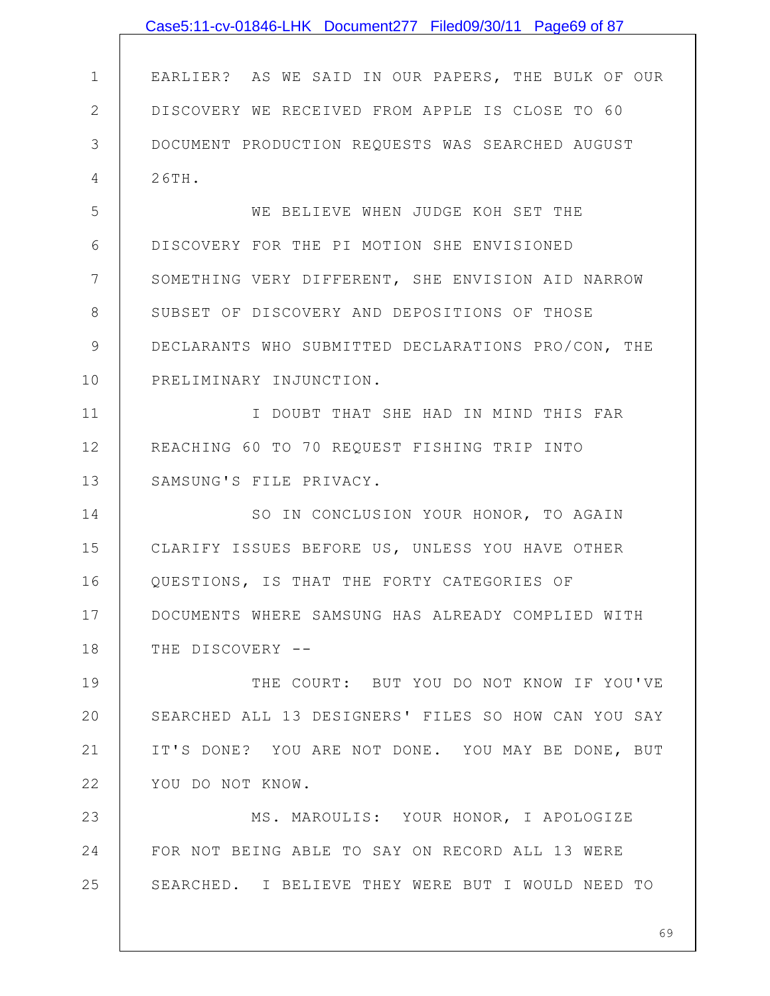|               | Case5:11-cv-01846-LHK Document277 Filed09/30/11 Page69 of 87 |
|---------------|--------------------------------------------------------------|
|               |                                                              |
| $\mathbf 1$   | EARLIER? AS WE SAID IN OUR PAPERS, THE BULK OF OUR           |
| $\mathbf{2}$  | DISCOVERY WE RECEIVED FROM APPLE IS CLOSE TO 60              |
| 3             | DOCUMENT PRODUCTION REQUESTS WAS SEARCHED AUGUST             |
| 4             | 26TH.                                                        |
| 5             | WE BELIEVE WHEN JUDGE KOH SET THE                            |
| 6             | DISCOVERY FOR THE PI MOTION SHE ENVISIONED                   |
| 7             | SOMETHING VERY DIFFERENT, SHE ENVISION AID NARROW            |
| 8             | SUBSET OF DISCOVERY AND DEPOSITIONS OF THOSE                 |
| $\mathcal{G}$ | DECLARANTS WHO SUBMITTED DECLARATIONS PRO/CON, THE           |
| 10            | PRELIMINARY INJUNCTION.                                      |
| 11            | I DOUBT THAT SHE HAD IN MIND THIS FAR                        |
| 12            | REACHING 60 TO 70 REQUEST FISHING TRIP INTO                  |
| 13            | SAMSUNG'S FILE PRIVACY.                                      |
| 14            | SO IN CONCLUSION YOUR HONOR, TO AGAIN                        |
| 15            | CLARIFY ISSUES BEFORE US, UNLESS YOU HAVE OTHER              |
| 16            | QUESTIONS, IS THAT THE FORTY CATEGORIES OF                   |
| 17            | DOCUMENTS WHERE SAMSUNG HAS ALREADY COMPLIED WITH            |
| 18            | THE DISCOVERY --                                             |
| 19            | THE COURT: BUT YOU DO NOT KNOW IF YOU'VE                     |
| 20            | SEARCHED ALL 13 DESIGNERS' FILES SO HOW CAN YOU SAY          |
| 21            | IT'S DONE? YOU ARE NOT DONE. YOU MAY BE DONE, BUT            |
| 22            | YOU DO NOT KNOW.                                             |
| 23            | MS. MAROULIS: YOUR HONOR, I APOLOGIZE                        |
| 24            | FOR NOT BEING ABLE TO SAY ON RECORD ALL 13 WERE              |
| 25            | SEARCHED. I BELIEVE THEY WERE BUT I WOULD NEED TO            |
|               |                                                              |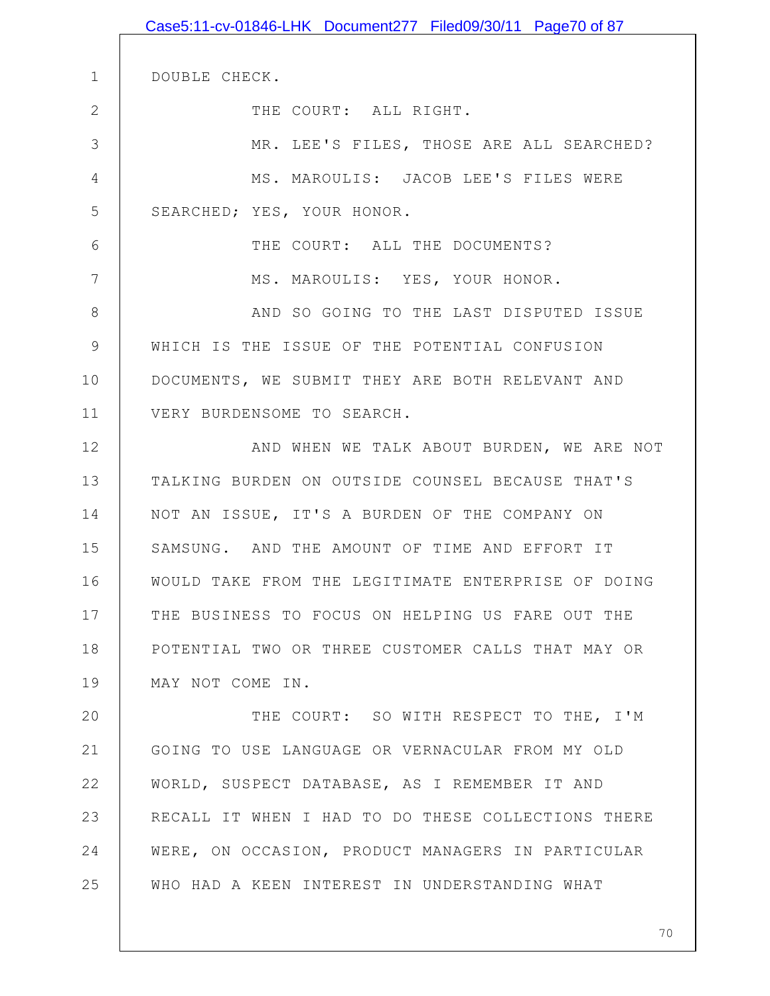|               | Case5:11-cv-01846-LHK Document277 Filed09/30/11 Page70 of 87 |
|---------------|--------------------------------------------------------------|
|               |                                                              |
| $\mathbf 1$   | DOUBLE CHECK.                                                |
| $\mathbf{2}$  | THE COURT: ALL RIGHT.                                        |
| 3             | MR. LEE'S FILES, THOSE ARE ALL SEARCHED?                     |
| 4             | MS. MAROULIS: JACOB LEE'S FILES WERE                         |
| 5             | SEARCHED; YES, YOUR HONOR.                                   |
| 6             | THE COURT: ALL THE DOCUMENTS?                                |
| 7             | MS. MAROULIS: YES, YOUR HONOR.                               |
| 8             | AND SO GOING TO THE LAST DISPUTED ISSUE                      |
| $\mathcal{G}$ | WHICH IS THE ISSUE OF THE POTENTIAL CONFUSION                |
| 10            | DOCUMENTS, WE SUBMIT THEY ARE BOTH RELEVANT AND              |
| 11            | VERY BURDENSOME TO SEARCH.                                   |
| 12            | AND WHEN WE TALK ABOUT BURDEN, WE ARE NOT                    |
| 13            | TALKING BURDEN ON OUTSIDE COUNSEL BECAUSE THAT'S             |
| 14            | NOT AN ISSUE, IT'S A BURDEN OF THE COMPANY ON                |
| 15            | SAMSUNG. AND THE AMOUNT OF TIME AND EFFORT IT                |
| 16            | WOULD TAKE FROM THE LEGITIMATE ENTERPRISE OF DOING           |
| 17            | THE BUSINESS TO FOCUS ON HELPING US FARE OUT THE             |
| 18            | POTENTIAL TWO OR THREE CUSTOMER CALLS THAT MAY OR            |
| 19            | MAY NOT COME IN.                                             |
| 20            | THE COURT: SO WITH RESPECT TO THE, I'M                       |
| 21            | GOING TO USE LANGUAGE OR VERNACULAR FROM MY OLD              |
| 22            | WORLD, SUSPECT DATABASE, AS I REMEMBER IT AND                |
| 23            | RECALL IT WHEN I HAD TO DO THESE COLLECTIONS THERE           |
| 24            | WERE, ON OCCASION, PRODUCT MANAGERS IN PARTICULAR            |
| 25            | WHO HAD A KEEN INTEREST IN UNDERSTANDING WHAT                |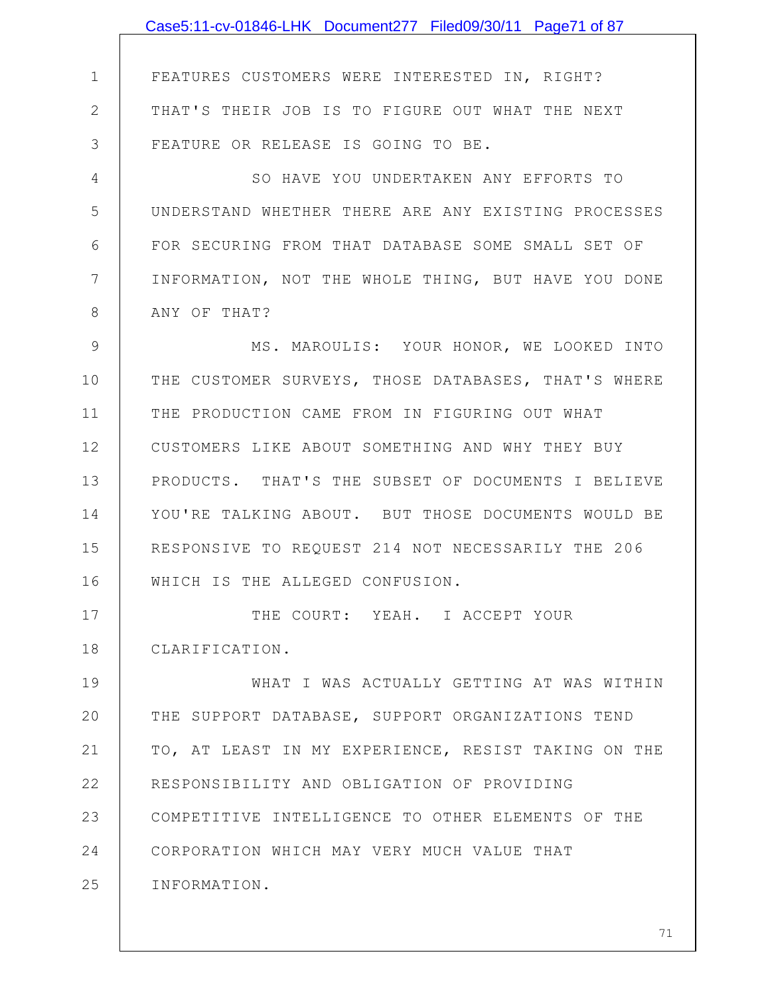1 2 3 4 5 6 7 8 9 10 11 12 13 14 15 16 17 18 19 20 21 22 23 24 25 FEATURES CUSTOMERS WERE INTERESTED IN, RIGHT? THAT'S THEIR JOB IS TO FIGURE OUT WHAT THE NEXT FEATURE OR RELEASE IS GOING TO BE. SO HAVE YOU UNDERTAKEN ANY EFFORTS TO UNDERSTAND WHETHER THERE ARE ANY EXISTING PROCESSES FOR SECURING FROM THAT DATABASE SOME SMALL SET OF INFORMATION, NOT THE WHOLE THING, BUT HAVE YOU DONE ANY OF THAT? MS. MAROULIS: YOUR HONOR, WE LOOKED INTO THE CUSTOMER SURVEYS, THOSE DATABASES, THAT'S WHERE THE PRODUCTION CAME FROM IN FIGURING OUT WHAT CUSTOMERS LIKE ABOUT SOMETHING AND WHY THEY BUY PRODUCTS. THAT'S THE SUBSET OF DOCUMENTS I BELIEVE YOU'RE TALKING ABOUT. BUT THOSE DOCUMENTS WOULD BE RESPONSIVE TO REQUEST 214 NOT NECESSARILY THE 206 WHICH IS THE ALLEGED CONFUSION. THE COURT: YEAH. I ACCEPT YOUR CLARIFICATION. WHAT I WAS ACTUALLY GETTING AT WAS WITHIN THE SUPPORT DATABASE, SUPPORT ORGANIZATIONS TEND TO, AT LEAST IN MY EXPERIENCE, RESIST TAKING ON THE RESPONSIBILITY AND OBLIGATION OF PROVIDING COMPETITIVE INTELLIGENCE TO OTHER ELEMENTS OF THE CORPORATION WHICH MAY VERY MUCH VALUE THAT INFORMATION. Case5:11-cv-01846-LHK Document277 Filed09/30/11 Page71 of 87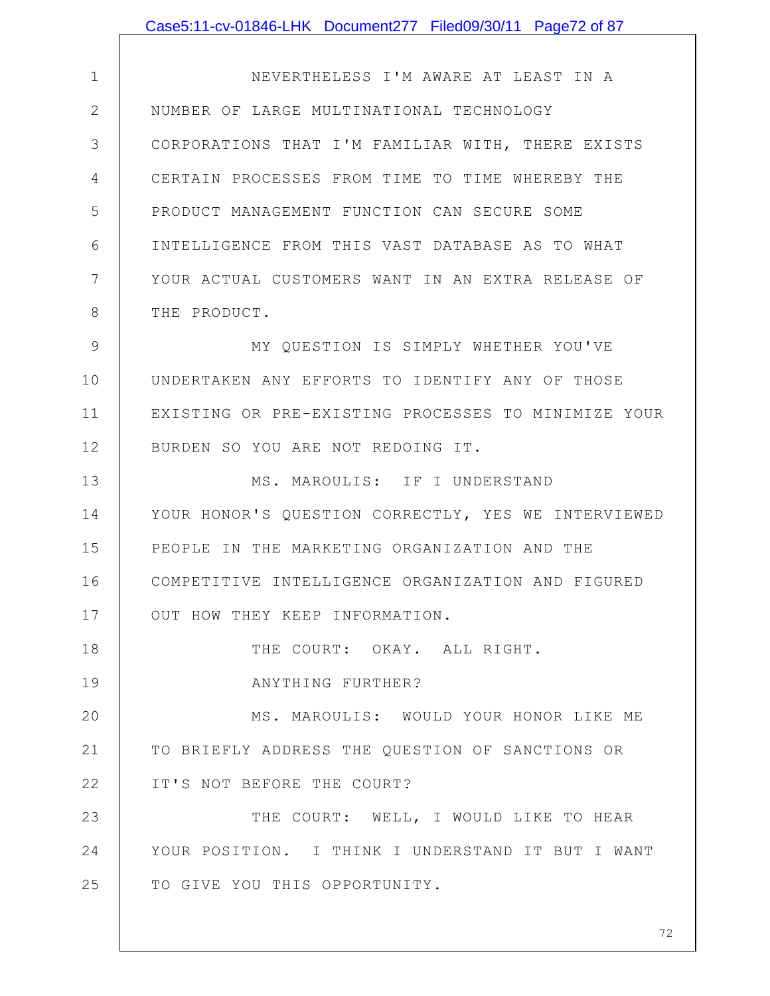|              | Case5:11-cv-01846-LHK Document277 Filed09/30/11 Page72 of 87 |
|--------------|--------------------------------------------------------------|
|              |                                                              |
| $\mathbf 1$  | NEVERTHELESS I'M AWARE AT LEAST IN A                         |
| $\mathbf{2}$ | NUMBER OF LARGE MULTINATIONAL TECHNOLOGY                     |
| 3            | CORPORATIONS THAT I'M FAMILIAR WITH, THERE EXISTS            |
| 4            | CERTAIN PROCESSES FROM TIME TO TIME WHEREBY THE              |
| 5            | PRODUCT MANAGEMENT FUNCTION CAN SECURE SOME                  |
| 6            | INTELLIGENCE FROM THIS VAST DATABASE AS TO WHAT              |
| 7            | YOUR ACTUAL CUSTOMERS WANT IN AN EXTRA RELEASE OF            |
| 8            | THE PRODUCT.                                                 |
| 9            | MY QUESTION IS SIMPLY WHETHER YOU'VE                         |
| 10           | UNDERTAKEN ANY EFFORTS TO IDENTIFY ANY OF THOSE              |
| 11           | EXISTING OR PRE-EXISTING PROCESSES TO MINIMIZE YOUR          |
| 12           | BURDEN SO YOU ARE NOT REDOING IT.                            |
| 13           | MS. MAROULIS: IF I UNDERSTAND                                |
| 14           | YOUR HONOR'S QUESTION CORRECTLY, YES WE INTERVIEWED          |
| 15           | PEOPLE IN THE MARKETING ORGANIZATION AND THE                 |
| 16           | COMPETITIVE INTELLIGENCE ORGANIZATION AND FIGURED            |
| 17           | OUT HOW THEY KEEP INFORMATION.                               |
| 18           | THE COURT: OKAY. ALL RIGHT.                                  |
| 19           | ANYTHING FURTHER?                                            |
| 20           | MS. MAROULIS: WOULD YOUR HONOR LIKE ME                       |
| 21           | TO BRIEFLY ADDRESS THE QUESTION OF SANCTIONS OR              |
| 22           | IT'S NOT BEFORE THE COURT?                                   |
| 23           | THE COURT: WELL, I WOULD LIKE TO HEAR                        |
| 24           | YOUR POSITION. I THINK I UNDERSTAND IT BUT I WANT            |
| 25           | TO GIVE YOU THIS OPPORTUNITY.                                |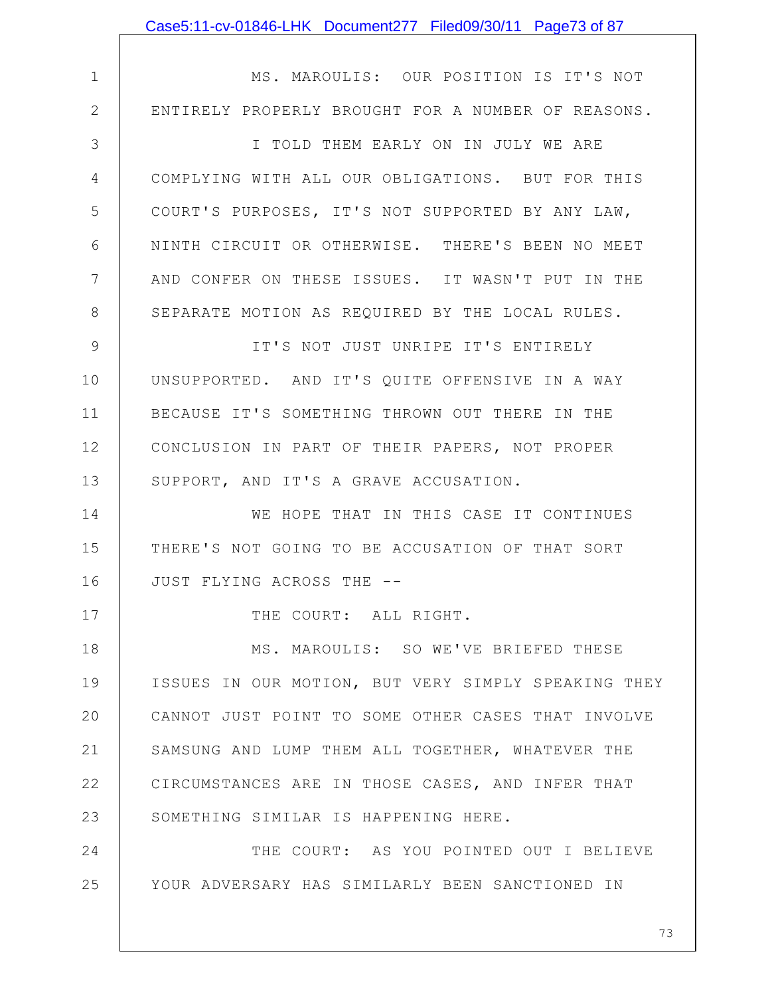|               | Case5:11-cv-01846-LHK Document277 Filed09/30/11 Page73 of 87 |
|---------------|--------------------------------------------------------------|
|               |                                                              |
| $\mathbf 1$   | MS. MAROULIS: OUR POSITION IS IT'S NOT                       |
| $\mathbf{2}$  | ENTIRELY PROPERLY BROUGHT FOR A NUMBER OF REASONS.           |
| 3             | I TOLD THEM EARLY ON IN JULY WE ARE                          |
| 4             | COMPLYING WITH ALL OUR OBLIGATIONS. BUT FOR THIS             |
| 5             | COURT'S PURPOSES, IT'S NOT SUPPORTED BY ANY LAW,             |
| 6             | NINTH CIRCUIT OR OTHERWISE. THERE'S BEEN NO MEET             |
| 7             | AND CONFER ON THESE ISSUES. IT WASN'T PUT IN THE             |
| $8\,$         | SEPARATE MOTION AS REQUIRED BY THE LOCAL RULES.              |
| $\mathcal{G}$ | IT'S NOT JUST UNRIPE IT'S ENTIRELY                           |
| 10            | UNSUPPORTED. AND IT'S QUITE OFFENSIVE IN A WAY               |
| 11            | BECAUSE IT'S SOMETHING THROWN OUT THERE IN THE               |
| 12            | CONCLUSION IN PART OF THEIR PAPERS, NOT PROPER               |
| 13            | SUPPORT, AND IT'S A GRAVE ACCUSATION.                        |
| 14            | WE HOPE THAT IN THIS CASE IT CONTINUES                       |
| 15            | THERE'S NOT GOING TO BE ACCUSATION OF THAT SORT              |
| 16            | JUST FLYING ACROSS THE --                                    |
| 17            | THE COURT: ALL RIGHT.                                        |
| 18            | MS. MAROULIS: SO WE'VE BRIEFED THESE                         |
| 19            | ISSUES IN OUR MOTION, BUT VERY SIMPLY SPEAKING THEY          |
| 20            | CANNOT JUST POINT TO SOME OTHER CASES THAT INVOLVE           |
| 21            | SAMSUNG AND LUMP THEM ALL TOGETHER, WHATEVER THE             |
| 22            | CIRCUMSTANCES ARE IN THOSE CASES, AND INFER THAT             |
| 23            | SOMETHING SIMILAR IS HAPPENING HERE.                         |
| 24            | THE COURT: AS YOU POINTED OUT I BELIEVE                      |
| 25            | YOUR ADVERSARY HAS SIMILARLY BEEN SANCTIONED IN              |
|               |                                                              |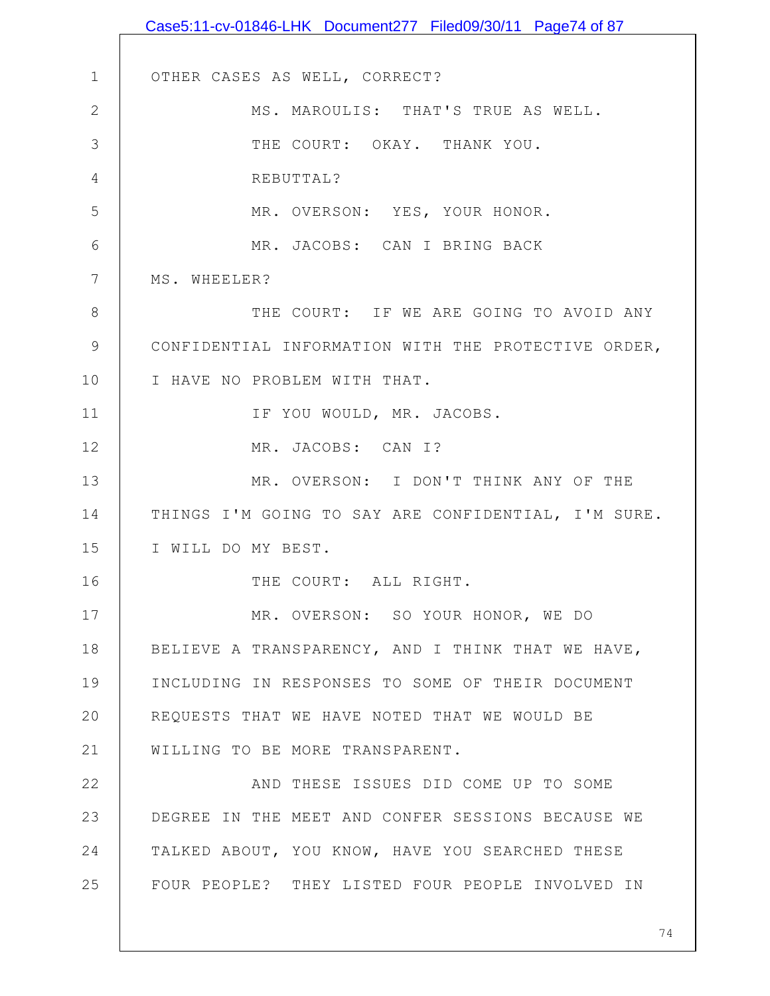1 2 3 4 5 6 7 8 9 10 11 12 13 14 15 16 17 18 19 20 21 22 23 24 25 OTHER CASES AS WELL, CORRECT? MS. MAROULIS: THAT'S TRUE AS WELL. THE COURT: OKAY. THANK YOU. REBUTTAL? MR. OVERSON: YES, YOUR HONOR. MR. JACOBS: CAN I BRING BACK MS. WHEELER? THE COURT: IF WE ARE GOING TO AVOID ANY CONFIDENTIAL INFORMATION WITH THE PROTECTIVE ORDER, I HAVE NO PROBLEM WITH THAT. IF YOU WOULD, MR. JACOBS. MR. JACOBS: CAN I? MR. OVERSON: I DON'T THINK ANY OF THE THINGS I'M GOING TO SAY ARE CONFIDENTIAL, I'M SURE. I WILL DO MY BEST. THE COURT: ALL RIGHT. MR. OVERSON: SO YOUR HONOR, WE DO BELIEVE A TRANSPARENCY, AND I THINK THAT WE HAVE, INCLUDING IN RESPONSES TO SOME OF THEIR DOCUMENT REQUESTS THAT WE HAVE NOTED THAT WE WOULD BE WILLING TO BE MORE TRANSPARENT. AND THESE ISSUES DID COME UP TO SOME DEGREE IN THE MEET AND CONFER SESSIONS BECAUSE WE TALKED ABOUT, YOU KNOW, HAVE YOU SEARCHED THESE FOUR PEOPLE? THEY LISTED FOUR PEOPLE INVOLVED IN Case5:11-cv-01846-LHK Document277 Filed09/30/11 Page74 of 87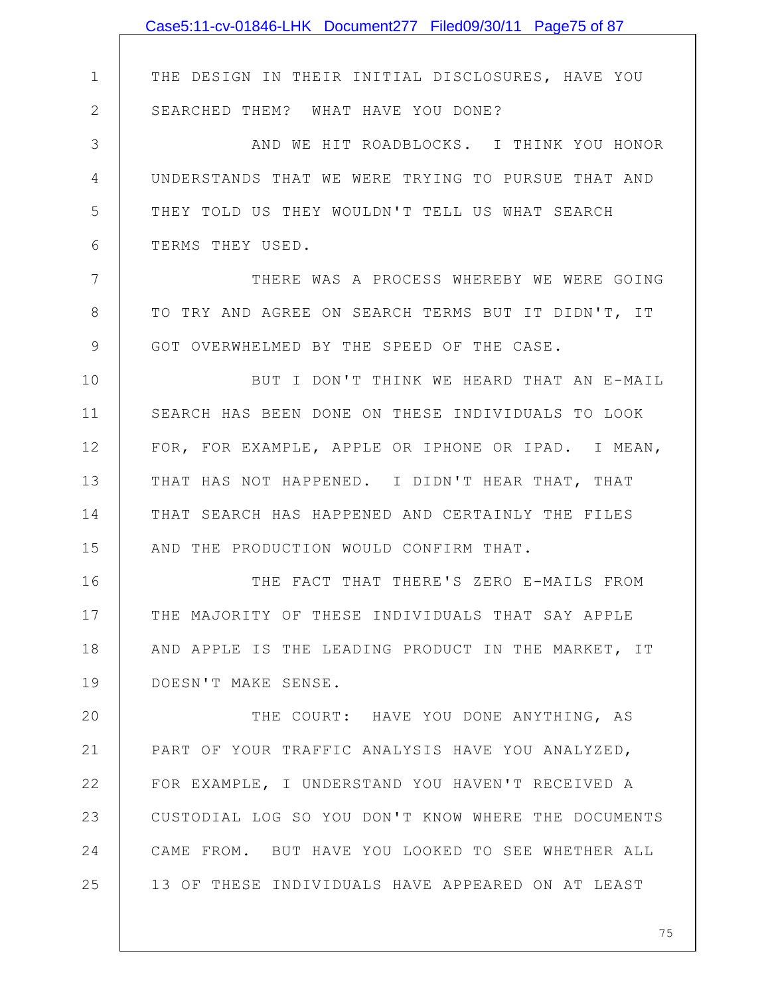|               | Case5:11-cv-01846-LHK Document277 Filed09/30/11 Page75 of 87 |
|---------------|--------------------------------------------------------------|
|               |                                                              |
| $\mathbf 1$   | THE DESIGN IN THEIR INITIAL DISCLOSURES, HAVE YOU            |
| $\mathbf{2}$  | SEARCHED THEM? WHAT HAVE YOU DONE?                           |
| 3             | AND WE HIT ROADBLOCKS. I THINK YOU HONOR                     |
| 4             | UNDERSTANDS THAT WE WERE TRYING TO PURSUE THAT AND           |
| 5             | THEY TOLD US THEY WOULDN'T TELL US WHAT SEARCH               |
| 6             | TERMS THEY USED.                                             |
| 7             | THERE WAS A PROCESS WHEREBY WE WERE GOING                    |
| 8             | TO TRY AND AGREE ON SEARCH TERMS BUT IT DIDN'T, IT           |
| $\mathcal{G}$ | GOT OVERWHELMED BY THE SPEED OF THE CASE.                    |
| 10            | BUT I DON'T THINK WE HEARD THAT AN E-MAIL                    |
| 11            | SEARCH HAS BEEN DONE ON THESE INDIVIDUALS TO LOOK            |
| 12            | FOR, FOR EXAMPLE, APPLE OR IPHONE OR IPAD. I MEAN,           |
| 13            | THAT HAS NOT HAPPENED. I DIDN'T HEAR THAT, THAT              |
| 14            | THAT SEARCH HAS HAPPENED AND CERTAINLY THE FILES             |
| 15            | AND THE PRODUCTION WOULD CONFIRM THAT.                       |
| 16            | THE FACT THAT THERE'S ZERO E-MAILS FROM                      |
| 17            | THE MAJORITY OF THESE INDIVIDUALS THAT SAY APPLE             |
| 18            | AND APPLE IS THE LEADING PRODUCT IN THE MARKET, IT           |
| 19            | DOESN'T MAKE SENSE.                                          |
| 20            | THE COURT: HAVE YOU DONE ANYTHING, AS                        |
| 21            | PART OF YOUR TRAFFIC ANALYSIS HAVE YOU ANALYZED,             |
| 22            | FOR EXAMPLE, I UNDERSTAND YOU HAVEN'T RECEIVED A             |
| 23            | CUSTODIAL LOG SO YOU DON'T KNOW WHERE THE DOCUMENTS          |
| 24            | CAME FROM. BUT HAVE YOU LOOKED TO SEE WHETHER ALL            |
| 25            | 13 OF THESE INDIVIDUALS HAVE APPEARED ON AT LEAST            |
|               |                                                              |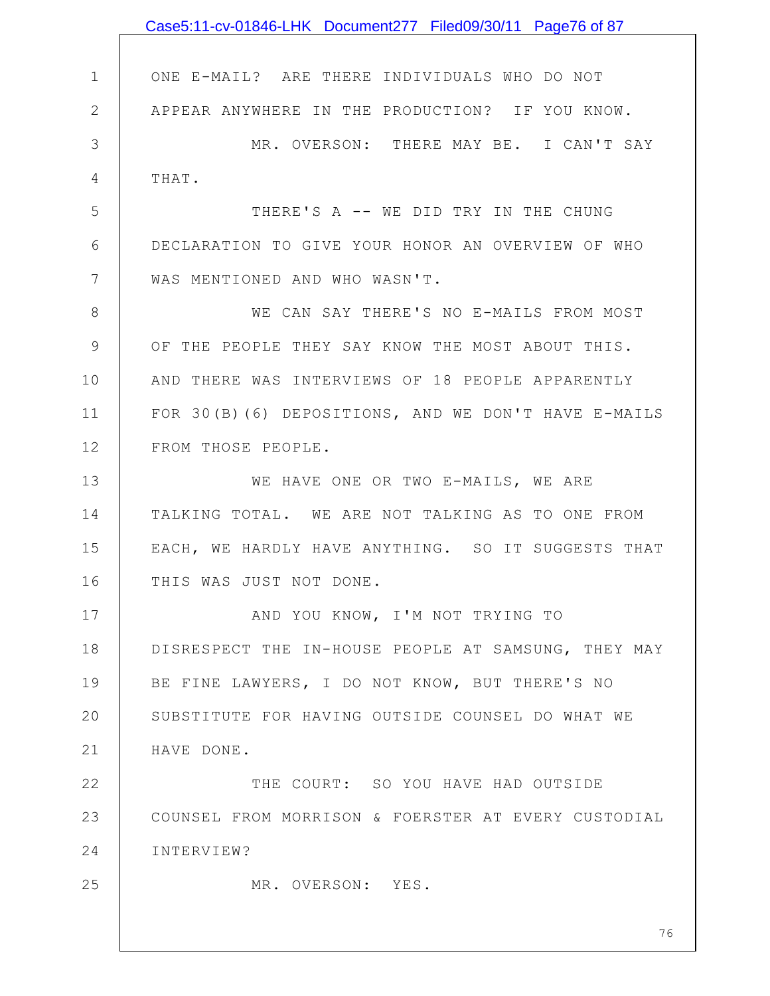|              | Case5:11-cv-01846-LHK Document277 Filed09/30/11 Page76 of 87 |
|--------------|--------------------------------------------------------------|
|              |                                                              |
| $\mathbf 1$  | ONE E-MAIL? ARE THERE INDIVIDUALS WHO DO NOT                 |
| $\mathbf{2}$ | APPEAR ANYWHERE IN THE PRODUCTION? IF YOU KNOW.              |
| 3            | MR. OVERSON: THERE MAY BE. I CAN'T SAY                       |
| 4            | THAT.                                                        |
| 5            | THERE'S A -- WE DID TRY IN THE CHUNG                         |
| 6            | DECLARATION TO GIVE YOUR HONOR AN OVERVIEW OF WHO            |
| 7            | WAS MENTIONED AND WHO WASN'T.                                |
| 8            | WE CAN SAY THERE'S NO E-MAILS FROM MOST                      |
| $\mathsf 9$  | OF THE PEOPLE THEY SAY KNOW THE MOST ABOUT THIS.             |
| 10           | AND THERE WAS INTERVIEWS OF 18 PEOPLE APPARENTLY             |
| 11           | FOR 30(B) (6) DEPOSITIONS, AND WE DON'T HAVE E-MAILS         |
| 12           | FROM THOSE PEOPLE.                                           |
| 13           | WE HAVE ONE OR TWO E-MAILS, WE ARE                           |
| 14           | TALKING TOTAL. WE ARE NOT TALKING AS TO ONE FROM             |
| 15           | EACH, WE HARDLY HAVE ANYTHING. SO IT SUGGESTS THAT           |
| 16           | THIS WAS JUST NOT DONE.                                      |
| 17           | AND YOU KNOW, I'M NOT TRYING TO                              |
| 18           | DISRESPECT THE IN-HOUSE PEOPLE AT SAMSUNG, THEY MAY          |
| 19           | BE FINE LAWYERS, I DO NOT KNOW, BUT THERE'S NO               |
| 20           | SUBSTITUTE FOR HAVING OUTSIDE COUNSEL DO WHAT WE             |
| 21           | HAVE DONE.                                                   |
| 22           | THE COURT: SO YOU HAVE HAD OUTSIDE                           |
| 23           | COUNSEL FROM MORRISON & FOERSTER AT EVERY CUSTODIAL          |
| 24           | INTERVIEW?                                                   |
| 25           | MR. OVERSON: YES.                                            |
|              |                                                              |
|              | 76                                                           |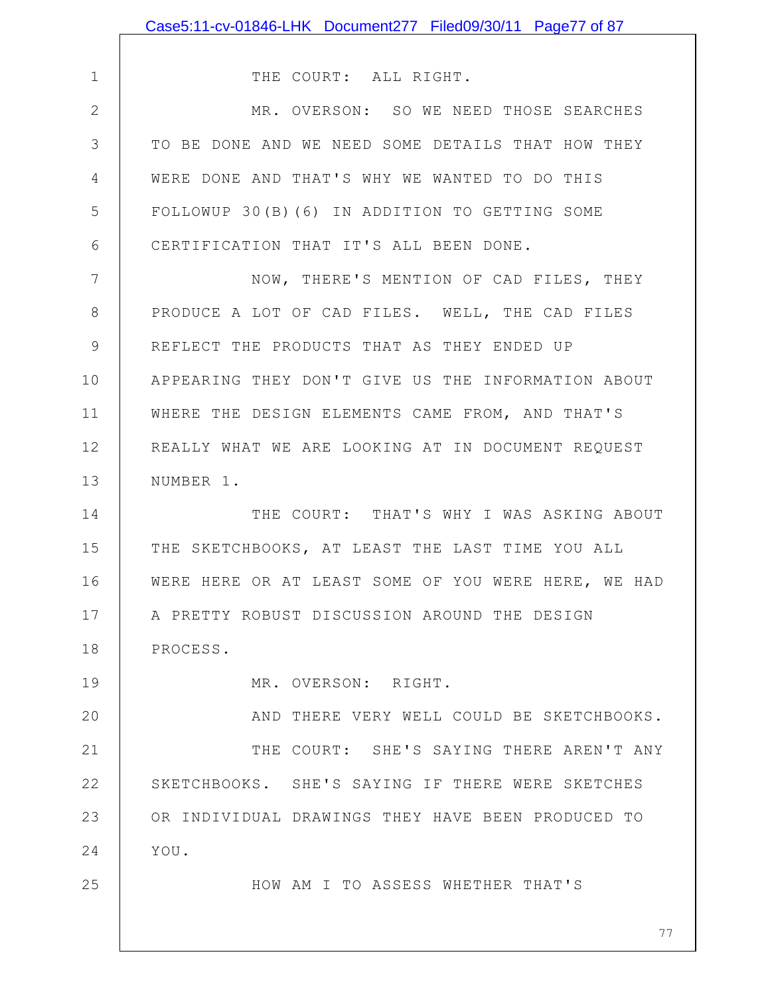|                | Case5:11-cv-01846-LHK Document277 Filed09/30/11 Page77 of 87 |
|----------------|--------------------------------------------------------------|
|                |                                                              |
| $\mathbf 1$    | THE COURT: ALL RIGHT.                                        |
| $\overline{2}$ | MR. OVERSON: SO WE NEED THOSE SEARCHES                       |
| 3              | TO BE DONE AND WE NEED SOME DETAILS THAT HOW THEY            |
| 4              | WERE DONE AND THAT'S WHY WE WANTED TO DO THIS                |
| 5              | FOLLOWUP 30(B)(6) IN ADDITION TO GETTING SOME                |
| 6              | CERTIFICATION THAT IT'S ALL BEEN DONE.                       |
| 7              | NOW, THERE'S MENTION OF CAD FILES, THEY                      |
| 8              | PRODUCE A LOT OF CAD FILES. WELL, THE CAD FILES              |
| 9              | REFLECT THE PRODUCTS THAT AS THEY ENDED UP                   |
| 10             | APPEARING THEY DON'T GIVE US THE INFORMATION ABOUT           |
| 11             | WHERE THE DESIGN ELEMENTS CAME FROM, AND THAT'S              |
| 12             | REALLY WHAT WE ARE LOOKING AT IN DOCUMENT REQUEST            |
| 13             | NUMBER 1.                                                    |
| 14             | THE COURT: THAT'S WHY I WAS ASKING ABOUT                     |
| 15             | THE SKETCHBOOKS, AT LEAST THE LAST TIME YOU ALL              |
| 16             | WERE HERE OR AT LEAST SOME OF YOU WERE HERE, WE HAD          |
| 17             | A PRETTY ROBUST DISCUSSION AROUND THE DESIGN                 |
| 18             | PROCESS.                                                     |
| 19             | MR. OVERSON: RIGHT.                                          |
| 20             | AND THERE VERY WELL COULD BE SKETCHBOOKS.                    |
| 21             | THE COURT: SHE'S SAYING THERE AREN'T ANY                     |
| 22             | SKETCHBOOKS. SHE'S SAYING IF THERE WERE SKETCHES             |
| 23             | OR INDIVIDUAL DRAWINGS THEY HAVE BEEN PRODUCED TO            |
| 24             | YOU.                                                         |
| 25             | HOW AM I TO ASSESS WHETHER THAT'S                            |
|                |                                                              |
|                | 77                                                           |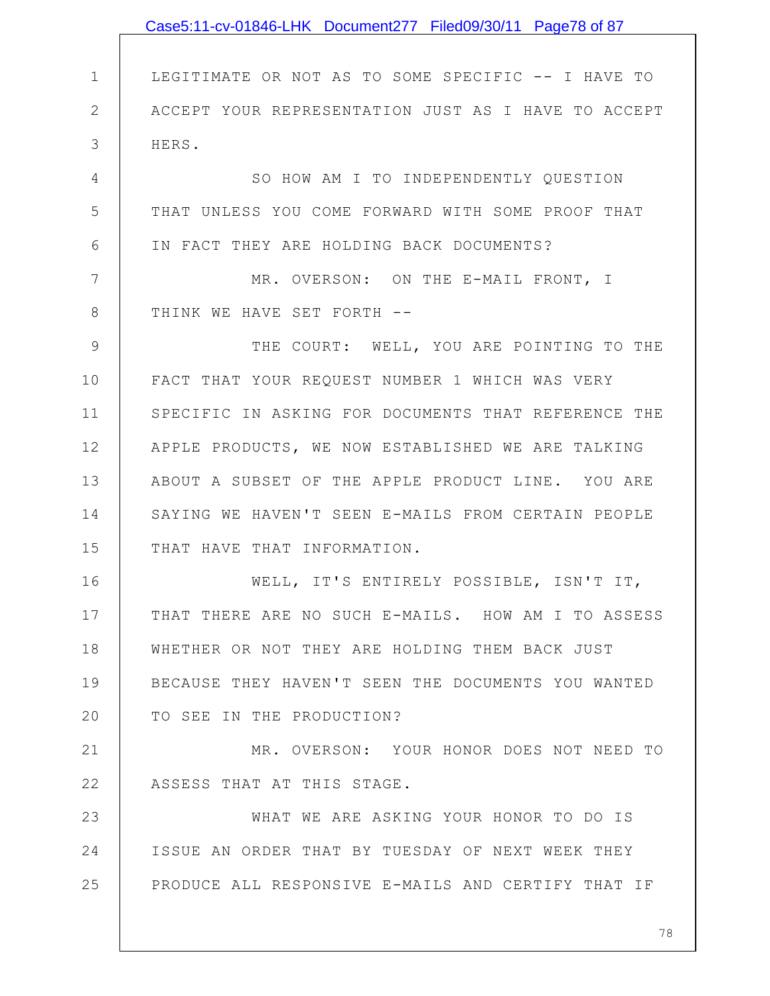|                | Case5:11-cv-01846-LHK Document277 Filed09/30/11 Page78 of 87 |
|----------------|--------------------------------------------------------------|
|                |                                                              |
| $\mathbf 1$    | LEGITIMATE OR NOT AS TO SOME SPECIFIC -- I HAVE TO           |
| $\mathbf{2}$   | ACCEPT YOUR REPRESENTATION JUST AS I HAVE TO ACCEPT          |
| 3              | HERS.                                                        |
| $\overline{4}$ | SO HOW AM I TO INDEPENDENTLY QUESTION                        |
| 5              | THAT UNLESS YOU COME FORWARD WITH SOME PROOF THAT            |
| 6              | IN FACT THEY ARE HOLDING BACK DOCUMENTS?                     |
| 7              | MR. OVERSON: ON THE E-MAIL FRONT, I                          |
| $8\,$          | THINK WE HAVE SET FORTH --                                   |
| $\mathcal{G}$  | THE COURT: WELL, YOU ARE POINTING TO THE                     |
| 10             | FACT THAT YOUR REQUEST NUMBER 1 WHICH WAS VERY               |
| 11             | SPECIFIC IN ASKING FOR DOCUMENTS THAT REFERENCE THE          |
| 12             | APPLE PRODUCTS, WE NOW ESTABLISHED WE ARE TALKING            |
| 13             | ABOUT A SUBSET OF THE APPLE PRODUCT LINE. YOU ARE            |
| 14             | SAYING WE HAVEN'T SEEN E-MAILS FROM CERTAIN PEOPLE           |
| 15             | THAT HAVE THAT INFORMATION.                                  |
| 16             | WELL, IT'S ENTIRELY POSSIBLE, ISN'T IT,                      |
| 17             | THAT THERE ARE NO SUCH E-MAILS. HOW AM I TO ASSESS           |
| 18             | WHETHER OR NOT THEY ARE HOLDING THEM BACK JUST               |
| 19             | BECAUSE THEY HAVEN'T SEEN THE DOCUMENTS YOU WANTED           |
| 20             | TO SEE IN THE PRODUCTION?                                    |
| 21             | MR. OVERSON: YOUR HONOR DOES NOT NEED TO                     |
| 22             | ASSESS THAT AT THIS STAGE.                                   |
| 23             | WHAT WE ARE ASKING YOUR HONOR TO DO IS                       |
| 24             | ISSUE AN ORDER THAT BY TUESDAY OF NEXT WEEK THEY             |
| 25             | PRODUCE ALL RESPONSIVE E-MAILS AND CERTIFY THAT IF           |
|                |                                                              |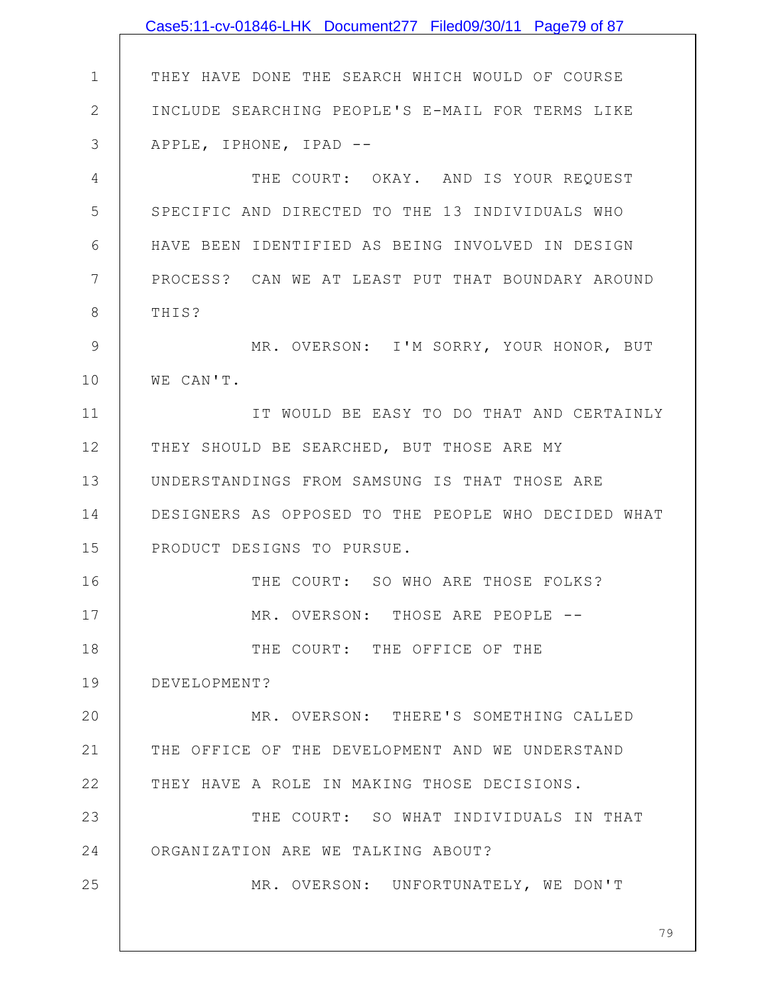|               | Case5:11-cv-01846-LHK Document277 Filed09/30/11 Page79 of 87 |
|---------------|--------------------------------------------------------------|
|               |                                                              |
| $\mathbf{1}$  | THEY HAVE DONE THE SEARCH WHICH WOULD OF COURSE              |
| $\mathbf{2}$  | INCLUDE SEARCHING PEOPLE'S E-MAIL FOR TERMS LIKE             |
| 3             | APPLE, IPHONE, IPAD --                                       |
| 4             | THE COURT: OKAY. AND IS YOUR REQUEST                         |
| 5             | SPECIFIC AND DIRECTED TO THE 13 INDIVIDUALS WHO              |
| 6             | HAVE BEEN IDENTIFIED AS BEING INVOLVED IN DESIGN             |
| 7             | PROCESS? CAN WE AT LEAST PUT THAT BOUNDARY AROUND            |
| 8             | THIS?                                                        |
| $\mathcal{G}$ | MR. OVERSON: I'M SORRY, YOUR HONOR, BUT                      |
| 10            | WE CAN'T.                                                    |
| 11            | IT WOULD BE EASY TO DO THAT AND CERTAINLY                    |
| 12            | THEY SHOULD BE SEARCHED, BUT THOSE ARE MY                    |
| 13            | UNDERSTANDINGS FROM SAMSUNG IS THAT THOSE ARE                |
| 14            | DESIGNERS AS OPPOSED TO THE PEOPLE WHO DECIDED WHAT          |
| 15            | PRODUCT DESIGNS TO PURSUE.                                   |
| 16            | THE COURT: SO WHO ARE THOSE FOLKS?                           |
| 17            | MR. OVERSON: THOSE ARE PEOPLE --                             |
| 18            | THE COURT: THE OFFICE OF THE                                 |
| 19            | DEVELOPMENT?                                                 |
| 20            | MR. OVERSON: THERE'S SOMETHING CALLED                        |
| 21            | THE OFFICE OF THE DEVELOPMENT AND WE UNDERSTAND              |
| 22            | THEY HAVE A ROLE IN MAKING THOSE DECISIONS.                  |
| 23            | THE COURT: SO WHAT INDIVIDUALS IN THAT                       |
| 24            | ORGANIZATION ARE WE TALKING ABOUT?                           |
| 25            | MR. OVERSON: UNFORTUNATELY, WE DON'T                         |
|               |                                                              |
|               | 79                                                           |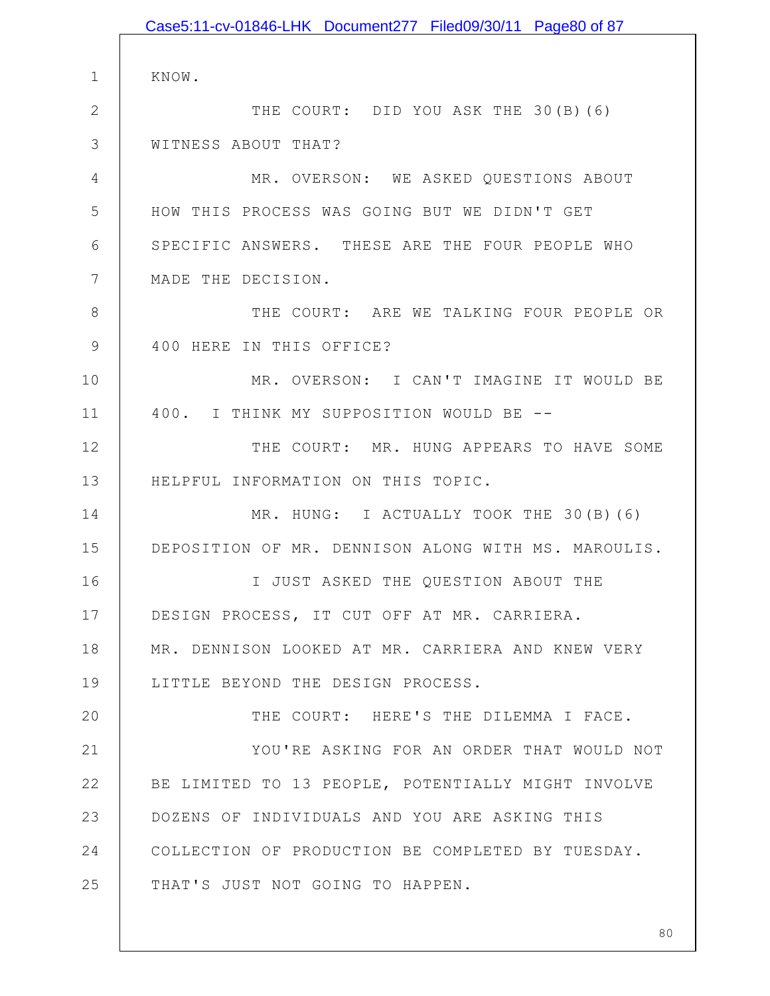1 2 3 4 5 6 7 8 9 10 11 12 13 14 15 16 17 18 19 20 21 22 23 24 25 KNOW. THE COURT: DID YOU ASK THE 30(B)(6) WITNESS ABOUT THAT? MR. OVERSON: WE ASKED QUESTIONS ABOUT HOW THIS PROCESS WAS GOING BUT WE DIDN'T GET SPECIFIC ANSWERS. THESE ARE THE FOUR PEOPLE WHO MADE THE DECISION. THE COURT: ARE WE TALKING FOUR PEOPLE OR 400 HERE IN THIS OFFICE? MR. OVERSON: I CAN'T IMAGINE IT WOULD BE 400. I THINK MY SUPPOSITION WOULD BE -- THE COURT: MR. HUNG APPEARS TO HAVE SOME HELPFUL INFORMATION ON THIS TOPIC. MR. HUNG: I ACTUALLY TOOK THE 30(B)(6) DEPOSITION OF MR. DENNISON ALONG WITH MS. MAROULIS. I JUST ASKED THE QUESTION ABOUT THE DESIGN PROCESS, IT CUT OFF AT MR. CARRIERA. MR. DENNISON LOOKED AT MR. CARRIERA AND KNEW VERY LITTLE BEYOND THE DESIGN PROCESS. THE COURT: HERE'S THE DILEMMA I FACE. YOU'RE ASKING FOR AN ORDER THAT WOULD NOT BE LIMITED TO 13 PEOPLE, POTENTIALLY MIGHT INVOLVE DOZENS OF INDIVIDUALS AND YOU ARE ASKING THIS COLLECTION OF PRODUCTION BE COMPLETED BY TUESDAY. THAT'S JUST NOT GOING TO HAPPEN. Case5:11-cv-01846-LHK Document277 Filed09/30/11 Page80 of 87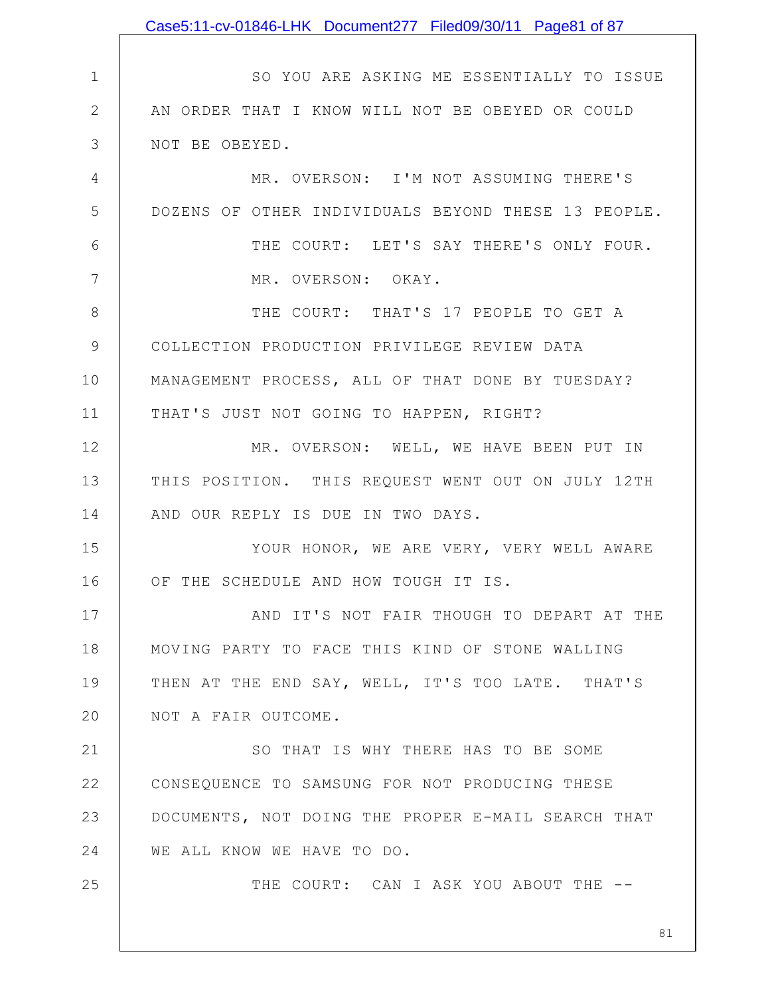|              | Case5:11-cv-01846-LHK Document277 Filed09/30/11 Page81 of 87 |
|--------------|--------------------------------------------------------------|
|              |                                                              |
| $\mathbf 1$  | SO YOU ARE ASKING ME ESSENTIALLY TO ISSUE                    |
| $\mathbf{2}$ | AN ORDER THAT I KNOW WILL NOT BE OBEYED OR COULD             |
| 3            | NOT BE OBEYED.                                               |
| 4            | MR. OVERSON: I'M NOT ASSUMING THERE'S                        |
| 5            | DOZENS OF OTHER INDIVIDUALS BEYOND THESE 13 PEOPLE.          |
| 6            | THE COURT: LET'S SAY THERE'S ONLY FOUR.                      |
| 7            | MR. OVERSON: OKAY.                                           |
| 8            | THE COURT: THAT'S 17 PEOPLE TO GET A                         |
| $\mathsf 9$  | COLLECTION PRODUCTION PRIVILEGE REVIEW DATA                  |
| 10           | MANAGEMENT PROCESS, ALL OF THAT DONE BY TUESDAY?             |
| 11           | THAT'S JUST NOT GOING TO HAPPEN, RIGHT?                      |
| 12           | MR. OVERSON: WELL, WE HAVE BEEN PUT IN                       |
| 13           | THIS POSITION. THIS REQUEST WENT OUT ON JULY 12TH            |
| 14           | AND OUR REPLY IS DUE IN TWO DAYS.                            |
| 15           | YOUR HONOR, WE ARE VERY, VERY WELL AWARE                     |
| 16           | OF THE SCHEDULE AND HOW TOUGH IT IS.                         |
| 17           | AND IT'S NOT FAIR THOUGH TO DEPART AT THE                    |
| 18           | MOVING PARTY TO FACE THIS KIND OF STONE WALLING              |
| 19           | THEN AT THE END SAY, WELL, IT'S TOO LATE. THAT'S             |
| 20           | NOT A FAIR OUTCOME.                                          |
| 21           | SO THAT IS WHY THERE HAS TO BE SOME                          |
| 22           | CONSEQUENCE TO SAMSUNG FOR NOT PRODUCING THESE               |
| 23           | DOCUMENTS, NOT DOING THE PROPER E-MAIL SEARCH THAT           |
| 24           | WE ALL KNOW WE HAVE TO DO.                                   |
| 25           | THE COURT: CAN I ASK YOU ABOUT THE --                        |
|              |                                                              |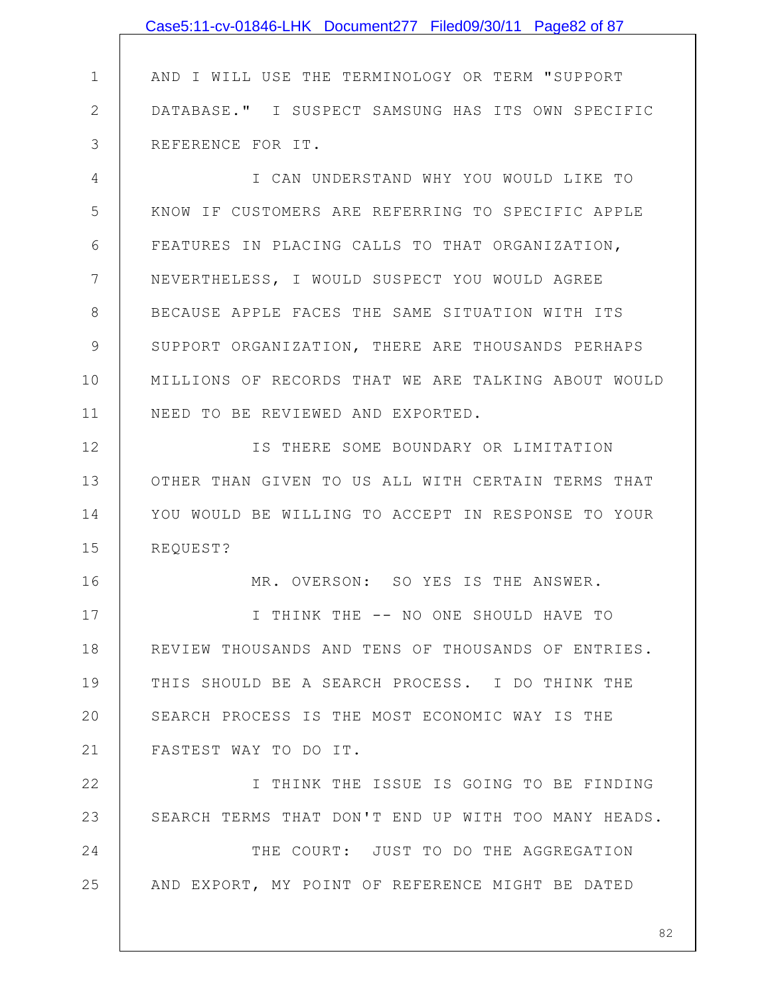|              | Case5:11-cv-01846-LHK Document277 Filed09/30/11 Page82 of 87 |
|--------------|--------------------------------------------------------------|
|              |                                                              |
| 1            | AND I WILL USE THE TERMINOLOGY OR TERM "SUPPORT              |
| $\mathbf{2}$ | DATABASE." I SUSPECT SAMSUNG HAS ITS OWN SPECIFIC            |
| 3            | REFERENCE FOR IT.                                            |
| 4            | I CAN UNDERSTAND WHY YOU WOULD LIKE TO                       |
| 5            | KNOW IF CUSTOMERS ARE REFERRING TO SPECIFIC APPLE            |
| 6            | FEATURES IN PLACING CALLS TO THAT ORGANIZATION,              |
| 7            | NEVERTHELESS, I WOULD SUSPECT YOU WOULD AGREE                |
| 8            | BECAUSE APPLE FACES THE SAME SITUATION WITH ITS              |
| 9            | SUPPORT ORGANIZATION, THERE ARE THOUSANDS PERHAPS            |
| 10           | MILLIONS OF RECORDS THAT WE ARE TALKING ABOUT WOULD          |
| 11           | NEED TO BE REVIEWED AND EXPORTED.                            |
| 12           | IS THERE SOME BOUNDARY OR LIMITATION                         |
| 13           | OTHER THAN GIVEN TO US ALL WITH CERTAIN TERMS THAT           |
| 14           | YOU WOULD BE WILLING TO ACCEPT IN RESPONSE TO YOUR           |
| 15           | REQUEST?                                                     |
| 16           | MR. OVERSON: SO YES IS THE ANSWER                            |
| 17           | I THINK THE -- NO ONE SHOULD HAVE TO                         |
| 18           | REVIEW THOUSANDS AND TENS OF THOUSANDS OF ENTRIES.           |
| 19           | THIS SHOULD BE A SEARCH PROCESS. I DO THINK THE              |
| 20           | SEARCH PROCESS IS THE MOST ECONOMIC WAY IS THE               |
| 21           | FASTEST WAY TO DO IT.                                        |
| 22           | I THINK THE ISSUE IS GOING TO BE FINDING                     |
| 23           | SEARCH TERMS THAT DON'T END UP WITH TOO MANY HEADS.          |
| 24           | THE COURT: JUST TO DO THE AGGREGATION                        |
| 25           | AND EXPORT, MY POINT OF REFERENCE MIGHT BE DATED             |
|              |                                                              |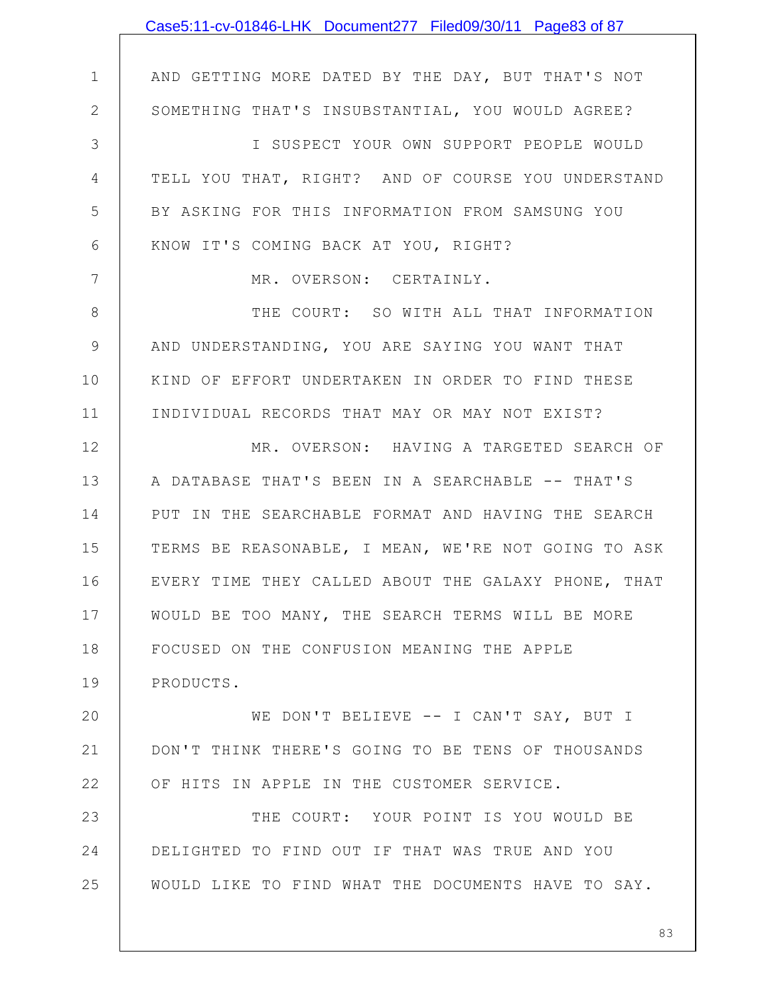|               | Case5:11-cv-01846-LHK Document277 Filed09/30/11 Page83 of 87 |
|---------------|--------------------------------------------------------------|
|               |                                                              |
| $\mathbf{1}$  | AND GETTING MORE DATED BY THE DAY, BUT THAT'S NOT            |
| $\mathbf{2}$  | SOMETHING THAT'S INSUBSTANTIAL, YOU WOULD AGREE?             |
| 3             | I SUSPECT YOUR OWN SUPPORT PEOPLE WOULD                      |
| 4             | TELL YOU THAT, RIGHT? AND OF COURSE YOU UNDERSTAND           |
| 5             | BY ASKING FOR THIS INFORMATION FROM SAMSUNG YOU              |
| 6             | KNOW IT'S COMING BACK AT YOU, RIGHT?                         |
| 7             | MR. OVERSON: CERTAINLY.                                      |
| 8             | THE COURT: SO WITH ALL THAT INFORMATION                      |
| $\mathcal{G}$ | AND UNDERSTANDING, YOU ARE SAYING YOU WANT THAT              |
| 10            | KIND OF EFFORT UNDERTAKEN IN ORDER TO FIND THESE             |
| 11            | INDIVIDUAL RECORDS THAT MAY OR MAY NOT EXIST?                |
| 12            | MR. OVERSON: HAVING A TARGETED SEARCH OF                     |
| 13            | A DATABASE THAT'S BEEN IN A SEARCHABLE -- THAT'S             |
| 14            | PUT IN THE SEARCHABLE FORMAT AND HAVING THE SEARCH           |
| 15            | TERMS BE REASONABLE, I MEAN, WE'RE NOT GOING TO ASK          |
| 16            | EVERY TIME THEY CALLED ABOUT THE GALAXY PHONE, THAT          |
| 17            | WOULD BE TOO MANY, THE SEARCH TERMS WILL BE MORE             |
| 18            | FOCUSED ON THE CONFUSION MEANING THE APPLE                   |
| 19            | PRODUCTS.                                                    |
| 20            | WE DON'T BELIEVE -- I CAN'T SAY, BUT I                       |
| 21            | DON'T THINK THERE'S GOING TO BE TENS OF THOUSANDS            |
| 22            | OF HITS IN APPLE IN THE CUSTOMER SERVICE.                    |
| 23            | THE COURT: YOUR POINT IS YOU WOULD BE                        |
| 24            | DELIGHTED TO FIND OUT IF THAT WAS TRUE AND YOU               |
| 25            | WOULD LIKE TO FIND WHAT THE DOCUMENTS HAVE TO SAY.           |
|               |                                                              |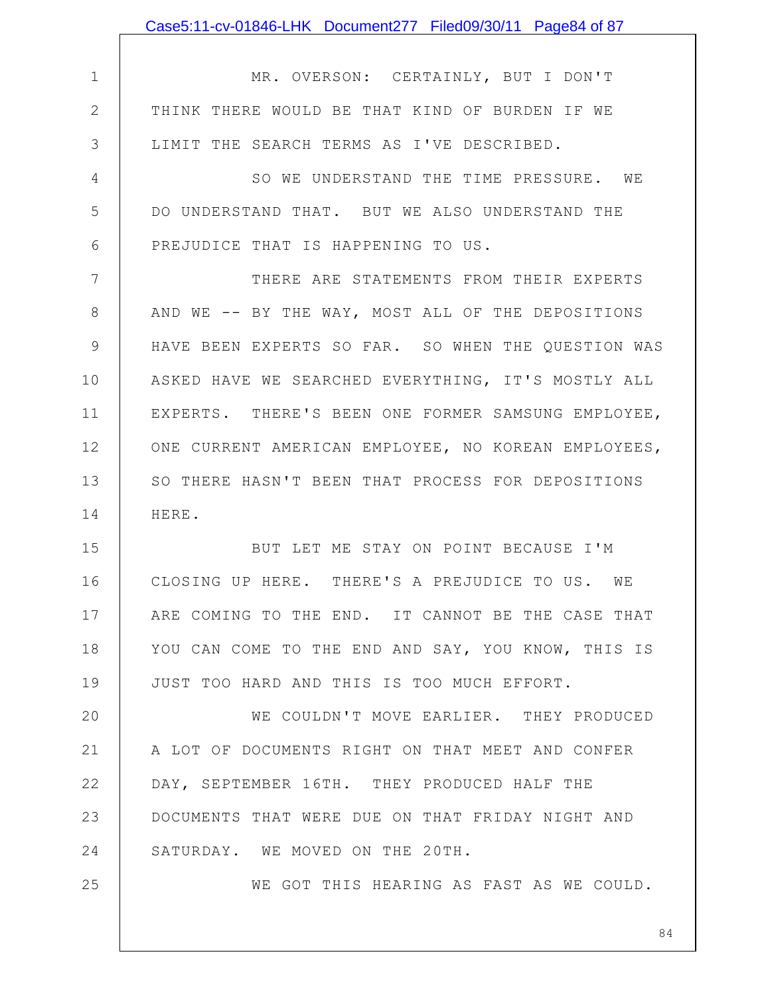|               | Case5:11-cv-01846-LHK Document277 Filed09/30/11 Page84 of 87 |
|---------------|--------------------------------------------------------------|
|               |                                                              |
| $\mathbf 1$   | MR. OVERSON: CERTAINLY, BUT I DON'T                          |
| $\mathbf{2}$  | THINK THERE WOULD BE THAT KIND OF BURDEN IF WE               |
| 3             | LIMIT THE SEARCH TERMS AS I'VE DESCRIBED.                    |
| 4             | SO WE UNDERSTAND THE TIME PRESSURE. WE                       |
| 5             | DO UNDERSTAND THAT. BUT WE ALSO UNDERSTAND THE               |
| 6             | PREJUDICE THAT IS HAPPENING TO US.                           |
| 7             | THERE ARE STATEMENTS FROM THEIR EXPERTS                      |
| $8\,$         | AND WE -- BY THE WAY, MOST ALL OF THE DEPOSITIONS            |
| $\mathcal{G}$ | HAVE BEEN EXPERTS SO FAR. SO WHEN THE QUESTION WAS           |
| 10            | ASKED HAVE WE SEARCHED EVERYTHING, IT'S MOSTLY ALL           |
| 11            | EXPERTS. THERE'S BEEN ONE FORMER SAMSUNG EMPLOYEE,           |
| 12            | ONE CURRENT AMERICAN EMPLOYEE, NO KOREAN EMPLOYEES,          |
| 13            | SO THERE HASN'T BEEN THAT PROCESS FOR DEPOSITIONS            |
| 14            | HERE.                                                        |
| 15            | BUT LET ME STAY ON POINT BECAUSE I'M                         |
| 16            | CLOSING UP HERE. THERE'S A PREJUDICE TO US. WE               |
| 17            | ARE COMING TO THE END. IT CANNOT BE THE CASE THAT            |
| 18            | YOU CAN COME TO THE END AND SAY, YOU KNOW, THIS IS           |
| 19            | JUST TOO HARD AND THIS IS TOO MUCH EFFORT.                   |
| 20            | WE COULDN'T MOVE EARLIER. THEY PRODUCED                      |
| 21            | A LOT OF DOCUMENTS RIGHT ON THAT MEET AND CONFER             |
| 22            | DAY, SEPTEMBER 16TH. THEY PRODUCED HALF THE                  |
| 23            | DOCUMENTS THAT WERE DUE ON THAT FRIDAY NIGHT AND             |
| 24            | SATURDAY. WE MOVED ON THE 20TH.                              |
| 25            | WE GOT THIS HEARING AS FAST AS WE COULD.                     |
|               |                                                              |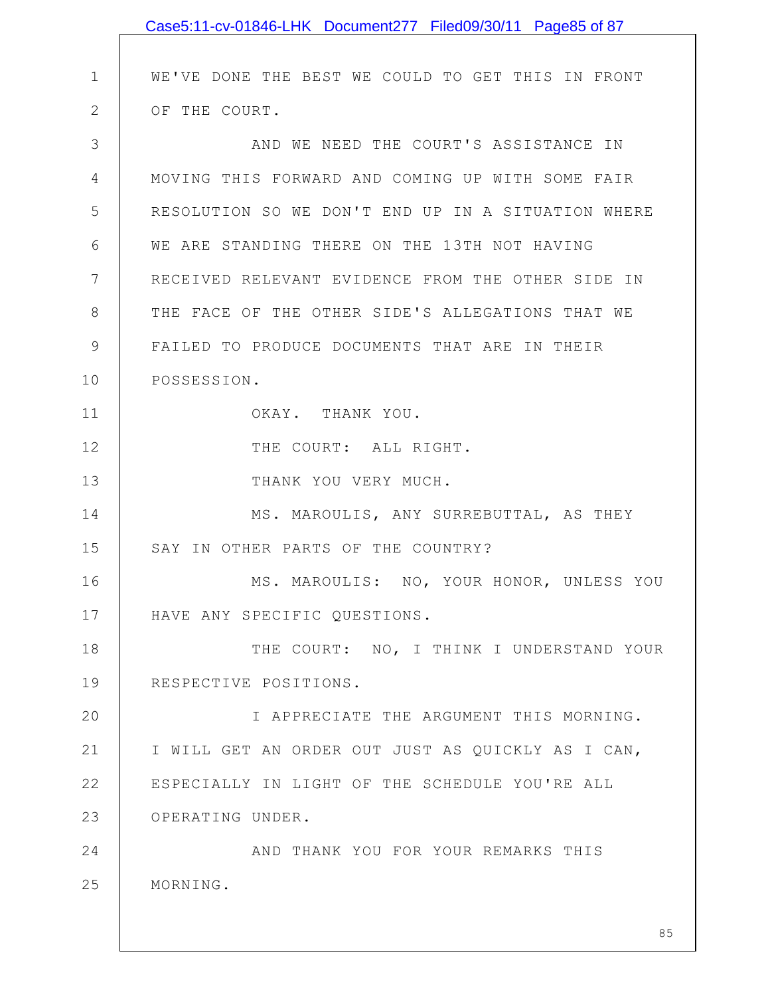|              | Case5:11-cv-01846-LHK Document277 Filed09/30/11 Page85 of 87 |
|--------------|--------------------------------------------------------------|
|              |                                                              |
| 1            | WE'VE DONE THE BEST WE COULD TO GET THIS IN FRONT            |
| $\mathbf{2}$ | OF THE COURT.                                                |
| 3            | AND WE NEED THE COURT'S ASSISTANCE IN                        |
| 4            | MOVING THIS FORWARD AND COMING UP WITH SOME FAIR             |
| 5            | RESOLUTION SO WE DON'T END UP IN A SITUATION WHERE           |
| 6            | WE ARE STANDING THERE ON THE 13TH NOT HAVING                 |
| 7            | RECEIVED RELEVANT EVIDENCE FROM THE OTHER SIDE IN            |
| 8            | THE FACE OF THE OTHER SIDE'S ALLEGATIONS THAT WE             |
| 9            | FAILED TO PRODUCE DOCUMENTS THAT ARE IN THEIR                |
| 10           | POSSESSION.                                                  |
| 11           | OKAY. THANK YOU.                                             |
| 12           | THE COURT: ALL RIGHT.                                        |
| 13           | THANK YOU VERY MUCH.                                         |
| 14           | MS. MAROULIS, ANY SURREBUTTAL, AS THEY                       |
| 15           | SAY IN OTHER PARTS OF THE COUNTRY?                           |
| 16           | MS. MAROULIS: NO, YOUR HONOR, UNLESS YOU                     |
| 17           | HAVE ANY SPECIFIC QUESTIONS.                                 |
| 18           | THE COURT: NO, I THINK I UNDERSTAND YOUR                     |
| 19           | RESPECTIVE POSITIONS.                                        |
| 20           | I APPRECIATE THE ARGUMENT THIS MORNING.                      |
| 21           | I WILL GET AN ORDER OUT JUST AS QUICKLY AS I CAN,            |
| 22           | ESPECIALLY IN LIGHT OF THE SCHEDULE YOU'RE ALL               |
| 23           | OPERATING UNDER.                                             |
| 24           | AND THANK YOU FOR YOUR REMARKS THIS                          |
| 25           | MORNING.                                                     |
|              |                                                              |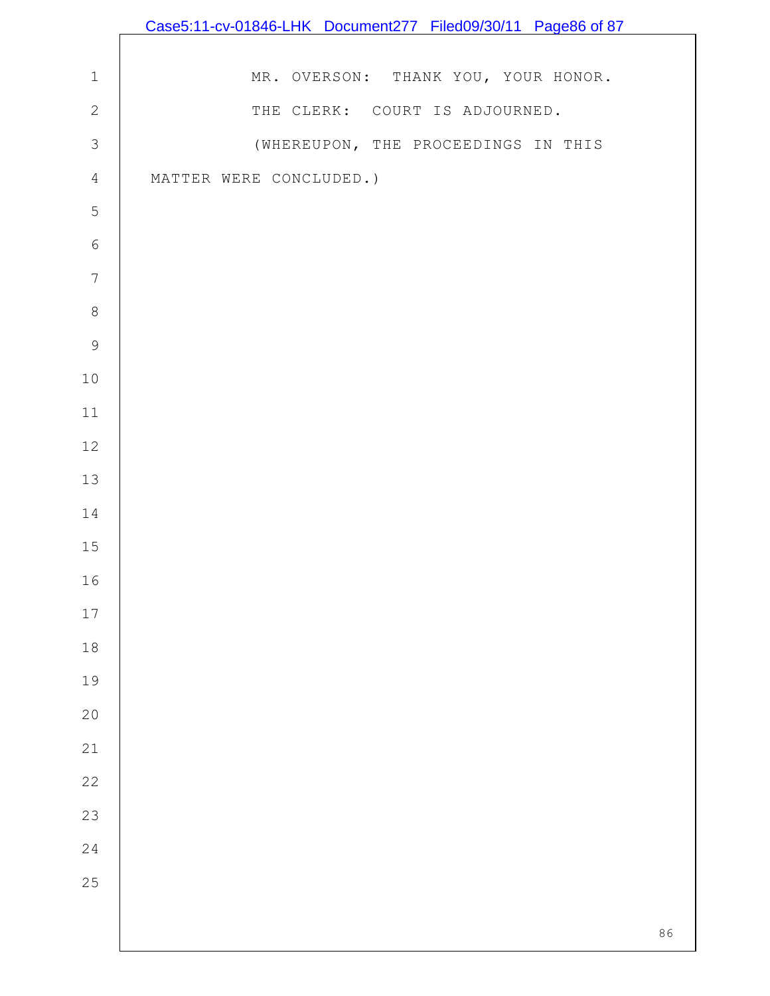|                  | Case5:11-cv-01846-LHK Document277 Filed09/30/11 Page86 of 87 |
|------------------|--------------------------------------------------------------|
|                  |                                                              |
| $\mathbf 1$      | MR. OVERSON: THANK YOU, YOUR HONOR.                          |
| $\mathbf{2}$     | THE CLERK: COURT IS ADJOURNED.                               |
| $\mathcal{S}$    | (WHEREUPON, THE PROCEEDINGS IN THIS                          |
| $\overline{4}$   | MATTER WERE CONCLUDED.)                                      |
| 5                |                                                              |
| $\epsilon$       |                                                              |
| $\boldsymbol{7}$ |                                                              |
| $\,8\,$          |                                                              |
| $\mathsf 9$      |                                                              |
| $10$             |                                                              |
| $11$             |                                                              |
| $12$             |                                                              |
| 13               |                                                              |
| 14               |                                                              |
| 15               |                                                              |
| 16               |                                                              |
| $17$             |                                                              |
| $18$             |                                                              |
| 19               |                                                              |
| $20$             |                                                              |
| $21$             |                                                              |
| 22               |                                                              |
| 23               |                                                              |
| 24               |                                                              |
| 25               |                                                              |
|                  | 86                                                           |
|                  |                                                              |

 $\mathbf l$